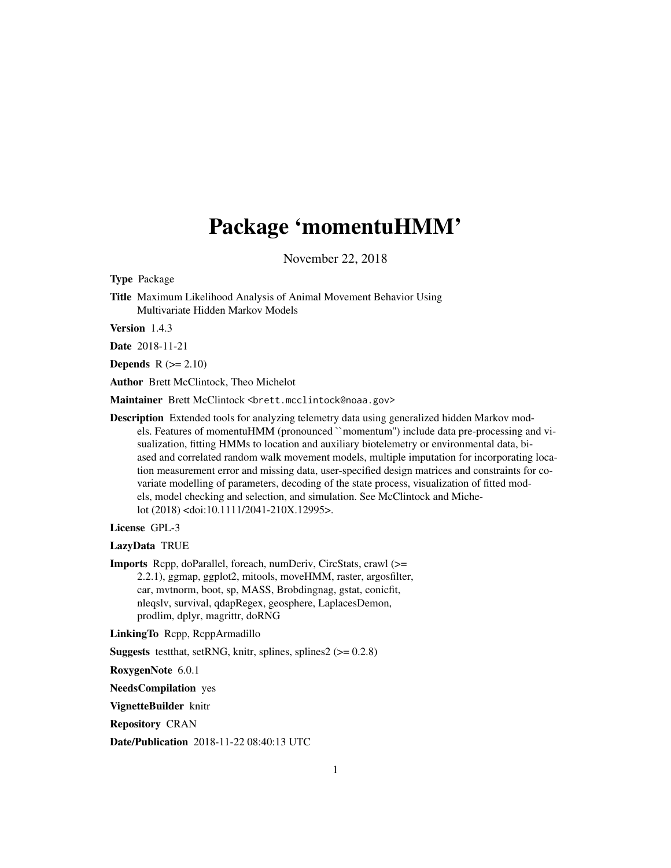# Package 'momentuHMM'

November 22, 2018

<span id="page-0-0"></span>Type Package

Title Maximum Likelihood Analysis of Animal Movement Behavior Using Multivariate Hidden Markov Models

Version 1.4.3

Date 2018-11-21

**Depends**  $R (= 2.10)$ 

Author Brett McClintock, Theo Michelot

Maintainer Brett McClintock <brett.mcclintock@noaa.gov>

Description Extended tools for analyzing telemetry data using generalized hidden Markov models. Features of momentuHMM (pronounced ``momentum'') include data pre-processing and visualization, fitting HMMs to location and auxiliary biotelemetry or environmental data, biased and correlated random walk movement models, multiple imputation for incorporating location measurement error and missing data, user-specified design matrices and constraints for covariate modelling of parameters, decoding of the state process, visualization of fitted models, model checking and selection, and simulation. See McClintock and Michelot (2018) <doi:10.1111/2041-210X.12995>.

License GPL-3

LazyData TRUE

Imports Rcpp, doParallel, foreach, numDeriv, CircStats, crawl (>= 2.2.1), ggmap, ggplot2, mitools, moveHMM, raster, argosfilter, car, mvtnorm, boot, sp, MASS, Brobdingnag, gstat, conicfit, nleqslv, survival, qdapRegex, geosphere, LaplacesDemon, prodlim, dplyr, magrittr, doRNG

LinkingTo Rcpp, RcppArmadillo

**Suggests** testthat, setRNG, knitr, splines, splines $2$  ( $> = 0.2.8$ )

RoxygenNote 6.0.1

NeedsCompilation yes

VignetteBuilder knitr

Repository CRAN

Date/Publication 2018-11-22 08:40:13 UTC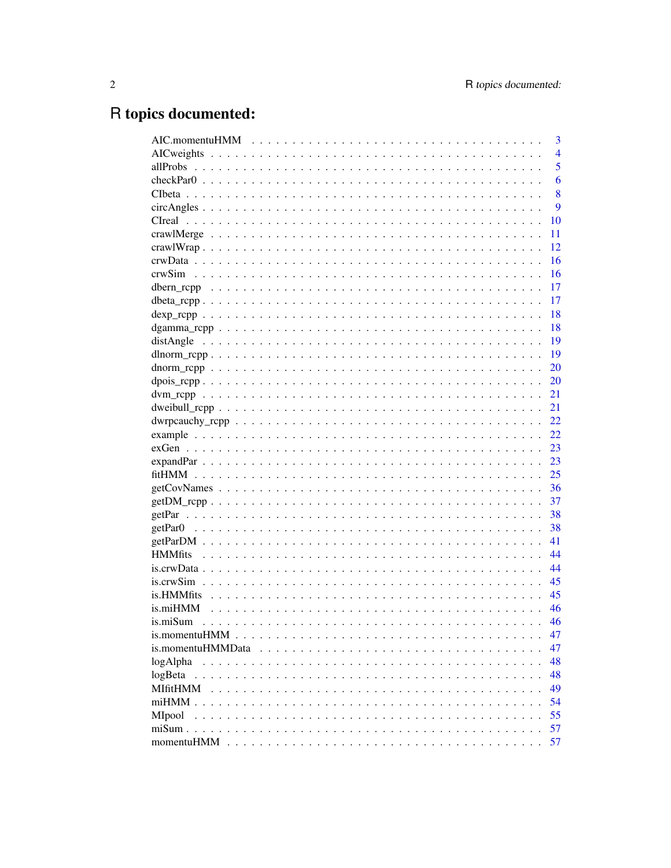# R topics documented:

|                                                                                                                          |  | 3              |
|--------------------------------------------------------------------------------------------------------------------------|--|----------------|
|                                                                                                                          |  | $\overline{4}$ |
|                                                                                                                          |  | 5              |
|                                                                                                                          |  | 6              |
|                                                                                                                          |  | 8              |
| $circAngles \dots \dots \dots \dots \dots \dots \dots \dots \dots \dots \dots \dots \dots \dots \dots \dots \dots \dots$ |  | 9              |
|                                                                                                                          |  | 10             |
|                                                                                                                          |  | 11             |
|                                                                                                                          |  | 12             |
|                                                                                                                          |  | 16             |
|                                                                                                                          |  | 16             |
|                                                                                                                          |  | 17             |
|                                                                                                                          |  | 17             |
|                                                                                                                          |  | 18             |
|                                                                                                                          |  | 18             |
|                                                                                                                          |  | 19             |
|                                                                                                                          |  | 19             |
|                                                                                                                          |  | 20             |
|                                                                                                                          |  | 20             |
|                                                                                                                          |  | 21             |
|                                                                                                                          |  | 21             |
|                                                                                                                          |  | 22             |
|                                                                                                                          |  | 22             |
|                                                                                                                          |  | 23             |
|                                                                                                                          |  | 23             |
|                                                                                                                          |  | 25             |
| $getCovNames \dots \dots \dots \dots \dots \dots \dots \dots \dots \dots \dots \dots \dots \dots \dots \dots$            |  | 36             |
| $getDM\_rcpp$                                                                                                            |  | 37             |
|                                                                                                                          |  | 38             |
|                                                                                                                          |  | 38             |
|                                                                                                                          |  | 41             |
|                                                                                                                          |  | 44             |
| $is.crwData$                                                                                                             |  | 44             |
|                                                                                                                          |  | 45             |
| is.HMMfits                                                                                                               |  | 45             |
| is.miHMM                                                                                                                 |  | 46             |
|                                                                                                                          |  | 46             |
|                                                                                                                          |  | 47             |
| is.momentuHMMData                                                                                                        |  | 47             |
| logAlpha                                                                                                                 |  | 48             |
| logBeta                                                                                                                  |  | 48             |
| MIfitHMM                                                                                                                 |  | 49             |
|                                                                                                                          |  | 54             |
| MIpool                                                                                                                   |  | 55             |
| $misum$                                                                                                                  |  | 57             |
|                                                                                                                          |  | 57             |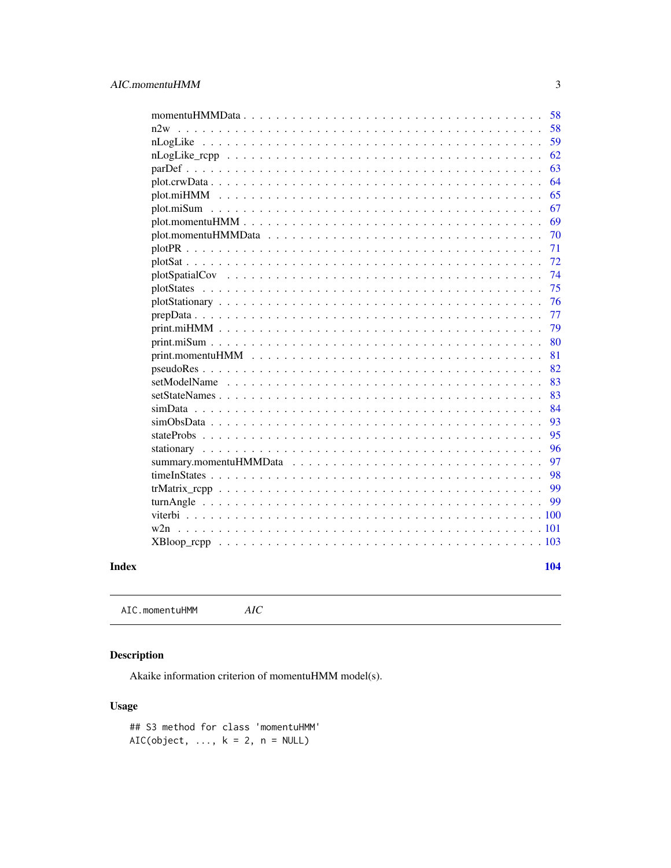<span id="page-2-0"></span>

| $momentuHMMData \dots \dots \dots \dots \dots \dots \dots \dots \dots \dots \dots \dots \dots \dots \dots \dots$<br>58 |
|------------------------------------------------------------------------------------------------------------------------|
| 58<br>n2w                                                                                                              |
| 59                                                                                                                     |
| 62                                                                                                                     |
| 63                                                                                                                     |
| 64                                                                                                                     |
| 65                                                                                                                     |
| 67                                                                                                                     |
| 69                                                                                                                     |
| 70                                                                                                                     |
| 71                                                                                                                     |
| 72                                                                                                                     |
| 74                                                                                                                     |
| 75<br>$\ddot{\phantom{1}}$<br>$\ddot{\phantom{a}}$                                                                     |
| 76                                                                                                                     |
| 77                                                                                                                     |
| 79                                                                                                                     |
| 80                                                                                                                     |
| 81                                                                                                                     |
| 82                                                                                                                     |
| 83                                                                                                                     |
| 83                                                                                                                     |
| 84<br>simData                                                                                                          |
| 93                                                                                                                     |
| 95                                                                                                                     |
| 96                                                                                                                     |
| 97<br>summary.momentuHMMData                                                                                           |
| 98                                                                                                                     |
| 99                                                                                                                     |
| 99                                                                                                                     |
|                                                                                                                        |
|                                                                                                                        |
| XBloop_rcpp                                                                                                            |
|                                                                                                                        |
| 104                                                                                                                    |

# **Index**

<span id="page-2-1"></span>AIC.momentuHMM  $AIC$ 

# **Description**

Akaike information criterion of momentuHMM model(s).

# **Usage**

## S3 method for class 'momentuHMM' AIC(object, ...,  $k = 2$ ,  $n = NULL$ )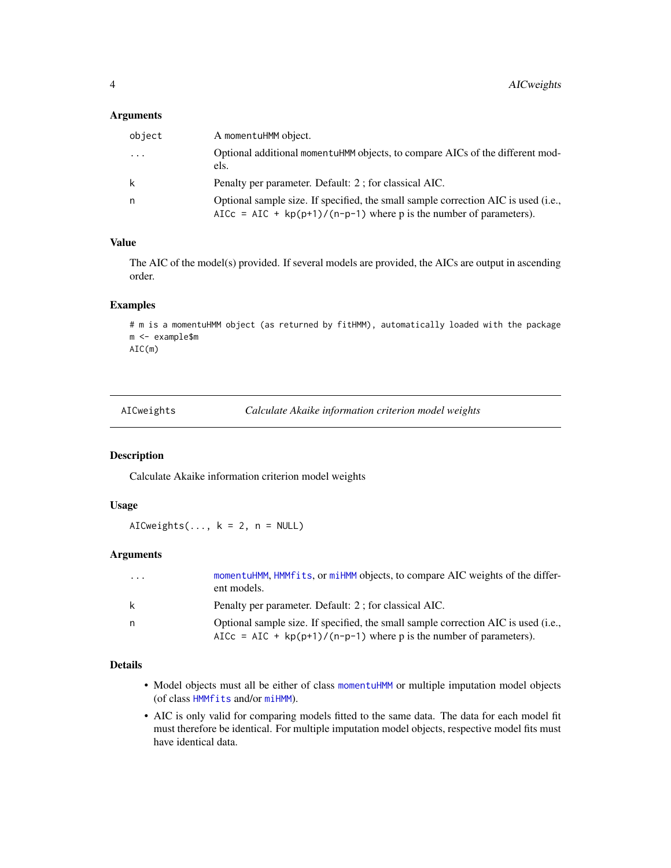## <span id="page-3-0"></span>Arguments

| object   | A momentuHMM object.                                                                                                                                       |
|----------|------------------------------------------------------------------------------------------------------------------------------------------------------------|
| $\cdots$ | Optional additional momentuHMM objects, to compare AICs of the different mod-<br>els.                                                                      |
| k        | Penalty per parameter. Default: 2; for classical AIC.                                                                                                      |
| n        | Optional sample size. If specified, the small sample correction AIC is used (i.e.,<br>AICc = AIC + $kp(p+1)/(n-p-1)$ where p is the number of parameters). |

# Value

The AIC of the model(s) provided. If several models are provided, the AICs are output in ascending order.

#### Examples

```
# m is a momentuHMM object (as returned by fitHMM), automatically loaded with the package
m <- example$m
AIC(m)
```
<span id="page-3-1"></span>AICweights *Calculate Akaike information criterion model weights*

#### Description

Calculate Akaike information criterion model weights

## Usage

AICweights(...,  $k = 2$ ,  $n = NULL$ )

#### Arguments

| $\cdot$ $\cdot$ $\cdot$ | momentuHMM, HMM fits, or miHMM objects, to compare AIC weights of the differ-<br>ent models. |
|-------------------------|----------------------------------------------------------------------------------------------|
| k                       | Penalty per parameter. Default: 2; for classical AIC.                                        |
| n.                      | Optional sample size. If specified, the small sample correction AIC is used (i.e.,           |
|                         | AICc = AIC + $kp(p+1)/(n-p-1)$ where p is the number of parameters).                         |

## Details

- Model objects must all be either of class [momentuHMM](#page-56-1) or multiple imputation model objects (of class [HMMfits](#page-43-1) and/or [miHMM](#page-53-1)).
- AIC is only valid for comparing models fitted to the same data. The data for each model fit must therefore be identical. For multiple imputation model objects, respective model fits must have identical data.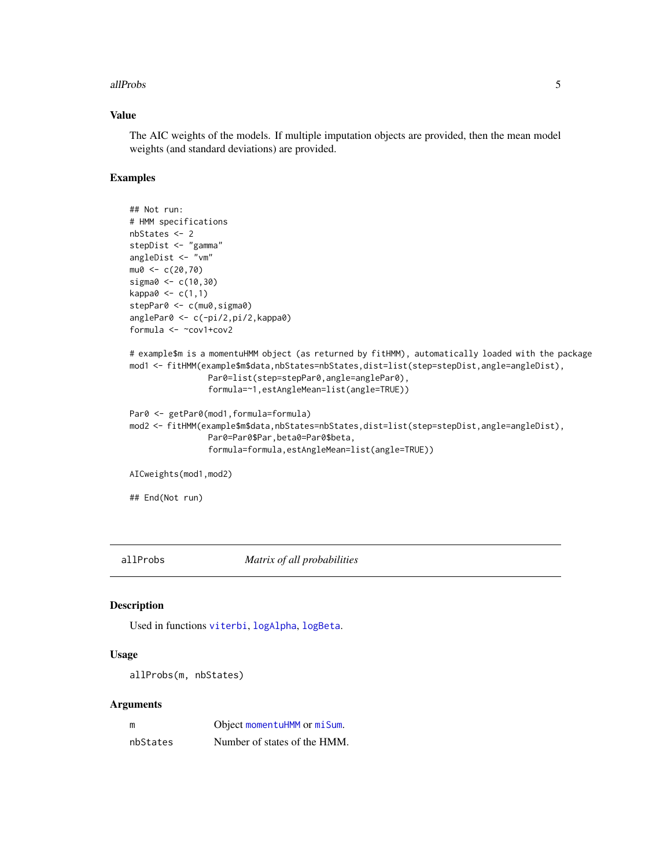#### <span id="page-4-0"></span>allProbs 5

## Value

The AIC weights of the models. If multiple imputation objects are provided, then the mean model weights (and standard deviations) are provided.

#### Examples

```
## Not run:
# HMM specifications
nbStates <- 2
stepDist <- "gamma"
angleDist <- "vm"
mu0 < -c(20, 70)sigma0 <- c(10,30)
kappa0 < -c(1,1)stepPar0 <- c(mu0, sigma0)
anglePar0 <- c(-pi/2,pi/2,kappa0)
formula <- ~cov1+cov2
# example$m is a momentuHMM object (as returned by fitHMM), automatically loaded with the package
mod1 <- fitHMM(example$m$data,nbStates=nbStates,dist=list(step=stepDist,angle=angleDist),
                Par0=list(step=stepPar0,angle=anglePar0),
                formula=~1,estAngleMean=list(angle=TRUE))
Par0 <- getPar0(mod1,formula=formula)
mod2 <- fitHMM(example$m$data,nbStates=nbStates,dist=list(step=stepDist,angle=angleDist),
                Par0=Par0$Par,beta0=Par0$beta,
                formula=formula,estAngleMean=list(angle=TRUE))
AICweights(mod1,mod2)
```
## End(Not run)

allProbs *Matrix of all probabilities*

#### Description

Used in functions [viterbi](#page-99-1), [logAlpha](#page-47-1), [logBeta](#page-47-2).

### Usage

```
allProbs(m, nbStates)
```

| m        | Object momentuHMM or miSum.  |
|----------|------------------------------|
| nbStates | Number of states of the HMM. |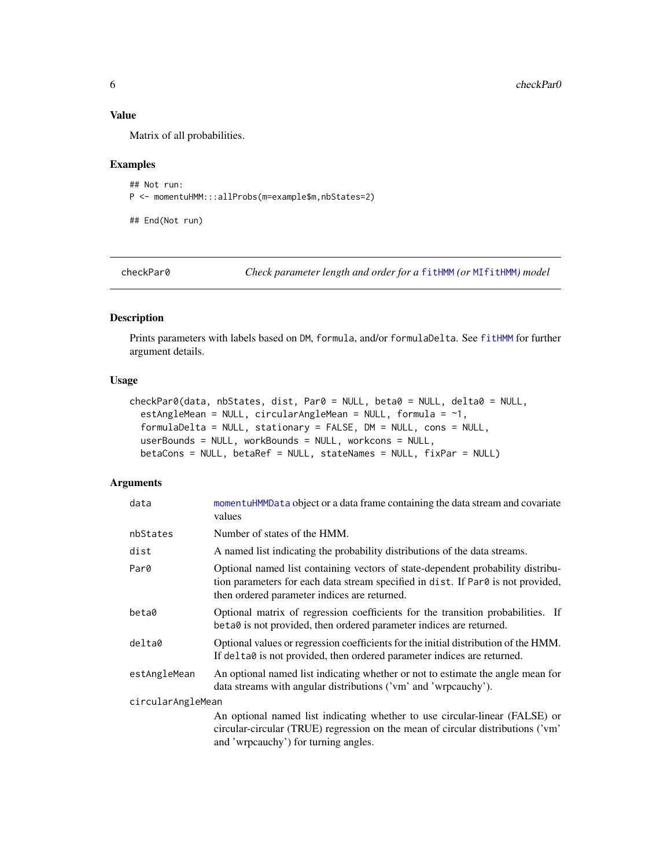#### Value

Matrix of all probabilities.

## Examples

```
## Not run:
P <- momentuHMM:::allProbs(m=example$m,nbStates=2)
```
## End(Not run)

<span id="page-5-1"></span>checkPar0 *Check parameter length and order for a* [fitHMM](#page-24-1) *(or* [MIfitHMM](#page-48-1)*) model*

## Description

Prints parameters with labels based on DM, formula, and/or formulaDelta. See [fitHMM](#page-24-1) for further argument details.

# Usage

```
checkPar0(data, nbStates, dist, Par0 = NULL, beta0 = NULL, delta0 = NULL,
  estAngleMean = NULL, circularAngleMean = NULL, formula = \sim1,
  formulaDelta = NULL, stationary = FALSE, DM = NULL, cons = NULL,
  userBounds = NULL, workBounds = NULL, workcons = NULL,
 betaCons = NULL, betaRef = NULL, stateNames = NULL, fixPar = NULL)
```

| data              | momentuHMMData object or a data frame containing the data stream and covariate<br>values                                                                                                                            |
|-------------------|---------------------------------------------------------------------------------------------------------------------------------------------------------------------------------------------------------------------|
| nbStates          | Number of states of the HMM.                                                                                                                                                                                        |
| dist              | A named list indicating the probability distributions of the data streams.                                                                                                                                          |
| Par0              | Optional named list containing vectors of state-dependent probability distribu-<br>tion parameters for each data stream specified in dist. If Par0 is not provided,<br>then ordered parameter indices are returned. |
| beta0             | Optional matrix of regression coefficients for the transition probabilities. If<br>beta0 is not provided, then ordered parameter indices are returned.                                                              |
| delta0            | Optional values or regression coefficients for the initial distribution of the HMM.<br>If delta0 is not provided, then ordered parameter indices are returned.                                                      |
| estAngleMean      | An optional named list indicating whether or not to estimate the angle mean for<br>data streams with angular distributions ('vm' and 'wrpcauchy').                                                                  |
| circularAngleMean |                                                                                                                                                                                                                     |
|                   | An optional named list indicating whether to use circular-linear (FALSE) or<br>circular-circular (TRUE) regression on the mean of circular distributions ('vm'<br>and 'wrpcauchy') for turning angles.              |

<span id="page-5-0"></span>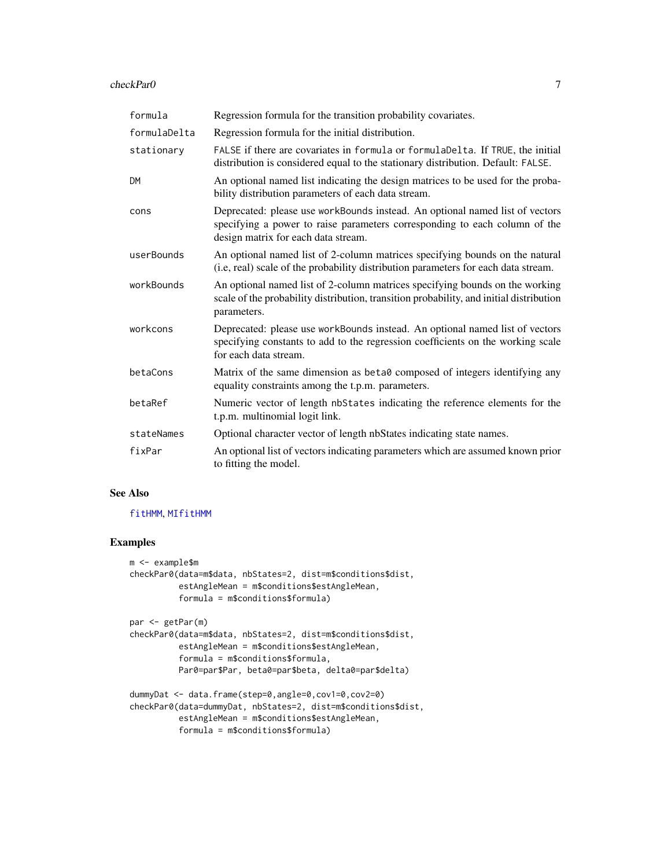#### checkPar0 7

| formula      | Regression formula for the transition probability covariates.                                                                                                                                     |
|--------------|---------------------------------------------------------------------------------------------------------------------------------------------------------------------------------------------------|
| formulaDelta | Regression formula for the initial distribution.                                                                                                                                                  |
| stationary   | FALSE if there are covariates in formula or formulaDelta. If TRUE, the initial<br>distribution is considered equal to the stationary distribution. Default: FALSE.                                |
| <b>DM</b>    | An optional named list indicating the design matrices to be used for the proba-<br>bility distribution parameters of each data stream.                                                            |
| cons         | Deprecated: please use workBounds instead. An optional named list of vectors<br>specifying a power to raise parameters corresponding to each column of the<br>design matrix for each data stream. |
| userBounds   | An optional named list of 2-column matrices specifying bounds on the natural<br>(i.e, real) scale of the probability distribution parameters for each data stream.                                |
| workBounds   | An optional named list of 2-column matrices specifying bounds on the working<br>scale of the probability distribution, transition probability, and initial distribution<br>parameters.            |
| workcons     | Deprecated: please use workBounds instead. An optional named list of vectors<br>specifying constants to add to the regression coefficients on the working scale<br>for each data stream.          |
| betaCons     | Matrix of the same dimension as beta0 composed of integers identifying any<br>equality constraints among the t.p.m. parameters.                                                                   |
| betaRef      | Numeric vector of length nbStates indicating the reference elements for the<br>t.p.m. multinomial logit link.                                                                                     |
| stateNames   | Optional character vector of length nbStates indicating state names.                                                                                                                              |
| fixPar       | An optional list of vectors indicating parameters which are assumed known prior<br>to fitting the model.                                                                                          |

# See Also

#### [fitHMM](#page-24-1), [MIfitHMM](#page-48-1)

# Examples

```
m <- example$m
checkPar0(data=m$data, nbStates=2, dist=m$conditions$dist,
          estAngleMean = m$conditions$estAngleMean,
         formula = m$conditions$formula)
```

```
par <- getPar(m)
```

```
checkPar0(data=m$data, nbStates=2, dist=m$conditions$dist,
         estAngleMean = m$conditions$estAngleMean,
          formula = m$conditions$formula,
         Par0=par$Par, beta0=par$beta, delta0=par$delta)
```

```
dummyDat <- data.frame(step=0,angle=0,cov1=0,cov2=0)
checkPar0(data=dummyDat, nbStates=2, dist=m$conditions$dist,
         estAngleMean = m$conditions$estAngleMean,
         formula = m$conditions$formula)
```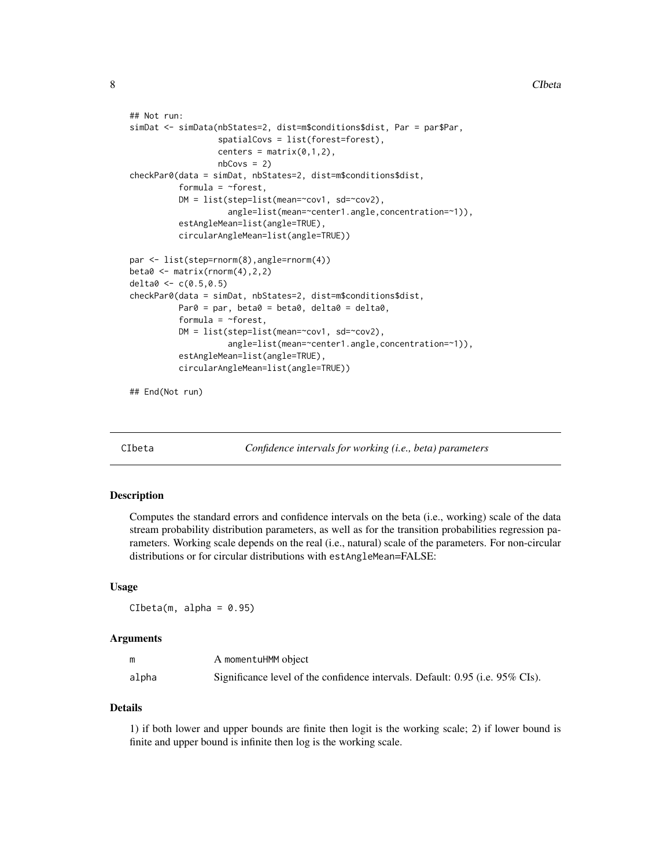```
## Not run:
simDat <- simData(nbStates=2, dist=m$conditions$dist, Par = par$Par,
                  spatialCovs = list(forest=forest),
                  centers = matrix(0,1,2),
                  nbCovs = 2)checkPar0(data = simDat, nbStates=2, dist=m$conditions$dist,
          formula = ~forest,
          DM = list(step=list(mean= "cov1, sd='cov2),angle=list(mean=~center1.angle,concentration=~1)),
          estAngleMean=list(angle=TRUE),
          circularAngleMean=list(angle=TRUE))
par <- list(step=rnorm(8),angle=rnorm(4))
beta0 \leq - matrix(rnorm(4), 2, 2)
delta0 <- c(0.5,0.5)
checkPar0(data = simDat, nbStates=2, dist=m$conditions$dist,
          Par0 = par, beta0 = beta0, delta0 = delta0,
          formula = ~forest,
          DM = list(step=list(mean=~cov1, sd=~cov2),
                    angle=list(mean=~center1.angle,concentration=~1)),
          estAngleMean=list(angle=TRUE),
          circularAngleMean=list(angle=TRUE))
```
## End(Not run)

CIbeta *Confidence intervals for working (i.e., beta) parameters*

#### Description

Computes the standard errors and confidence intervals on the beta (i.e., working) scale of the data stream probability distribution parameters, as well as for the transition probabilities regression parameters. Working scale depends on the real (i.e., natural) scale of the parameters. For non-circular distributions or for circular distributions with estAngleMean=FALSE:

#### Usage

 $Cibeta(m, alpha = 0.95)$ 

#### Arguments

|       | A momentuHMM object                                                           |
|-------|-------------------------------------------------------------------------------|
| alpha | Significance level of the confidence intervals. Default: 0.95 (i.e. 95% CIs). |

#### Details

1) if both lower and upper bounds are finite then logit is the working scale; 2) if lower bound is finite and upper bound is infinite then log is the working scale.

<span id="page-7-0"></span>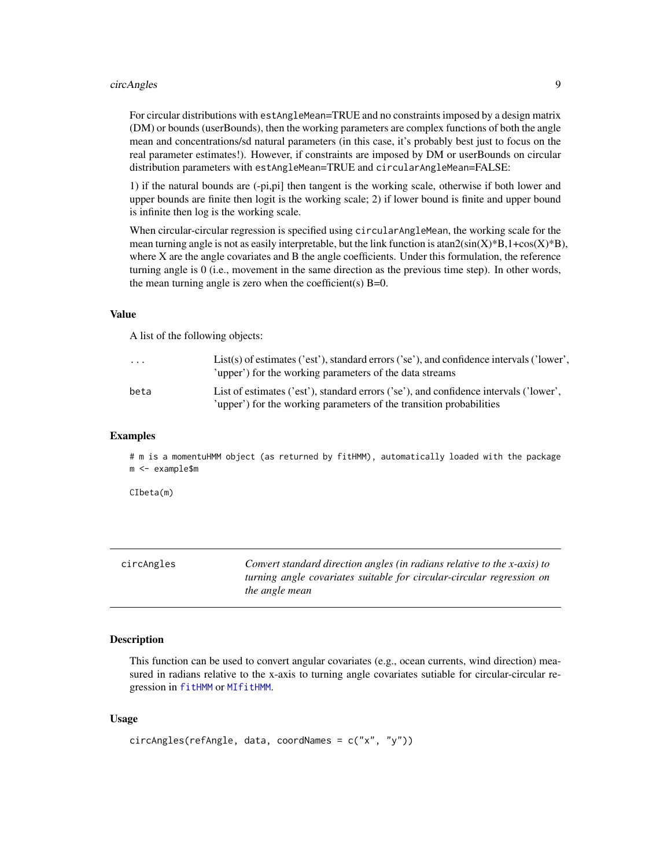#### <span id="page-8-0"></span>circAngles 9

For circular distributions with estAngleMean=TRUE and no constraints imposed by a design matrix (DM) or bounds (userBounds), then the working parameters are complex functions of both the angle mean and concentrations/sd natural parameters (in this case, it's probably best just to focus on the real parameter estimates!). However, if constraints are imposed by DM or userBounds on circular distribution parameters with estAngleMean=TRUE and circularAngleMean=FALSE:

1) if the natural bounds are (-pi,pi] then tangent is the working scale, otherwise if both lower and upper bounds are finite then logit is the working scale; 2) if lower bound is finite and upper bound is infinite then log is the working scale.

When circular-circular regression is specified using circular AngleMean, the working scale for the mean turning angle is not as easily interpretable, but the link function is  $\text{atan2}(\text{sin}(X)^*B, 1+\cos(X)^*B)$ , where X are the angle covariates and B the angle coefficients. Under this formulation, the reference turning angle is 0 (i.e., movement in the same direction as the previous time step). In other words, the mean turning angle is zero when the coefficient(s)  $B=0$ .

#### Value

A list of the following objects:

| $\cdots$ | List(s) of estimates ('est'), standard errors ('se'), and confidence intervals ('lower',<br>'upper') for the working parameters of the data streams          |
|----------|--------------------------------------------------------------------------------------------------------------------------------------------------------------|
| beta     | List of estimates ('est'), standard errors ('se'), and confidence intervals ('lower',<br>'upper') for the working parameters of the transition probabilities |

#### Examples

# m is a momentuHMM object (as returned by fitHMM), automatically loaded with the package m <- example\$m

CIbeta(m)

<span id="page-8-1"></span>

| circAngles | Convert standard direction angles (in radians relative to the x-axis) to |
|------------|--------------------------------------------------------------------------|
|            | turning angle covariates suitable for circular-circular regression on    |
|            | <i>the angle mean</i>                                                    |

#### Description

This function can be used to convert angular covariates (e.g., ocean currents, wind direction) measured in radians relative to the x-axis to turning angle covariates sutiable for circular-circular regression in [fitHMM](#page-24-1) or [MIfitHMM](#page-48-1).

#### Usage

```
circAngles(refAngle, data, coordNames = c("x", "y"))
```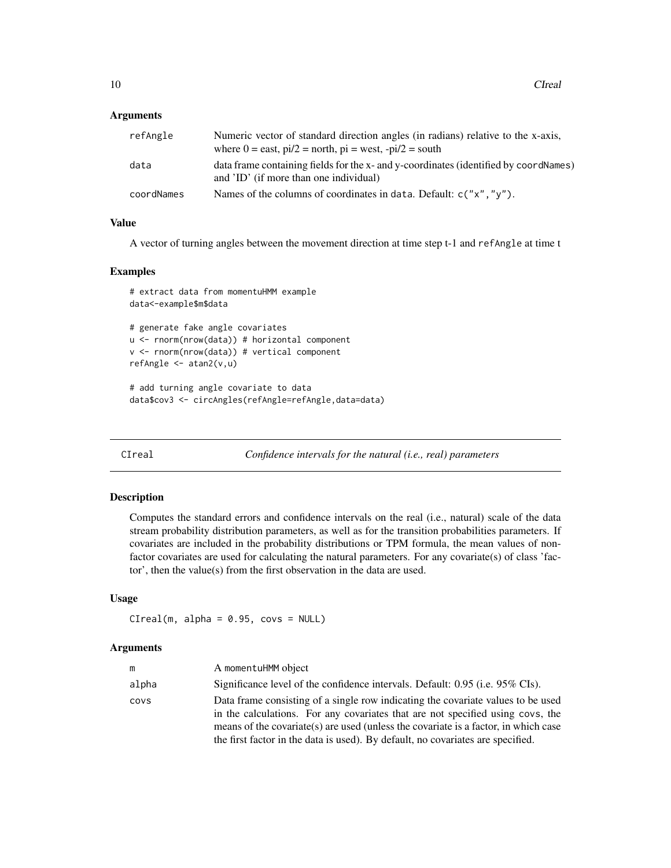#### <span id="page-9-0"></span>**Arguments**

| refAngle   | Numeric vector of standard direction angles (in radians) relative to the x-axis,<br>where $0 =$ east, $pi/2 =$ north, $pi =$ west, $-pi/2 =$ south |
|------------|----------------------------------------------------------------------------------------------------------------------------------------------------|
| data       | data frame containing fields for the x- and y-coordinates (identified by coordNames)<br>and 'ID' (if more than one individual)                     |
| coordNames | Names of the columns of coordinates in data. Default: $c("x", "y").$                                                                               |

# Value

A vector of turning angles between the movement direction at time step t-1 and refAngle at time t

#### Examples

```
# extract data from momentuHMM example
data<-example$m$data
# generate fake angle covariates
u <- rnorm(nrow(data)) # horizontal component
v <- rnorm(nrow(data)) # vertical component
refAngle \leq atan2(v, u)
```

```
# add turning angle covariate to data
data$cov3 <- circAngles(refAngle=refAngle,data=data)
```
CIreal *Confidence intervals for the natural (i.e., real) parameters*

#### Description

Computes the standard errors and confidence intervals on the real (i.e., natural) scale of the data stream probability distribution parameters, as well as for the transition probabilities parameters. If covariates are included in the probability distributions or TPM formula, the mean values of nonfactor covariates are used for calculating the natural parameters. For any covariate(s) of class 'factor', then the value(s) from the first observation in the data are used.

#### Usage

```
C_Ireal(m, alpha = 0.95, covs = NULL)
```

| m     | A momentuHMM object                                                                                                                                                     |
|-------|-------------------------------------------------------------------------------------------------------------------------------------------------------------------------|
| alpha | Significance level of the confidence intervals. Default: 0.95 (i.e. 95% CIs).                                                                                           |
| covs  | Data frame consisting of a single row indicating the covariate values to be used<br>in the calculations. For any covariates that are not specified using covs, the      |
|       | means of the covariate (s) are used (unless the covariate is a factor, in which case<br>the first factor in the data is used). By default, no covariates are specified. |
|       |                                                                                                                                                                         |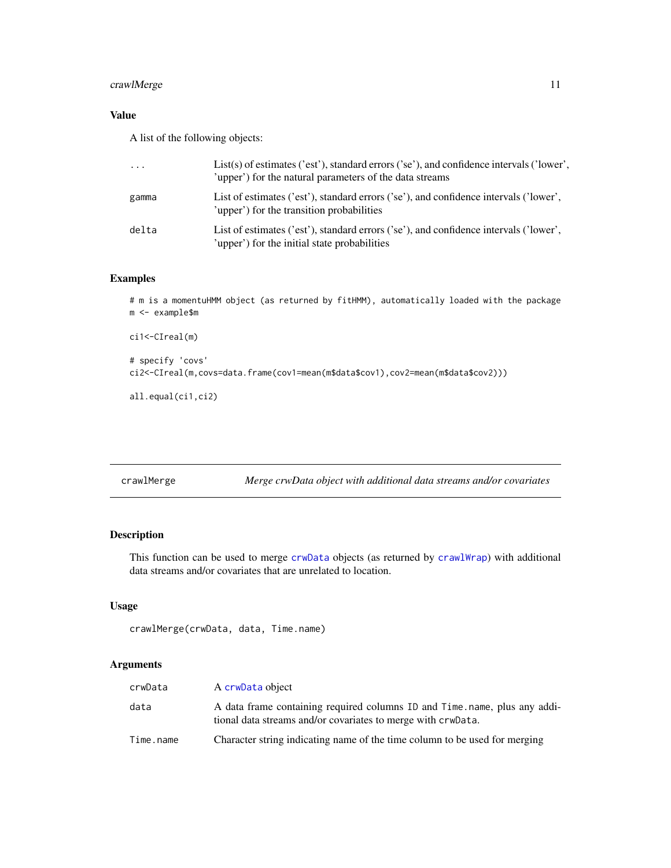# <span id="page-10-0"></span>crawlMerge 11

# Value

A list of the following objects:

| $\cdot \cdot \cdot$ | $List(s)$ of estimates ('est'), standard errors ('se'), and confidence intervals ('lower',<br>'upper') for the natural parameters of the data streams |
|---------------------|-------------------------------------------------------------------------------------------------------------------------------------------------------|
| gamma               | List of estimates ('est'), standard errors ('se'), and confidence intervals ('lower',<br>'upper') for the transition probabilities                    |
| delta               | List of estimates ('est'), standard errors ('se'), and confidence intervals ('lower',<br>'upper') for the initial state probabilities                 |

# Examples

# m is a momentuHMM object (as returned by fitHMM), automatically loaded with the package m <- example\$m

```
ci1<-CIreal(m)
# specify 'covs'
ci2<-CIreal(m,covs=data.frame(cov1=mean(m$data$cov1),cov2=mean(m$data$cov2)))
```
all.equal(ci1,ci2)

crawlMerge *Merge crwData object with additional data streams and/or covariates*

## Description

This function can be used to merge [crwData](#page-15-1) objects (as returned by [crawlWrap](#page-11-1)) with additional data streams and/or covariates that are unrelated to location.

## Usage

```
crawlMerge(crwData, data, Time.name)
```

| crwData   | A crwData object                                                                                                                           |
|-----------|--------------------------------------------------------------------------------------------------------------------------------------------|
| data      | A data frame containing required columns ID and Time, name, plus any addi-<br>tional data streams and/or covariates to merge with crwData. |
| Time.name | Character string indicating name of the time column to be used for merging                                                                 |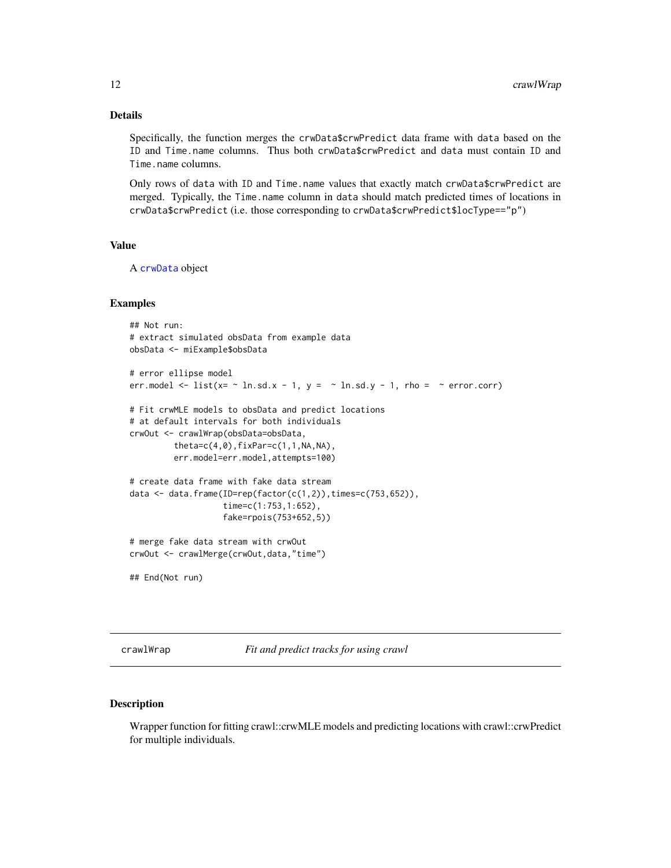## <span id="page-11-0"></span>Details

Specifically, the function merges the crwData\$crwPredict data frame with data based on the ID and Time.name columns. Thus both crwData\$crwPredict and data must contain ID and Time.name columns.

Only rows of data with ID and Time.name values that exactly match crwData\$crwPredict are merged. Typically, the Time.name column in data should match predicted times of locations in crwData\$crwPredict (i.e. those corresponding to crwData\$crwPredict\$locType=="p")

#### Value

A [crwData](#page-15-1) object

#### Examples

```
## Not run:
# extract simulated obsData from example data
obsData <- miExample$obsData
# error ellipse model
err.model <- list(x= \sim ln.sd.x - 1, y = \sim ln.sd.y - 1, rho = \sim error.corr)
# Fit crwMLE models to obsData and predict locations
# at default intervals for both individuals
crwOut <- crawlWrap(obsData=obsData,
         theta=c(4,0),fixPar=c(1,1,NA,NA),err.model=err.model,attempts=100)
# create data frame with fake data stream
data \leq data.frame(ID=rep(factor(c(1,2)),times=c(753,652)),
                   time=c(1:753,1:652),
                   fake=rpois(753+652,5))
# merge fake data stream with crwOut
crwOut <- crawlMerge(crwOut,data,"time")
## End(Not run)
```
<span id="page-11-1"></span>crawlWrap *Fit and predict tracks for using crawl*

## Description

Wrapper function for fitting crawl::crwMLE models and predicting locations with crawl::crwPredict for multiple individuals.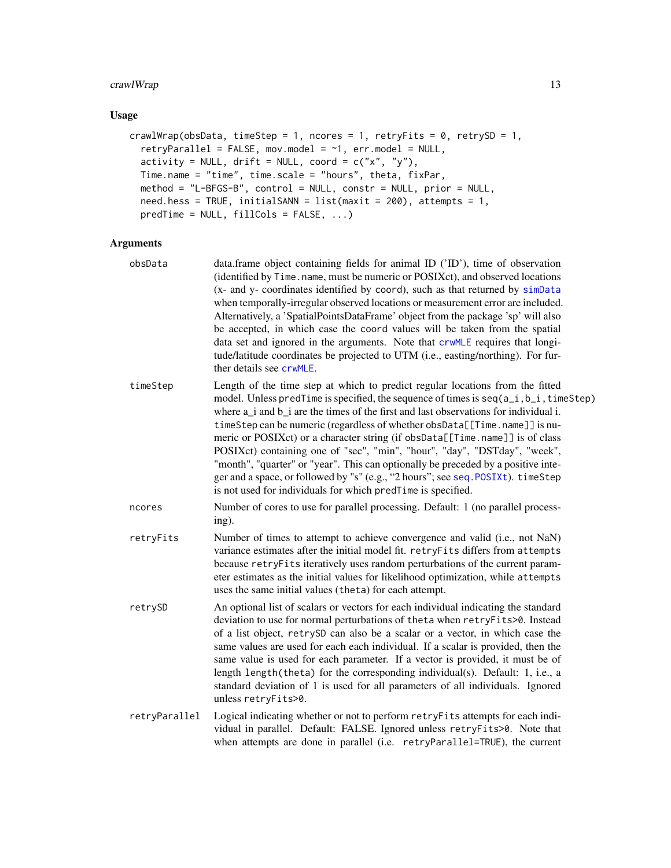# crawlWrap 13

## Usage

```
crawlWrap(obsData, timeStep = 1, ncores = 1, retryFits = 0, retrySD = 1,
 retryParallel = FALSE, mov.model = \sim1, err.model = NULL,
  activity = NULL, drift = NULL, coord = c("x", "y"),
 Time.name = "time", time.scale = "hours", theta, fixPar,
 method = "L-BFGS-B", control = NULL, constr = NULL, prior = NULL,
 need.hess = TRUE, initialSANN = list(maxit = 200), attempts = 1,
 predTime = NULL, fillCols = FALSE, ...)
```

| obsData       | data.frame object containing fields for animal ID ('ID'), time of observation<br>(identified by Time. name, must be numeric or POSIXct), and observed locations<br>(x- and y- coordinates identified by coord), such as that returned by simData<br>when temporally-irregular observed locations or measurement error are included.<br>Alternatively, a 'SpatialPointsDataFrame' object from the package 'sp' will also<br>be accepted, in which case the coord values will be taken from the spatial<br>data set and ignored in the arguments. Note that crwMLE requires that longi-<br>tude/latitude coordinates be projected to UTM (i.e., easting/northing). For fur-<br>ther details see crwMLE.                                                         |
|---------------|---------------------------------------------------------------------------------------------------------------------------------------------------------------------------------------------------------------------------------------------------------------------------------------------------------------------------------------------------------------------------------------------------------------------------------------------------------------------------------------------------------------------------------------------------------------------------------------------------------------------------------------------------------------------------------------------------------------------------------------------------------------|
| timeStep      | Length of the time step at which to predict regular locations from the fitted<br>model. Unless predTime is specified, the sequence of times is seq(a_i,b_i,timeStep)<br>where a <sub>_</sub> i and b_i are the times of the first and last observations for individual i.<br>timeStep can be numeric (regardless of whether obsData[[Time.name]] is nu-<br>meric or POSIXct) or a character string (if obsData[[Time.name]] is of class<br>POSIXct) containing one of "sec", "min", "hour", "day", "DSTday", "week",<br>"month", "quarter" or "year". This can optionally be preceded by a positive inte-<br>ger and a space, or followed by "s" (e.g., "2 hours"; see seq. POSIXt). timeStep<br>is not used for individuals for which predTime is specified. |
| ncores        | Number of cores to use for parallel processing. Default: 1 (no parallel process-<br>ing).                                                                                                                                                                                                                                                                                                                                                                                                                                                                                                                                                                                                                                                                     |
| retryFits     | Number of times to attempt to achieve convergence and valid (i.e., not NaN)<br>variance estimates after the initial model fit. retryFits differs from attempts<br>because retryFits iteratively uses random perturbations of the current param-<br>eter estimates as the initial values for likelihood optimization, while attempts<br>uses the same initial values (theta) for each attempt.                                                                                                                                                                                                                                                                                                                                                                 |
| retrySD       | An optional list of scalars or vectors for each individual indicating the standard<br>deviation to use for normal perturbations of theta when retryFits>0. Instead<br>of a list object, retrySD can also be a scalar or a vector, in which case the<br>same values are used for each each individual. If a scalar is provided, then the<br>same value is used for each parameter. If a vector is provided, it must be of<br>length length (theta) for the corresponding individual(s). Default: 1, i.e., a<br>standard deviation of 1 is used for all parameters of all individuals. Ignored<br>unless retryFits>0.                                                                                                                                           |
| retryParallel | Logical indicating whether or not to perform retryFits attempts for each indi-<br>vidual in parallel. Default: FALSE. Ignored unless retryFits>0. Note that<br>when attempts are done in parallel (i.e. retryParallel=TRUE), the current                                                                                                                                                                                                                                                                                                                                                                                                                                                                                                                      |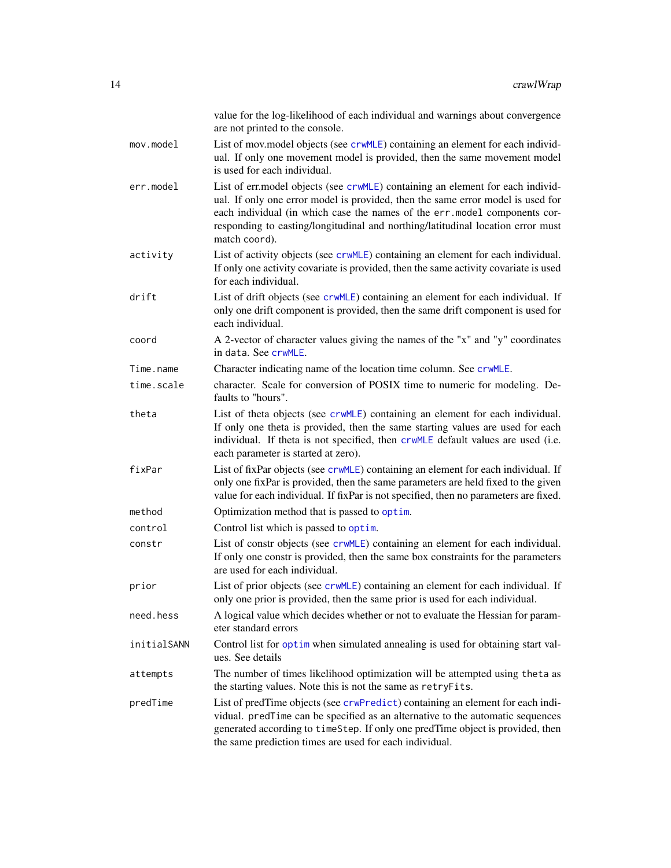|             | value for the log-likelihood of each individual and warnings about convergence<br>are not printed to the console.                                                                                                                                                                                                                                  |
|-------------|----------------------------------------------------------------------------------------------------------------------------------------------------------------------------------------------------------------------------------------------------------------------------------------------------------------------------------------------------|
| mov.model   | List of mov.model objects (see crwMLE) containing an element for each individ-<br>ual. If only one movement model is provided, then the same movement model<br>is used for each individual.                                                                                                                                                        |
| err.model   | List of err.model objects (see crwMLE) containing an element for each individ-<br>ual. If only one error model is provided, then the same error model is used for<br>each individual (in which case the names of the err.model components cor-<br>responding to easting/longitudinal and northing/latitudinal location error must<br>match coord). |
| activity    | List of activity objects (see crwMLE) containing an element for each individual.<br>If only one activity covariate is provided, then the same activity covariate is used<br>for each individual.                                                                                                                                                   |
| drift       | List of drift objects (see crwMLE) containing an element for each individual. If<br>only one drift component is provided, then the same drift component is used for<br>each individual.                                                                                                                                                            |
| coord       | A 2-vector of character values giving the names of the "x" and "y" coordinates<br>in data. See crwMLE.                                                                                                                                                                                                                                             |
| Time.name   | Character indicating name of the location time column. See crwMLE.                                                                                                                                                                                                                                                                                 |
| time.scale  | character. Scale for conversion of POSIX time to numeric for modeling. De-<br>faults to "hours".                                                                                                                                                                                                                                                   |
| theta       | List of theta objects (see crwMLE) containing an element for each individual.<br>If only one theta is provided, then the same starting values are used for each<br>individual. If theta is not specified, then crwMLE default values are used (i.e.<br>each parameter is started at zero).                                                         |
| fixPar      | List of fixPar objects (see crwMLE) containing an element for each individual. If<br>only one fixPar is provided, then the same parameters are held fixed to the given<br>value for each individual. If fixPar is not specified, then no parameters are fixed.                                                                                     |
| method      | Optimization method that is passed to optim.                                                                                                                                                                                                                                                                                                       |
| control     | Control list which is passed to optim.                                                                                                                                                                                                                                                                                                             |
| constr      | List of constr objects (see crwMLE) containing an element for each individual.<br>If only one constr is provided, then the same box constraints for the parameters<br>are used for each individual.                                                                                                                                                |
| prior       | List of prior objects (see crwMLE) containing an element for each individual. If<br>only one prior is provided, then the same prior is used for each individual.                                                                                                                                                                                   |
| need.hess   | A logical value which decides whether or not to evaluate the Hessian for param-<br>eter standard errors                                                                                                                                                                                                                                            |
| initialSANN | Control list for optim when simulated annealing is used for obtaining start val-<br>ues. See details                                                                                                                                                                                                                                               |
| attempts    | The number of times likelihood optimization will be attempted using theta as<br>the starting values. Note this is not the same as retryFits.                                                                                                                                                                                                       |
| predTime    | List of predTime objects (see crwPredict) containing an element for each indi-<br>vidual. predTime can be specified as an alternative to the automatic sequences<br>generated according to timeStep. If only one predTime object is provided, then<br>the same prediction times are used for each individual.                                      |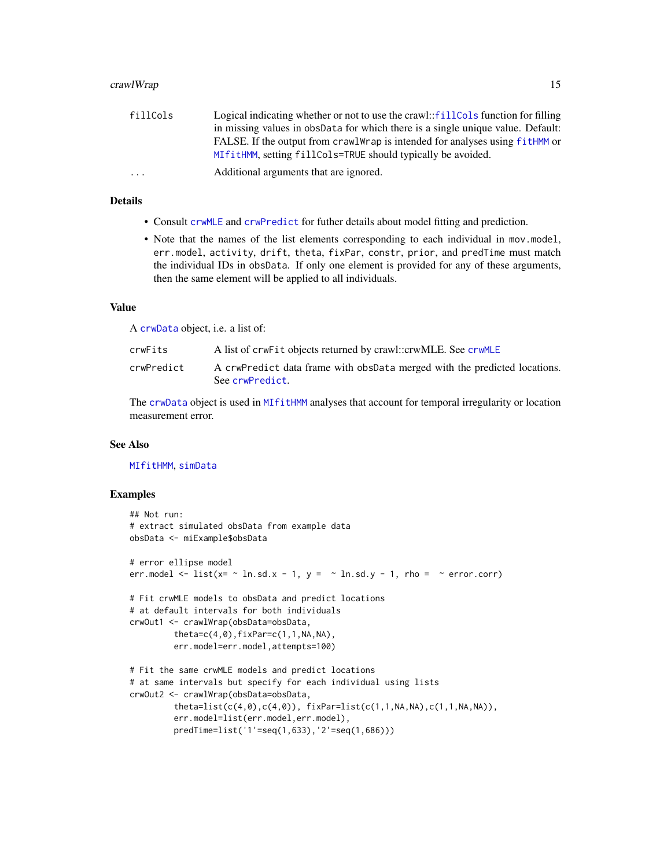#### crawlWrap 2015 2016 2017 2022 2023 2024 2022 2023 2024 2022 2023 2024 2022 2023 2024 2022 2023 2024 2022 2023 20

| fillCols                | Logical indicating whether or not to use the crawl::fillCols function for filling |
|-------------------------|-----------------------------------------------------------------------------------|
|                         | in missing values in obspata for which there is a single unique value. Default:   |
|                         | FALSE. If the output from crawlWrap is intended for analyses using fitHMM or      |
|                         | MIfitHMM, setting fillCols=TRUE should typically be avoided.                      |
| $\cdot$ $\cdot$ $\cdot$ | Additional arguments that are ignored.                                            |

## Details

- Consult [crwMLE](#page-0-0) and [crwPredict](#page-0-0) for futher details about model fitting and prediction.
- Note that the names of the list elements corresponding to each individual in mov.model, err.model, activity, drift, theta, fixPar, constr, prior, and predTime must match the individual IDs in obsData. If only one element is provided for any of these arguments, then the same element will be applied to all individuals.

#### Value

A [crwData](#page-15-1) object, i.e. a list of:

| crwFits    | A list of crwFit objects returned by crawl::crwMLE. See crwMLE                               |
|------------|----------------------------------------------------------------------------------------------|
| crwPredict | A crwPredict data frame with obspata merged with the predicted locations.<br>See crwPredict. |

The [crwData](#page-15-1) object is used in [MIfitHMM](#page-48-1) analyses that account for temporal irregularity or location measurement error.

#### See Also

#### [MIfitHMM](#page-48-1), [simData](#page-83-1)

#### Examples

```
## Not run:
# extract simulated obsData from example data
obsData <- miExample$obsData
# error ellipse model
err.model \le list(x= \sim ln.sd.x - 1, y = \sim ln.sd.y - 1, rho = \sim error.corr)
# Fit crwMLE models to obsData and predict locations
# at default intervals for both individuals
crwOut1 <- crawlWrap(obsData=obsData,
         theta=c(4,0),fixPar=c(1,1,NA,NA),
         err.model=err.model,attempts=100)
# Fit the same crwMLE models and predict locations
# at same intervals but specify for each individual using lists
crwOut2 <- crawlWrap(obsData=obsData,
         theta=list(c(4,0),c(4,0)), fixPar=list(c(1,1,NA,NA),c(1,1,NA,NA)),
         err.model=list(err.model,err.model),
         predTime=list('1'=seq(1,633),'2'=seq(1,686)))
```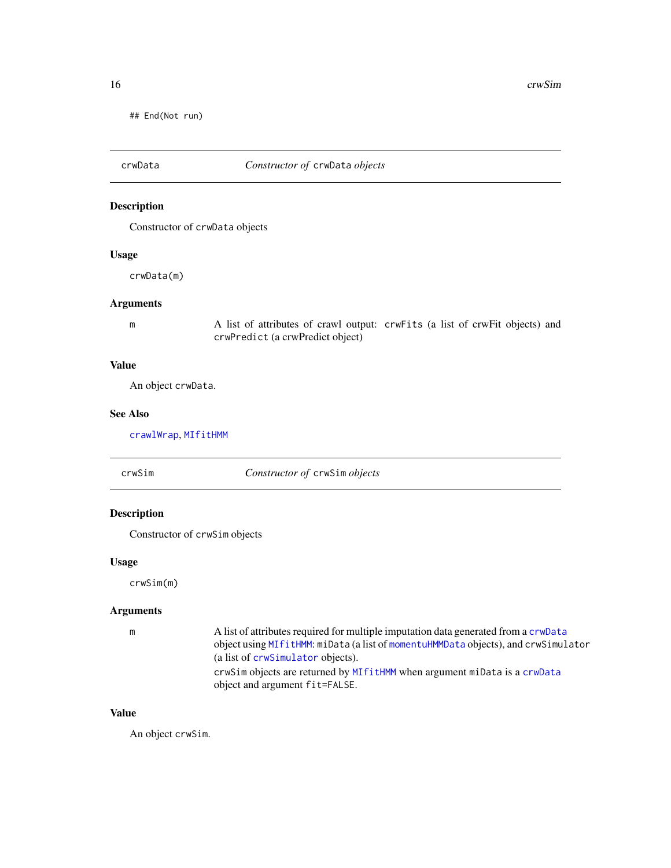<span id="page-15-0"></span>## End(Not run)

<span id="page-15-1"></span>

# Description

Constructor of crwData objects

# Usage

crwData(m)

# Arguments

m A list of attributes of crawl output: crwFits (a list of crwFit objects) and crwPredict (a crwPredict object)

## Value

An object crwData.

#### See Also

[crawlWrap](#page-11-1), [MIfitHMM](#page-48-1)

crwSim *Constructor of* crwSim *objects*

# Description

Constructor of crwSim objects

# Usage

crwSim(m)

# Arguments

| m | A list of attributes required for multiple imputation data generated from a crwData |
|---|-------------------------------------------------------------------------------------|
|   | object using MIfitHMM: miData (a list of momentuHMMData objects), and crwSimulator  |
|   | (a list of crwSimulator objects).                                                   |
|   | crwSim objects are returned by MIfitHMM when argument miData is a crwData           |
|   | object and argument fit=FALSE.                                                      |

# Value

An object crwSim.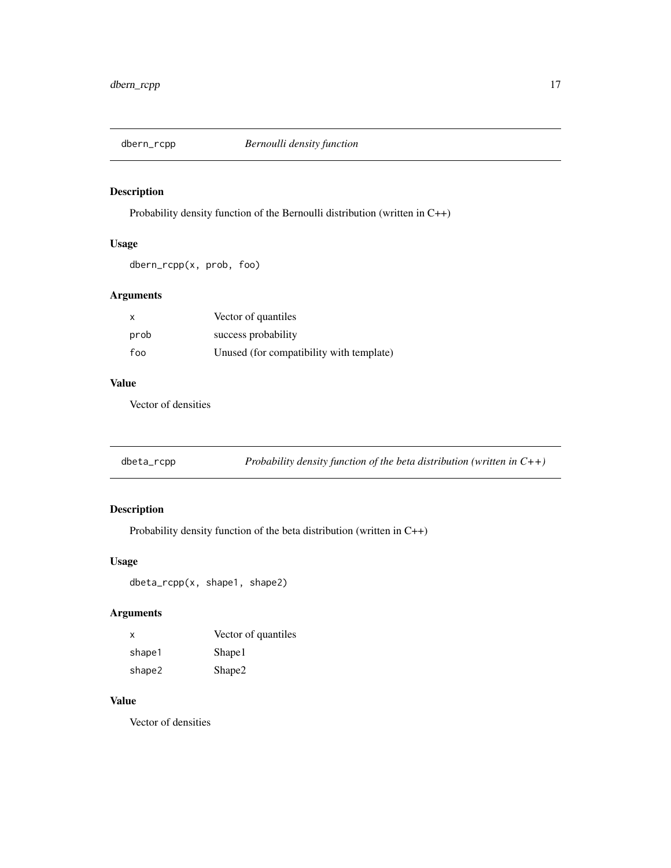<span id="page-16-0"></span>

# Description

Probability density function of the Bernoulli distribution (written in C++)

# Usage

dbern\_rcpp(x, prob, foo)

# Arguments

| $\mathsf{x}$ | Vector of quantiles                      |
|--------------|------------------------------------------|
| prob         | success probability                      |
| foo          | Unused (for compatibility with template) |

# Value

Vector of densities

| dbeta_rcpp | Probability density function of the beta distribution (written in $C++$ ) |  |
|------------|---------------------------------------------------------------------------|--|
|------------|---------------------------------------------------------------------------|--|

# Description

Probability density function of the beta distribution (written in C++)

# Usage

dbeta\_rcpp(x, shape1, shape2)

# Arguments

| X      | Vector of quantiles |
|--------|---------------------|
| shape1 | Shape1              |
| shape2 | Shape2              |

# Value

Vector of densities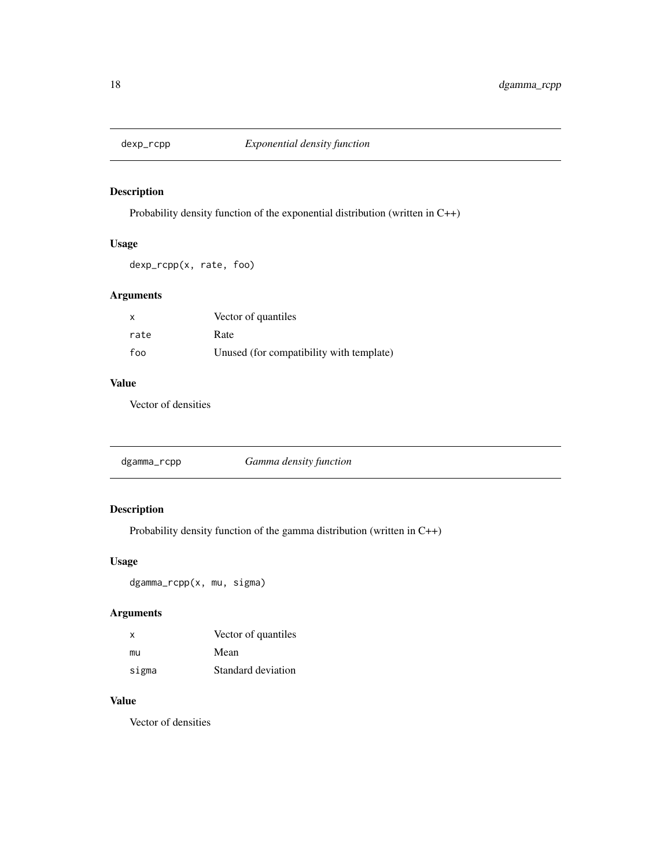<span id="page-17-0"></span>

# Description

Probability density function of the exponential distribution (written in C++)

# Usage

dexp\_rcpp(x, rate, foo)

# Arguments

| $\mathsf{x}$ | Vector of quantiles                      |
|--------------|------------------------------------------|
| rate         | Rate                                     |
| foo          | Unused (for compatibility with template) |

# Value

Vector of densities

|  | dgamma_rcpp |  |
|--|-------------|--|
|--|-------------|--|

# Description

Probability density function of the gamma distribution (written in C++)

# Usage

dgamma\_rcpp(x, mu, sigma)

# Arguments

| X     | Vector of quantiles |
|-------|---------------------|
| mu    | Mean                |
| sigma | Standard deviation  |

# Value

Vector of densities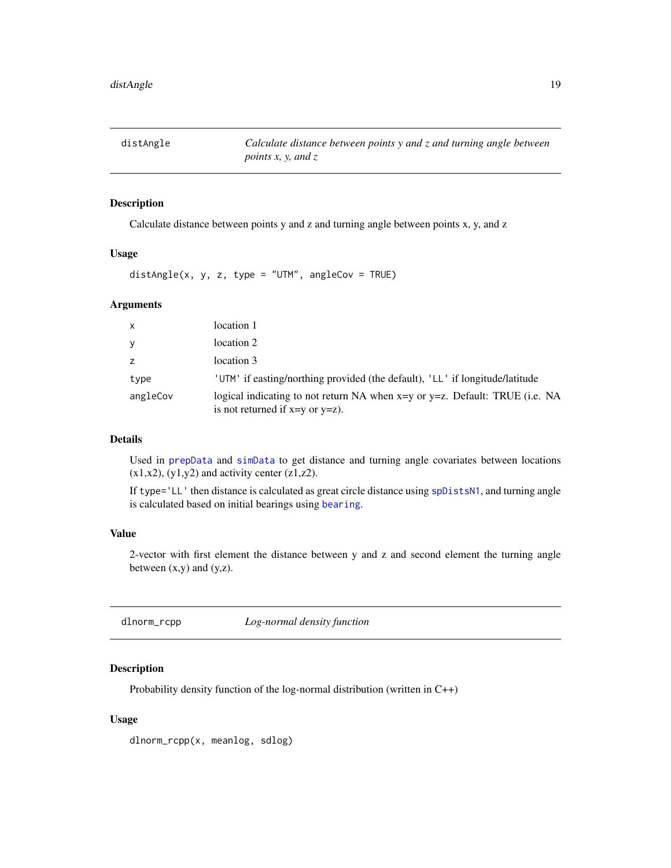<span id="page-18-0"></span>distAngle *Calculate distance between points y and z and turning angle between points x, y, and z*

# Description

Calculate distance between points y and z and turning angle between points x, y, and z

#### Usage

distAngle(x, y, z, type = "UTM", angleCov = TRUE)

#### Arguments

| X        | location 1                                                                                                          |
|----------|---------------------------------------------------------------------------------------------------------------------|
| y        | location 2                                                                                                          |
| z        | location 3                                                                                                          |
| type     | 'UTM' if easting/northing provided (the default), 'LL' if longitude/latitude                                        |
| angleCov | logical indicating to not return NA when x=y or y=z. Default: TRUE (i.e. NA<br>is not returned if $x=y$ or $y=z$ ). |

# Details

Used in [prepData](#page-76-1) and [simData](#page-83-1) to get distance and turning angle covariates between locations  $(x1,x2)$ ,  $(y1,y2)$  and activity center  $(z1,z2)$ .

If type='LL' then distance is calculated as great circle distance using [spDistsN1](#page-0-0), and turning angle is calculated based on initial bearings using [bearing](#page-0-0).

### Value

2-vector with first element the distance between y and z and second element the turning angle between  $(x,y)$  and  $(y,z)$ .

dlnorm\_rcpp *Log-normal density function*

# Description

Probability density function of the log-normal distribution (written in C++)

#### Usage

dlnorm\_rcpp(x, meanlog, sdlog)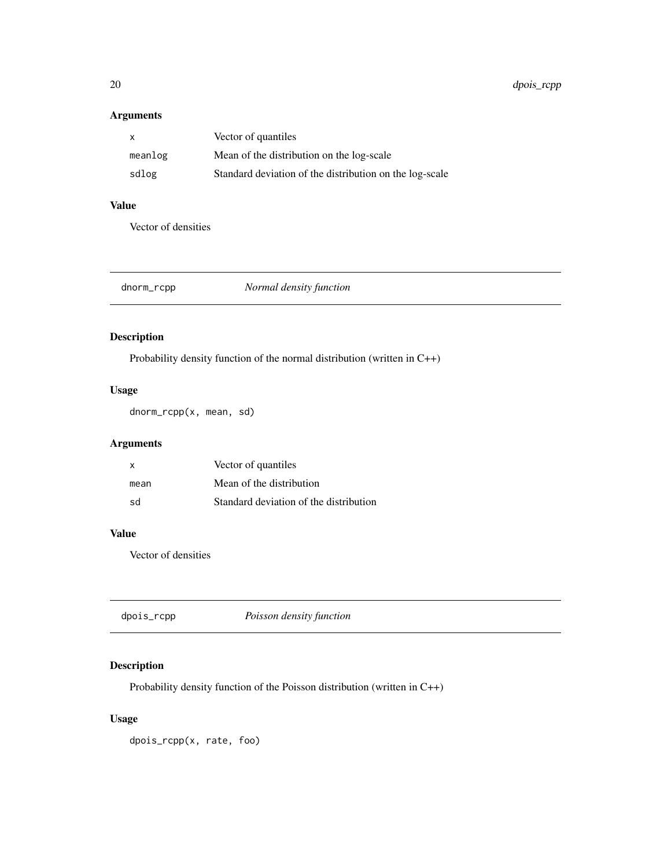# <span id="page-19-0"></span>Arguments

| х       | Vector of quantiles                                     |
|---------|---------------------------------------------------------|
| meanlog | Mean of the distribution on the log-scale               |
| sdlog   | Standard deviation of the distribution on the log-scale |

# Value

Vector of densities

| dnorm_rcpp | Normal density function |
|------------|-------------------------|
|            |                         |

# Description

Probability density function of the normal distribution (written in C++)

# Usage

dnorm\_rcpp(x, mean, sd)

# Arguments

| X    | Vector of quantiles                    |
|------|----------------------------------------|
| mean | Mean of the distribution               |
| sd   | Standard deviation of the distribution |

# Value

Vector of densities

| Poisson density function<br>dpois_rcpp |
|----------------------------------------|
|----------------------------------------|

# Description

Probability density function of the Poisson distribution (written in C++)

# Usage

dpois\_rcpp(x, rate, foo)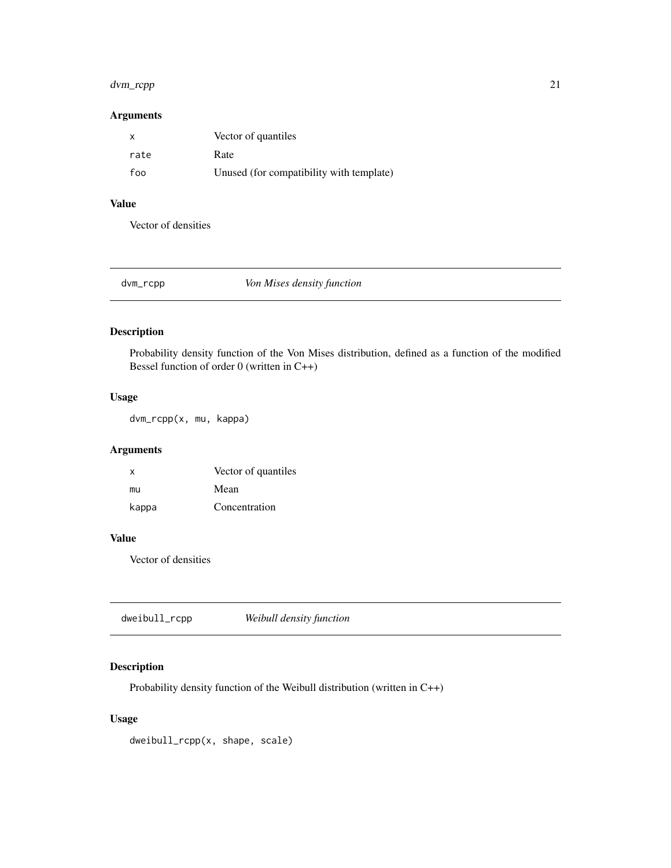# <span id="page-20-0"></span>dvm\_rcpp 21

# Arguments

| x    | Vector of quantiles                      |
|------|------------------------------------------|
| rate | Rate                                     |
| foo  | Unused (for compatibility with template) |

# Value

Vector of densities

dvm\_rcpp *Von Mises density function*

# Description

Probability density function of the Von Mises distribution, defined as a function of the modified Bessel function of order 0 (written in C++)

# Usage

dvm\_rcpp(x, mu, kappa)

# Arguments

| x     | Vector of quantiles |
|-------|---------------------|
| mu    | Mean                |
| kappa | Concentration       |

# Value

Vector of densities

| dweibull_rcpp | Weibull density function |  |
|---------------|--------------------------|--|
|---------------|--------------------------|--|

# Description

Probability density function of the Weibull distribution (written in C++)

## Usage

dweibull\_rcpp(x, shape, scale)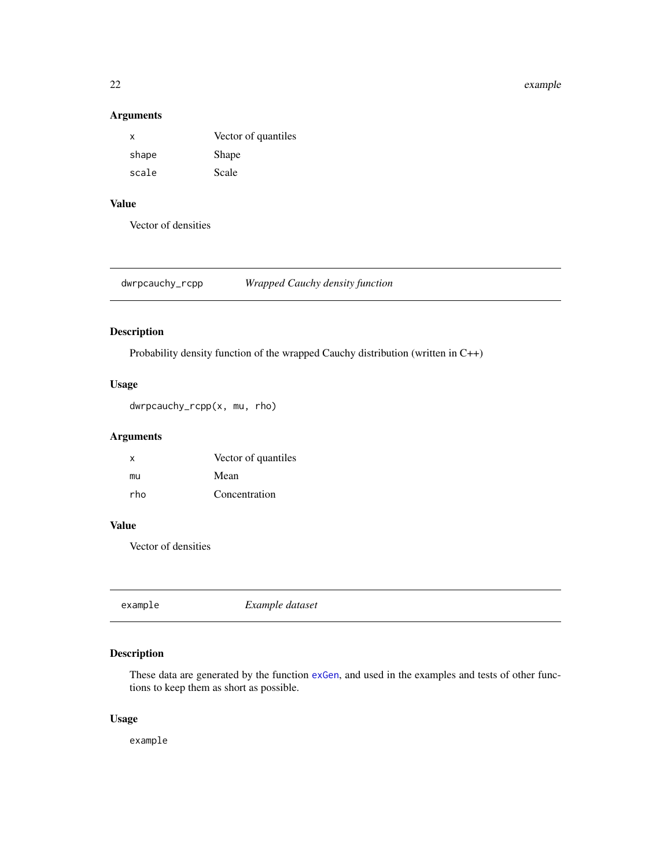#### <span id="page-21-0"></span>22 example

#### Arguments

| x     | Vector of quantiles |
|-------|---------------------|
| shape | Shape               |
| scale | Scale               |

# Value

Vector of densities

dwrpcauchy\_rcpp *Wrapped Cauchy density function*

# Description

Probability density function of the wrapped Cauchy distribution (written in C++)

#### Usage

dwrpcauchy\_rcpp(x, mu, rho)

# Arguments

| x   | Vector of quantiles |
|-----|---------------------|
| mu  | Mean                |
| rho | Concentration       |

# Value

Vector of densities

example *Example dataset*

# Description

These data are generated by the function [exGen](#page-22-1), and used in the examples and tests of other functions to keep them as short as possible.

## Usage

example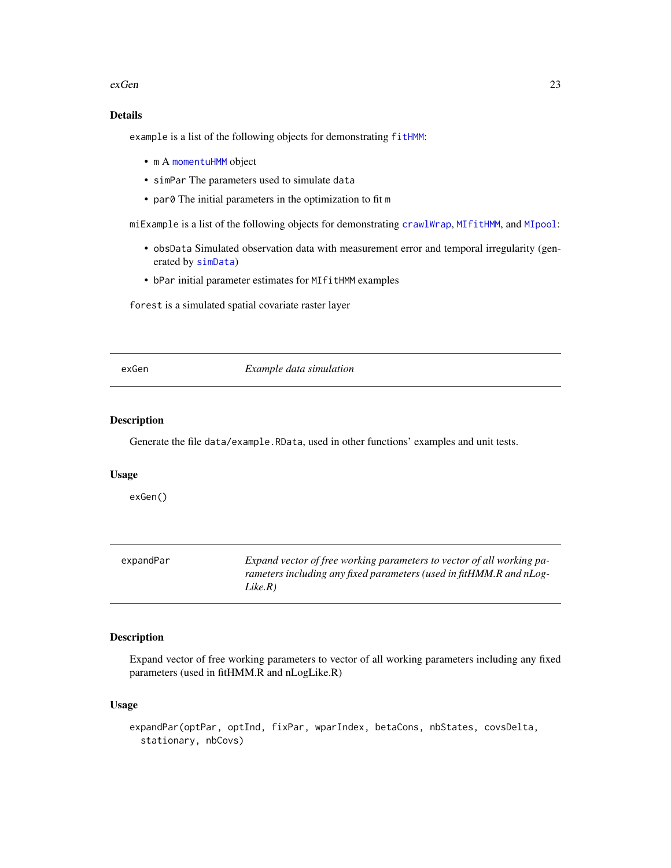#### <span id="page-22-0"></span>exGen 23

# Details

example is a list of the following objects for demonstrating [fitHMM](#page-24-1):

- m A [momentuHMM](#page-56-1) object
- simPar The parameters used to simulate data
- par0 The initial parameters in the optimization to fit m

miExample is a list of the following objects for demonstrating [crawlWrap](#page-11-1), [MIfitHMM](#page-48-1), and [MIpool](#page-54-1):

- obsData Simulated observation data with measurement error and temporal irregularity (generated by [simData](#page-83-1))
- bPar initial parameter estimates for MIfitHMM examples

forest is a simulated spatial covariate raster layer

<span id="page-22-1"></span>exGen *Example data simulation*

#### Description

Generate the file data/example.RData, used in other functions' examples and unit tests.

#### Usage

exGen()

| expandPar | Expand vector of free working parameters to vector of all working pa- |
|-----------|-----------------------------------------------------------------------|
|           | rameters including any fixed parameters (used in fitHMM.R and nLog-   |
|           | Like.R)                                                               |

## Description

Expand vector of free working parameters to vector of all working parameters including any fixed parameters (used in fitHMM.R and nLogLike.R)

## Usage

```
expandPar(optPar, optInd, fixPar, wparIndex, betaCons, nbStates, covsDelta,
  stationary, nbCovs)
```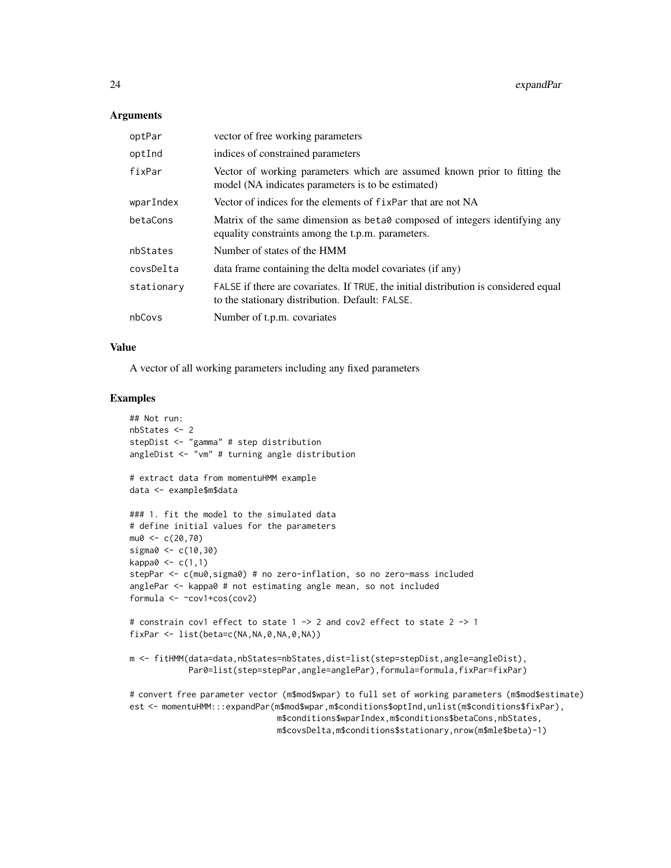#### **Arguments**

| optPar     | vector of free working parameters                                                                                                       |
|------------|-----------------------------------------------------------------------------------------------------------------------------------------|
| optInd     | indices of constrained parameters                                                                                                       |
| fixPar     | Vector of working parameters which are assumed known prior to fitting the<br>model (NA indicates parameters is to be estimated)         |
| wparIndex  | Vector of indices for the elements of fixPar that are not NA                                                                            |
| betaCons   | Matrix of the same dimension as beta0 composed of integers identifying any<br>equality constraints among the t.p.m. parameters.         |
| nbStates   | Number of states of the HMM                                                                                                             |
| covsDelta  | data frame containing the delta model covariates (if any)                                                                               |
| stationary | FALSE if there are covariates. If TRUE, the initial distribution is considered equal<br>to the stationary distribution. Default: FALSE. |
| nbCovs     | Number of t.p.m. covariates                                                                                                             |

#### Value

A vector of all working parameters including any fixed parameters

#### Examples

```
## Not run:
nbStates <- 2
stepDist <- "gamma" # step distribution
angleDist <- "vm" # turning angle distribution
# extract data from momentuHMM example
data <- example$m$data
### 1. fit the model to the simulated data
# define initial values for the parameters
mu0 < -c(20, 70)sigma0 <- c(10,30)
kappa0 < -c(1,1)stepPar <- c(mu0,sigma0) # no zero-inflation, so no zero-mass included
anglePar <- kappa0 # not estimating angle mean, so not included
formula <- ~cov1+cos(cov2)
# constrain cov1 effect to state 1 -> 2 and cov2 effect to state 2 -> 1
fixPar <- list(beta=c(NA,NA,0,NA,0,NA))
m <- fitHMM(data=data,nbStates=nbStates,dist=list(step=stepDist,angle=angleDist),
            Par0=list(step=stepPar,angle=anglePar),formula=formula,fixPar=fixPar)
# convert free parameter vector (m$mod$wpar) to full set of working parameters (m$mod$estimate)
est <- momentuHMM:::expandPar(m$mod$wpar,m$conditions$optInd,unlist(m$conditions$fixPar),
                              m$conditions$wparIndex,m$conditions$betaCons,nbStates,
```
m\$covsDelta,m\$conditions\$stationary,nrow(m\$mle\$beta)-1)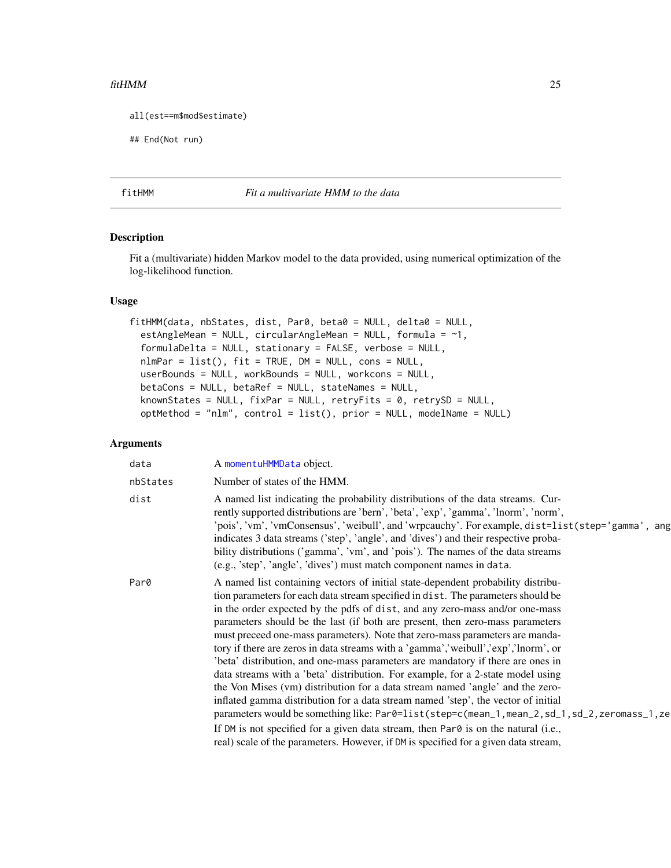#### <span id="page-24-0"></span> $fitHMM$  25

```
all(est==m$mod$estimate)
```
## End(Not run)

<span id="page-24-1"></span>

#### fitHMM *Fit a multivariate HMM to the data*

# Description

Fit a (multivariate) hidden Markov model to the data provided, using numerical optimization of the log-likelihood function.

## Usage

```
fitHMM(data, nbStates, dist, Par0, beta0 = NULL, delta0 = NULL,
 estAngleMean = NULL, circularAngleMean = NULL, formula = ~1,
 formulaDelta = NULL, stationary = FALSE, verbose = NULL,
 nlmPar = list(), fit = TRUE, DM = NULL, cons = NULL,
 userBounds = NULL, workBounds = NULL, workcons = NULL,
 betaCons = NULL, betaRef = NULL, stateNames = NULL,
 knownStates = NULL, fixPar = NULL, retryFits = 0, retrySD = NULL,
 optMethod = "nlm", control = list(), prior = NULL, modelName = NULL)
```

|          | A momentuHMMData object.                                                                                                                                                                                                                                                                                                                                                                                                                                                                                                                                                                                                                                                                                                                                                                                                                                                                                                                                                                                                                                                                                                           |
|----------|------------------------------------------------------------------------------------------------------------------------------------------------------------------------------------------------------------------------------------------------------------------------------------------------------------------------------------------------------------------------------------------------------------------------------------------------------------------------------------------------------------------------------------------------------------------------------------------------------------------------------------------------------------------------------------------------------------------------------------------------------------------------------------------------------------------------------------------------------------------------------------------------------------------------------------------------------------------------------------------------------------------------------------------------------------------------------------------------------------------------------------|
| nbStates | Number of states of the HMM.                                                                                                                                                                                                                                                                                                                                                                                                                                                                                                                                                                                                                                                                                                                                                                                                                                                                                                                                                                                                                                                                                                       |
| dist     | A named list indicating the probability distributions of the data streams. Cur-<br>rently supported distributions are 'bern', 'beta', 'exp', 'gamma', 'lnorm', 'norm',<br>'pois','vm','vmConsensus','weibull',and'wrpcauchy'. For example, dist=list(step='gamma', ang<br>indicates 3 data streams ('step', 'angle', and 'dives') and their respective proba-<br>bility distributions ('gamma', 'vm', and 'pois'). The names of the data streams<br>(e.g., 'step', 'angle', 'dives') must match component names in data.                                                                                                                                                                                                                                                                                                                                                                                                                                                                                                                                                                                                           |
| Par0     | A named list containing vectors of initial state-dependent probability distribu-<br>tion parameters for each data stream specified in dist. The parameters should be<br>in the order expected by the pdfs of dist, and any zero-mass and/or one-mass<br>parameters should be the last (if both are present, then zero-mass parameters<br>must preceed one-mass parameters). Note that zero-mass parameters are manda-<br>tory if there are zeros in data streams with a 'gamma','weibull','exp','lnorm', or<br>'beta' distribution, and one-mass parameters are mandatory if there are ones in<br>data streams with a 'beta' distribution. For example, for a 2-state model using<br>the Von Mises (vm) distribution for a data stream named 'angle' and the zero-<br>inflated gamma distribution for a data stream named 'step', the vector of initial<br>parameters would be something like: Par0=list(step=c(mean_1,mean_2,sd_1,sd_2,zeromass_1,ze<br>If DM is not specified for a given data stream, then Par0 is on the natural (i.e.,<br>real) scale of the parameters. However, if DM is specified for a given data stream, |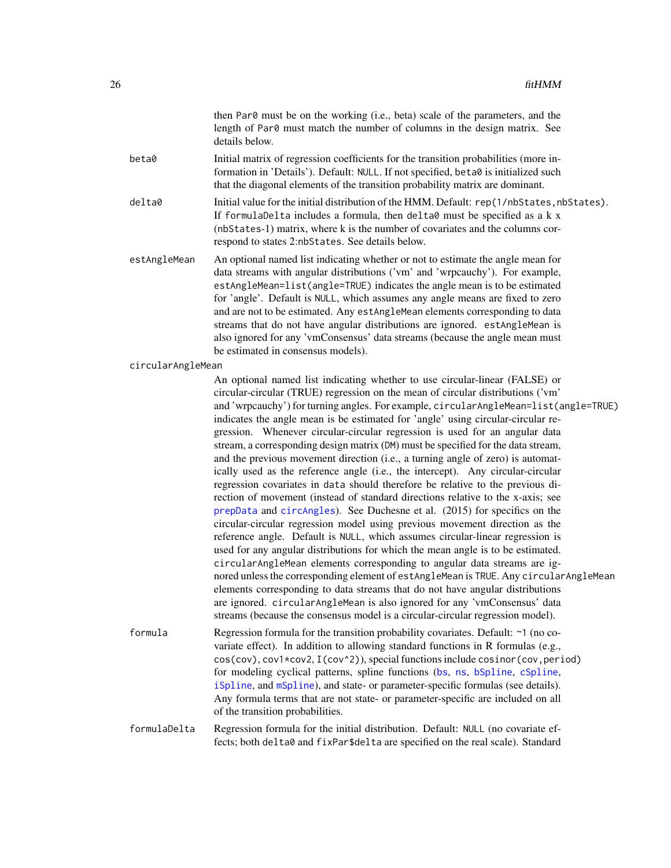|                   | then Par0 must be on the working (i.e., beta) scale of the parameters, and the<br>length of Par0 must match the number of columns in the design matrix. See<br>details below.                                                                                                                                                                                                                                                                                                                                                                                                                                                                                                                                                                                                                                                                                                                                                                                                                                                                                                                                                                                                                                                                                                                                                                                                                                                                                                                                                                                                                                   |
|-------------------|-----------------------------------------------------------------------------------------------------------------------------------------------------------------------------------------------------------------------------------------------------------------------------------------------------------------------------------------------------------------------------------------------------------------------------------------------------------------------------------------------------------------------------------------------------------------------------------------------------------------------------------------------------------------------------------------------------------------------------------------------------------------------------------------------------------------------------------------------------------------------------------------------------------------------------------------------------------------------------------------------------------------------------------------------------------------------------------------------------------------------------------------------------------------------------------------------------------------------------------------------------------------------------------------------------------------------------------------------------------------------------------------------------------------------------------------------------------------------------------------------------------------------------------------------------------------------------------------------------------------|
| beta0             | Initial matrix of regression coefficients for the transition probabilities (more in-<br>formation in 'Details'). Default: NULL. If not specified, beta0 is initialized such<br>that the diagonal elements of the transition probability matrix are dominant.                                                                                                                                                                                                                                                                                                                                                                                                                                                                                                                                                                                                                                                                                                                                                                                                                                                                                                                                                                                                                                                                                                                                                                                                                                                                                                                                                    |
| delta0            | Initial value for the initial distribution of the HMM. Default: rep(1/nbStates, nbStates).<br>If formulaDelta includes a formula, then delta0 must be specified as a k x<br>(nbStates-1) matrix, where k is the number of covariates and the columns cor-<br>respond to states 2:nbStates. See details below.                                                                                                                                                                                                                                                                                                                                                                                                                                                                                                                                                                                                                                                                                                                                                                                                                                                                                                                                                                                                                                                                                                                                                                                                                                                                                                   |
| estAngleMean      | An optional named list indicating whether or not to estimate the angle mean for<br>data streams with angular distributions ('vm' and 'wrpcauchy'). For example,<br>estAngleMean=list(angle=TRUE) indicates the angle mean is to be estimated<br>for 'angle'. Default is NULL, which assumes any angle means are fixed to zero<br>and are not to be estimated. Any estAngleMean elements corresponding to data<br>streams that do not have angular distributions are ignored. estAngleMean is<br>also ignored for any 'vmConsensus' data streams (because the angle mean must<br>be estimated in consensus models).                                                                                                                                                                                                                                                                                                                                                                                                                                                                                                                                                                                                                                                                                                                                                                                                                                                                                                                                                                                              |
| circularAngleMean |                                                                                                                                                                                                                                                                                                                                                                                                                                                                                                                                                                                                                                                                                                                                                                                                                                                                                                                                                                                                                                                                                                                                                                                                                                                                                                                                                                                                                                                                                                                                                                                                                 |
|                   | An optional named list indicating whether to use circular-linear (FALSE) or<br>circular-circular (TRUE) regression on the mean of circular distributions ('vm'<br>and 'wrpcauchy') for turning angles. For example, circular AngleMean=list(angle=TRUE)<br>indicates the angle mean is be estimated for 'angle' using circular-circular re-<br>gression. Whenever circular-circular regression is used for an angular data<br>stream, a corresponding design matrix (DM) must be specified for the data stream,<br>and the previous movement direction (i.e., a turning angle of zero) is automat-<br>ically used as the reference angle (i.e., the intercept). Any circular-circular<br>regression covariates in data should therefore be relative to the previous di-<br>rection of movement (instead of standard directions relative to the x-axis; see<br>prepData and circAngles). See Duchesne et al. (2015) for specifics on the<br>circular-circular regression model using previous movement direction as the<br>reference angle. Default is NULL, which assumes circular-linear regression is<br>used for any angular distributions for which the mean angle is to be estimated.<br>circularAngleMean elements corresponding to angular data streams are ig-<br>nored unless the corresponding element of estAngleMean is TRUE. Any circularAngleMean<br>elements corresponding to data streams that do not have angular distributions<br>are ignored. circularAngleMean is also ignored for any 'vmConsensus' data<br>streams (because the consensus model is a circular-circular regression model). |
| formula           | Regression formula for the transition probability covariates. Default: ~1 (no co-<br>variate effect). In addition to allowing standard functions in R formulas (e.g.,<br>cos(cov), cov1*cov2, I(cov^2)), special functions include cosinor(cov, period)<br>for modeling cyclical patterns, spline functions (bs, ns, bSpline, cSpline,<br>iSpline, and mSpline), and state- or parameter-specific formulas (see details).<br>Any formula terms that are not state- or parameter-specific are included on all<br>of the transition probabilities.                                                                                                                                                                                                                                                                                                                                                                                                                                                                                                                                                                                                                                                                                                                                                                                                                                                                                                                                                                                                                                                                |
| formulaDelta      | Regression formula for the initial distribution. Default: NULL (no covariate ef-                                                                                                                                                                                                                                                                                                                                                                                                                                                                                                                                                                                                                                                                                                                                                                                                                                                                                                                                                                                                                                                                                                                                                                                                                                                                                                                                                                                                                                                                                                                                |

formulaDelta Regression formula for the initial distribution. Default: NULL (no covariate effects; both delta0 and fixPar\$delta are specified on the real scale). Standard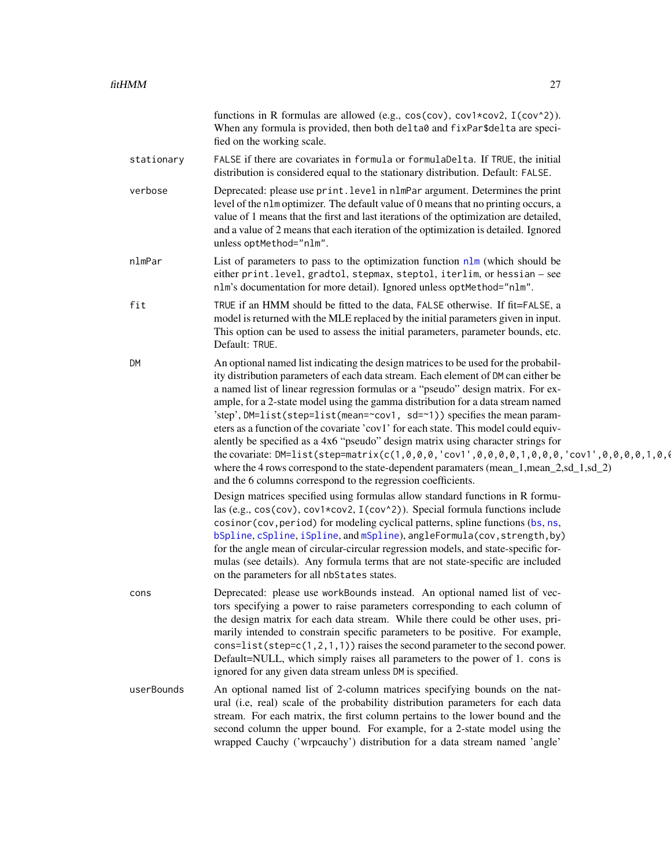|            | functions in R formulas are allowed (e.g., cos(cov), cov1*cov2, I(cov^2)).<br>When any formula is provided, then both delta0 and fixPar\$delta are speci-<br>fied on the working scale.                                                                                                                                                                                                                                                                                                                                                                                                                                                                                                                                                                                                                                                                                                                                                                                                                                                                                                                                                                                                                                                                                                                                                                                                                                 |
|------------|-------------------------------------------------------------------------------------------------------------------------------------------------------------------------------------------------------------------------------------------------------------------------------------------------------------------------------------------------------------------------------------------------------------------------------------------------------------------------------------------------------------------------------------------------------------------------------------------------------------------------------------------------------------------------------------------------------------------------------------------------------------------------------------------------------------------------------------------------------------------------------------------------------------------------------------------------------------------------------------------------------------------------------------------------------------------------------------------------------------------------------------------------------------------------------------------------------------------------------------------------------------------------------------------------------------------------------------------------------------------------------------------------------------------------|
| stationary | FALSE if there are covariates in formula or formulaDelta. If TRUE, the initial<br>distribution is considered equal to the stationary distribution. Default: FALSE.                                                                                                                                                                                                                                                                                                                                                                                                                                                                                                                                                                                                                                                                                                                                                                                                                                                                                                                                                                                                                                                                                                                                                                                                                                                      |
| verbose    | Deprecated: please use print. level in nlmPar argument. Determines the print<br>level of the nlm optimizer. The default value of 0 means that no printing occurs, a<br>value of 1 means that the first and last iterations of the optimization are detailed,<br>and a value of 2 means that each iteration of the optimization is detailed. Ignored<br>unless optMethod="nlm".                                                                                                                                                                                                                                                                                                                                                                                                                                                                                                                                                                                                                                                                                                                                                                                                                                                                                                                                                                                                                                          |
| nlmPar     | List of parameters to pass to the optimization function $n \ln w$ (which should be<br>either print. level, gradtol, stepmax, steptol, iterlim, or hessian - see<br>nlm's documentation for more detail). Ignored unless optMethod="nlm".                                                                                                                                                                                                                                                                                                                                                                                                                                                                                                                                                                                                                                                                                                                                                                                                                                                                                                                                                                                                                                                                                                                                                                                |
| fit        | TRUE if an HMM should be fitted to the data, FALSE otherwise. If fit=FALSE, a<br>model is returned with the MLE replaced by the initial parameters given in input.<br>This option can be used to assess the initial parameters, parameter bounds, etc.<br>Default: TRUE.                                                                                                                                                                                                                                                                                                                                                                                                                                                                                                                                                                                                                                                                                                                                                                                                                                                                                                                                                                                                                                                                                                                                                |
| DM         | An optional named list indicating the design matrices to be used for the probabil-<br>ity distribution parameters of each data stream. Each element of DM can either be<br>a named list of linear regression formulas or a "pseudo" design matrix. For ex-<br>ample, for a 2-state model using the gamma distribution for a data stream named<br>'step', DM=list(step=list(mean=~cov1, sd=~1)) specifies the mean param-<br>eters as a function of the covariate 'cov1' for each state. This model could equiv-<br>alently be specified as a 4x6 "pseudo" design matrix using character strings for<br>the covariate: DM=list(step=matrix(c(1,0,0,0,'cov1',0,0,0,1,0,0,0,'cov1',0,0,0,1,0,0,0,0,1,0,0<br>where the 4 rows correspond to the state-dependent paramaters (mean_1,mean_2,sd_1,sd_2)<br>and the 6 columns correspond to the regression coefficients.<br>Design matrices specified using formulas allow standard functions in R formu-<br>las (e.g., cos(cov), cov1*cov2, I(cov^2)). Special formula functions include<br>cosinor (cov, period) for modeling cyclical patterns, spline functions (bs, ns,<br>bSpline, cSpline, iSpline, and mSpline), angleFormula(cov, strength, by)<br>for the angle mean of circular-circular regression models, and state-specific for-<br>mulas (see details). Any formula terms that are not state-specific are included<br>on the parameters for all nbStates states. |
| cons       | Deprecated: please use workBounds instead. An optional named list of vec-<br>tors specifying a power to raise parameters corresponding to each column of<br>the design matrix for each data stream. While there could be other uses, pri-<br>marily intended to constrain specific parameters to be positive. For example,<br>cons=list(step= $c(1, 2, 1, 1)$ ) raises the second parameter to the second power.<br>Default=NULL, which simply raises all parameters to the power of 1. cons is<br>ignored for any given data stream unless DM is specified.                                                                                                                                                                                                                                                                                                                                                                                                                                                                                                                                                                                                                                                                                                                                                                                                                                                            |
| userBounds | An optional named list of 2-column matrices specifying bounds on the nat-<br>ural (i.e, real) scale of the probability distribution parameters for each data<br>stream. For each matrix, the first column pertains to the lower bound and the<br>second column the upper bound. For example, for a 2-state model using the<br>wrapped Cauchy ('wrpcauchy') distribution for a data stream named 'angle'                                                                                                                                                                                                                                                                                                                                                                                                                                                                                                                                                                                                                                                                                                                                                                                                                                                                                                                                                                                                                 |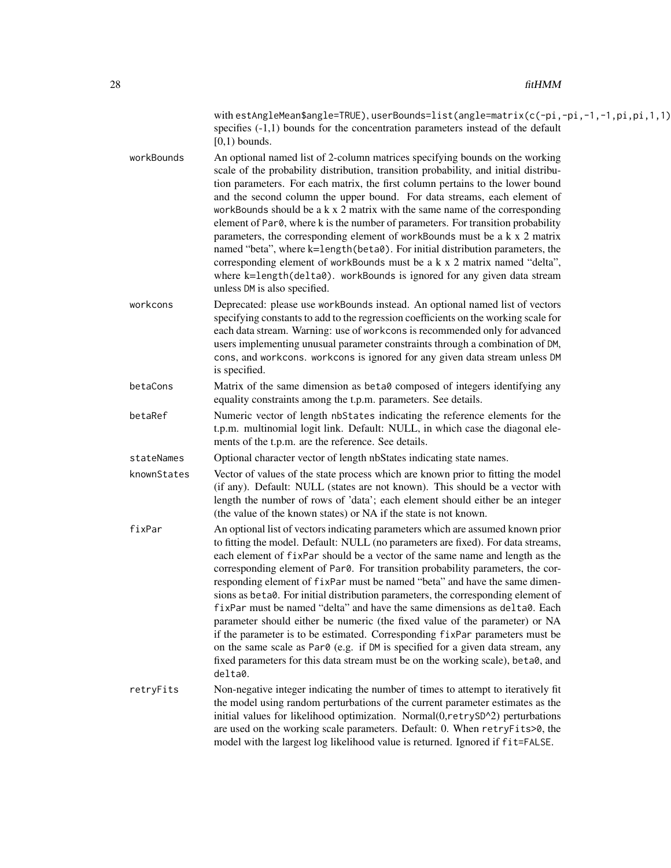| with estAngleMean\$angle=TRUE), userBounds=list(angle=matrix(c(-pi,-pi,-1,-1,pi,pi,1,1) |  |
|-----------------------------------------------------------------------------------------|--|
| specifies $(-1,1)$ bounds for the concentration parameters instead of the default       |  |
| $[0,1)$ bounds.                                                                         |  |

- workBounds An optional named list of 2-column matrices specifying bounds on the working scale of the probability distribution, transition probability, and initial distribution parameters. For each matrix, the first column pertains to the lower bound and the second column the upper bound. For data streams, each element of workBounds should be a k x 2 matrix with the same name of the corresponding element of Par0, where k is the number of parameters. For transition probability parameters, the corresponding element of workBounds must be a k x 2 matrix named "beta", where k=length(beta0). For initial distribution parameters, the corresponding element of workBounds must be a k x 2 matrix named "delta", where k=length(delta0). workBounds is ignored for any given data stream unless DM is also specified.
- workcons Deprecated: please use workBounds instead. An optional named list of vectors specifying constants to add to the regression coefficients on the working scale for each data stream. Warning: use of workcons is recommended only for advanced users implementing unusual parameter constraints through a combination of DM, cons, and workcons. workcons is ignored for any given data stream unless DM is specified.
- betaCons Matrix of the same dimension as beta0 composed of integers identifying any equality constraints among the t.p.m. parameters. See details.
- betaRef Numeric vector of length nbStates indicating the reference elements for the t.p.m. multinomial logit link. Default: NULL, in which case the diagonal elements of the t.p.m. are the reference. See details.
- stateNames Optional character vector of length nbStates indicating state names.
- knownStates Vector of values of the state process which are known prior to fitting the model (if any). Default: NULL (states are not known). This should be a vector with length the number of rows of 'data'; each element should either be an integer (the value of the known states) or NA if the state is not known.
- fixPar An optional list of vectors indicating parameters which are assumed known prior to fitting the model. Default: NULL (no parameters are fixed). For data streams, each element of fixPar should be a vector of the same name and length as the corresponding element of Par0. For transition probability parameters, the corresponding element of fixPar must be named "beta" and have the same dimensions as beta0. For initial distribution parameters, the corresponding element of fixPar must be named "delta" and have the same dimensions as delta0. Each parameter should either be numeric (the fixed value of the parameter) or NA if the parameter is to be estimated. Corresponding fixPar parameters must be on the same scale as Par $\theta$  (e.g. if DM is specified for a given data stream, any fixed parameters for this data stream must be on the working scale), beta0, and delta0.
- retryFits Non-negative integer indicating the number of times to attempt to iteratively fit the model using random perturbations of the current parameter estimates as the initial values for likelihood optimization. Normal(0,retrySD^2) perturbations are used on the working scale parameters. Default: 0. When retryFits>0, the model with the largest log likelihood value is returned. Ignored if fit=FALSE.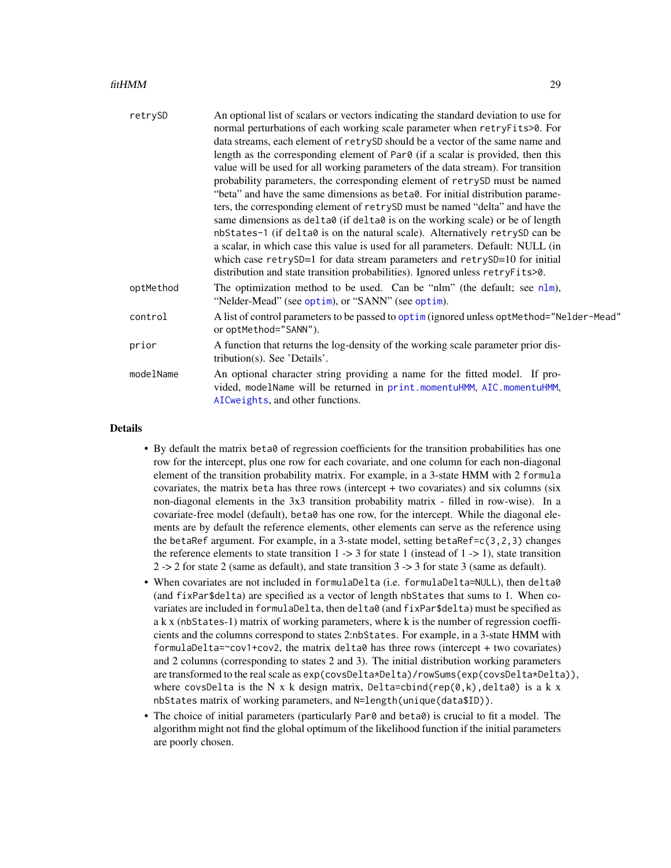#### fitHMM 29

| retrySD   | An optional list of scalars or vectors indicating the standard deviation to use for<br>normal perturbations of each working scale parameter when retryFits>0. For                         |  |
|-----------|-------------------------------------------------------------------------------------------------------------------------------------------------------------------------------------------|--|
|           | data streams, each element of retrySD should be a vector of the same name and                                                                                                             |  |
|           | length as the corresponding element of Par0 (if a scalar is provided, then this                                                                                                           |  |
|           | value will be used for all working parameters of the data stream). For transition                                                                                                         |  |
|           | probability parameters, the corresponding element of retrySD must be named                                                                                                                |  |
|           | "beta" and have the same dimensions as beta0. For initial distribution parame-                                                                                                            |  |
|           | ters, the corresponding element of retrySD must be named "delta" and have the                                                                                                             |  |
|           | same dimensions as delta0 (if delta0 is on the working scale) or be of length                                                                                                             |  |
|           | nbStates-1 (if delta0 is on the natural scale). Alternatively retrySD can be                                                                                                              |  |
|           | a scalar, in which case this value is used for all parameters. Default: NULL (in                                                                                                          |  |
|           | which case retrySD=1 for data stream parameters and retrySD=10 for initial                                                                                                                |  |
|           | distribution and state transition probabilities). Ignored unless retryFits>0.                                                                                                             |  |
| optMethod | The optimization method to be used. Can be "nlm" (the default; see $n \ln n$ ),<br>"Nelder-Mead" (see optim), or "SANN" (see optim).                                                      |  |
| control   | A list of control parameters to be passed to optim (ignored unless optMethod="Nelder-Mead"<br>or optMethod="SANN").                                                                       |  |
| prior     | A function that returns the log-density of the working scale parameter prior dis-<br>tribution(s). See 'Details'.                                                                         |  |
| modelName | An optional character string providing a name for the fitted model. If pro-<br>vided, modelName will be returned in print.momentuHMM, AIC.momentuHMM,<br>AICweights, and other functions. |  |
|           |                                                                                                                                                                                           |  |

## Details

- By default the matrix beta0 of regression coefficients for the transition probabilities has one row for the intercept, plus one row for each covariate, and one column for each non-diagonal element of the transition probability matrix. For example, in a 3-state HMM with 2 formula covariates, the matrix beta has three rows (intercept + two covariates) and six columns (six non-diagonal elements in the 3x3 transition probability matrix - filled in row-wise). In a covariate-free model (default), beta0 has one row, for the intercept. While the diagonal elements are by default the reference elements, other elements can serve as the reference using the betaRef argument. For example, in a 3-state model, setting betaRef=c(3,2,3) changes the reference elements to state transition  $1 \rightarrow 3$  for state 1 (instead of  $1 \rightarrow 1$ ), state transition 2 -> 2 for state 2 (same as default), and state transition 3 -> 3 for state 3 (same as default).
- When covariates are not included in formulaDelta (i.e. formulaDelta=NULL), then delta0 (and fixPar\$delta) are specified as a vector of length nbStates that sums to 1. When covariates are included in formulaDelta, then delta0 (and fixPar\$delta) must be specified as a k x (nbStates-1) matrix of working parameters, where k is the number of regression coefficients and the columns correspond to states 2:nbStates. For example, in a 3-state HMM with formulaDelta= $\sim$ cov1+cov2, the matrix delta $\theta$  has three rows (intercept + two covariates) and 2 columns (corresponding to states 2 and 3). The initial distribution working parameters are transformed to the real scale as  $exp(covsDelta*Delta)/rowSums(exp(covsDelta*Delta)).$ where covsDelta is the N x k design matrix, Delta=cbind(rep(0,k), delta0) is a k x nbStates matrix of working parameters, and N=length(unique(data\$ID)).
- The choice of initial parameters (particularly Par0 and beta0) is crucial to fit a model. The algorithm might not find the global optimum of the likelihood function if the initial parameters are poorly chosen.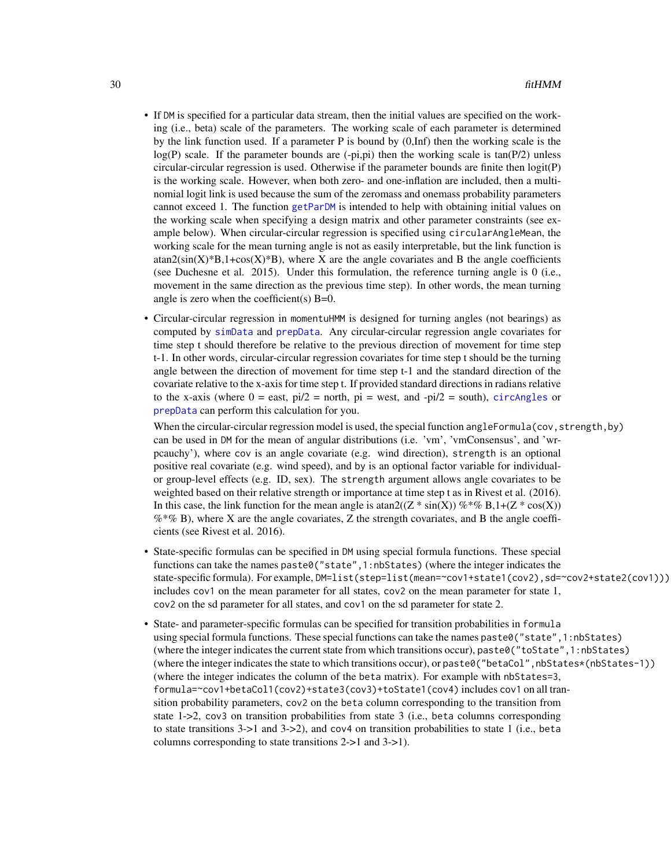- If DM is specified for a particular data stream, then the initial values are specified on the working (i.e., beta) scale of the parameters. The working scale of each parameter is determined by the link function used. If a parameter P is bound by  $(0, \text{Inf})$  then the working scale is the  $log(P)$  scale. If the parameter bounds are  $(-pi,pi)$  then the working scale is tan(P/2) unless circular-circular regression is used. Otherwise if the parameter bounds are finite then logit(P) is the working scale. However, when both zero- and one-inflation are included, then a multinomial logit link is used because the sum of the zeromass and onemass probability parameters cannot exceed 1. The function [getParDM](#page-40-1) is intended to help with obtaining initial values on the working scale when specifying a design matrix and other parameter constraints (see example below). When circular-circular regression is specified using circularAngleMean, the working scale for the mean turning angle is not as easily interpretable, but the link function is  $\text{atan2}(\text{sin}(X)^*B, 1+\cos(X)^*B)$ , where X are the angle covariates and B the angle coefficients (see Duchesne et al. 2015). Under this formulation, the reference turning angle is 0 (i.e., movement in the same direction as the previous time step). In other words, the mean turning angle is zero when the coefficient(s)  $B=0$ .
- Circular-circular regression in momentuHMM is designed for turning angles (not bearings) as computed by [simData](#page-83-1) and [prepData](#page-76-1). Any circular-circular regression angle covariates for time step t should therefore be relative to the previous direction of movement for time step t-1. In other words, circular-circular regression covariates for time step t should be the turning angle between the direction of movement for time step t-1 and the standard direction of the covariate relative to the x-axis for time step t. If provided standard directions in radians relative to the x-axis (where  $0 =$  east,  $pi/2 =$  north,  $pi =$  west, and - $pi/2 =$  south), [circAngles](#page-8-1) or [prepData](#page-76-1) can perform this calculation for you.

When the circular-circular regression model is used, the special function angleFormula(cov, strength, by) can be used in DM for the mean of angular distributions (i.e. 'vm', 'vmConsensus', and 'wrpcauchy'), where cov is an angle covariate (e.g. wind direction), strength is an optional positive real covariate (e.g. wind speed), and by is an optional factor variable for individualor group-level effects (e.g. ID, sex). The strength argument allows angle covariates to be weighted based on their relative strength or importance at time step t as in Rivest et al. (2016). In this case, the link function for the mean angle is  $\text{atan2}((Z \ast \text{sin}(X)) \% \ast \% B, 1 + (Z \ast \text{cos}(X)))$  $%$  % B), where X are the angle covariates, Z the strength covariates, and B the angle coefficients (see Rivest et al. 2016).

- State-specific formulas can be specified in DM using special formula functions. These special functions can take the names paste0("state",1:nbStates) (where the integer indicates the state-specific formula). For example, DM=list(step=list(mean=~cov1+state1(cov2), sd=~cov2+state2(cov1))) includes cov1 on the mean parameter for all states, cov2 on the mean parameter for state 1, cov2 on the sd parameter for all states, and cov1 on the sd parameter for state 2.
- State- and parameter-specific formulas can be specified for transition probabilities in formula using special formula functions. These special functions can take the names paste0("state",1:nbStates) (where the integer indicates the current state from which transitions occur), paste0("toState",1:nbStates) (where the integer indicates the state to which transitions occur), or paste0("betaCol",nbStates\*(nbStates-1)) (where the integer indicates the column of the beta matrix). For example with nbStates=3, formula=~cov1+betaCol1(cov2)+state3(cov3)+toState1(cov4) includes cov1 on all transition probability parameters, cov2 on the beta column corresponding to the transition from state 1->2, cov3 on transition probabilities from state 3 (i.e., beta columns corresponding to state transitions 3->1 and 3->2), and cov4 on transition probabilities to state 1 (i.e., beta columns corresponding to state transitions 2->1 and 3->1).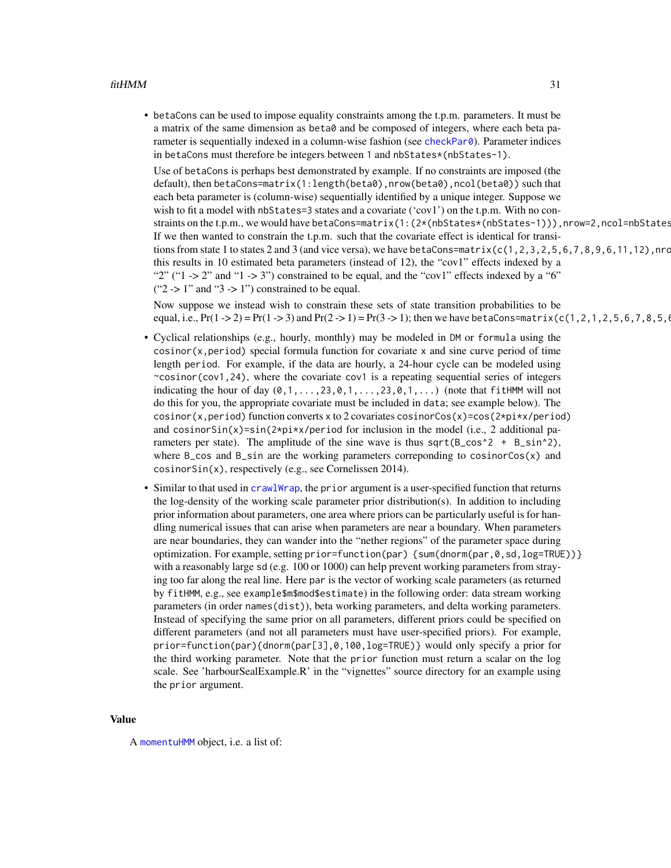• betaCons can be used to impose equality constraints among the t.p.m. parameters. It must be a matrix of the same dimension as beta0 and be composed of integers, where each beta parameter is sequentially indexed in a column-wise fashion (see [checkPar0](#page-5-1)). Parameter indices in betaCons must therefore be integers between 1 and nbStates\*(nbStates-1).

Use of betaCons is perhaps best demonstrated by example. If no constraints are imposed (the default), then betaCons=matrix(1:length(beta0),nrow(beta0),ncol(beta0)) such that each beta parameter is (column-wise) sequentially identified by a unique integer. Suppose we wish to fit a model with nbStates=3 states and a covariate ('cov1') on the t.p.m. With no constraints on the t.p.m., we would have betaCons=matrix(1:(2\*(nbStates\*(nbStates-1))),nrow=2,ncol=nbStates If we then wanted to constrain the t.p.m. such that the covariate effect is identical for transitions from state 1 to states 2 and 3 (and vice versa), we have betaCons=matrix( $c(1, 2, 3, 2, 5, 6, 7, 8, 9, 6, 11, 12)$ , nrc this results in 10 estimated beta parameters (instead of 12), the "cov1" effects indexed by a "2" ("1 -> 2" and "1 -> 3") constrained to be equal, and the "cov1" effects indexed by a "6" (" $2$  -> 1" and " $3$  -> 1") constrained to be equal.

Now suppose we instead wish to constrain these sets of state transition probabilities to be equal, i.e.,  $Pr(1 - > 2) = Pr(1 - > 3)$  and  $Pr(2 - > 1) = Pr(3 - > 1)$ ; then we have betaCons=matrix(c(1,2,1,2,5,6,7,8,5,1)

- Cyclical relationships (e.g., hourly, monthly) may be modeled in DM or formula using the  $cosinor(x,period)$  special formula function for covariate x and sine curve period of time length period. For example, if the data are hourly, a 24-hour cycle can be modeled using  $\sim$ cosinor(cov1,24), where the covariate cov1 is a repeating sequential series of integers indicating the hour of day  $(0,1,\ldots,23,0,1,\ldots,23,0,1,\ldots)$  (note that fitHMM will not do this for you, the appropriate covariate must be included in data; see example below). The cosinor(x,period) function converts x to 2 covariates cosinorCos(x)=cos(2\*pi\*x/period) and cosinorSin(x)=sin(2\*pi\*x/period for inclusion in the model (i.e., 2 additional parameters per state). The amplitude of the sine wave is thus sqrt( $B_{\text{c}}\cos^2$  +  $B_{\text{c}}\sin^2$ ), where B<sub>cos</sub> and B<sub>cian</sub> are the working parameters correponding to cosinorCos(x) and cosinorSin(x), respectively (e.g., see Cornelissen 2014).
- Similar to that used in [crawlWrap](#page-11-1), the prior argument is a user-specified function that returns the log-density of the working scale parameter prior distribution(s). In addition to including prior information about parameters, one area where priors can be particularly useful is for handling numerical issues that can arise when parameters are near a boundary. When parameters are near boundaries, they can wander into the "nether regions" of the parameter space during optimization. For example, setting prior=function(par) {sum(dnorm(par,0,sd,log=TRUE))} with a reasonably large sd (e.g. 100 or 1000) can help prevent working parameters from straying too far along the real line. Here par is the vector of working scale parameters (as returned by fitHMM, e.g., see example\$m\$mod\$estimate) in the following order: data stream working parameters (in order names(dist)), beta working parameters, and delta working parameters. Instead of specifying the same prior on all parameters, different priors could be specified on different parameters (and not all parameters must have user-specified priors). For example, prior=function(par){dnorm(par[3],0,100,log=TRUE)} would only specify a prior for the third working parameter. Note that the prior function must return a scalar on the log scale. See 'harbourSealExample.R' in the "vignettes" source directory for an example using the prior argument.

#### Value

A [momentuHMM](#page-56-1) object, i.e. a list of: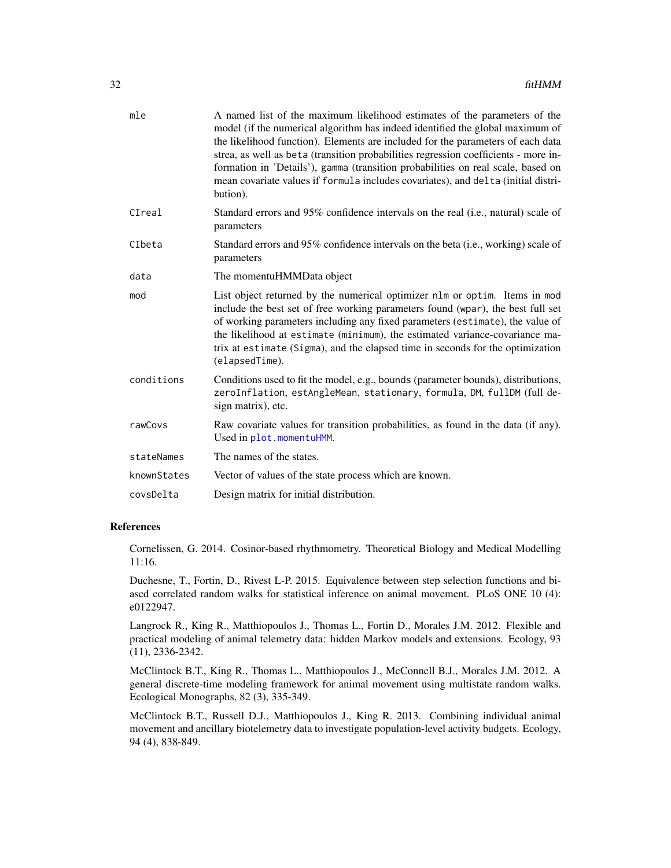| mle         | A named list of the maximum likelihood estimates of the parameters of the<br>model (if the numerical algorithm has indeed identified the global maximum of<br>the likelihood function). Elements are included for the parameters of each data<br>strea, as well as beta (transition probabilities regression coefficients - more in-<br>formation in 'Details'), gamma (transition probabilities on real scale, based on<br>mean covariate values if formula includes covariates), and delta (initial distri-<br>bution). |
|-------------|---------------------------------------------------------------------------------------------------------------------------------------------------------------------------------------------------------------------------------------------------------------------------------------------------------------------------------------------------------------------------------------------------------------------------------------------------------------------------------------------------------------------------|
| CIreal      | Standard errors and 95% confidence intervals on the real (i.e., natural) scale of<br>parameters                                                                                                                                                                                                                                                                                                                                                                                                                           |
| CIbeta      | Standard errors and 95% confidence intervals on the beta (i.e., working) scale of<br>parameters                                                                                                                                                                                                                                                                                                                                                                                                                           |
| data        | The momentuHMMData object                                                                                                                                                                                                                                                                                                                                                                                                                                                                                                 |
| mod         | List object returned by the numerical optimizer nlm or optim. Items in mod<br>include the best set of free working parameters found (wpar), the best full set<br>of working parameters including any fixed parameters (estimate), the value of<br>the likelihood at estimate (minimum), the estimated variance-covariance ma-<br>trix at estimate (Sigma), and the elapsed time in seconds for the optimization<br>(elapsedTime).                                                                                         |
| conditions  | Conditions used to fit the model, e.g., bounds (parameter bounds), distributions,<br>zeroInflation, estAngleMean, stationary, formula, DM, fullDM (full de-<br>sign matrix), etc.                                                                                                                                                                                                                                                                                                                                         |
| rawCovs     | Raw covariate values for transition probabilities, as found in the data (if any).<br>Used in plot.momentuHMM.                                                                                                                                                                                                                                                                                                                                                                                                             |
| stateNames  | The names of the states.                                                                                                                                                                                                                                                                                                                                                                                                                                                                                                  |
| knownStates | Vector of values of the state process which are known.                                                                                                                                                                                                                                                                                                                                                                                                                                                                    |
| covsDelta   | Design matrix for initial distribution.                                                                                                                                                                                                                                                                                                                                                                                                                                                                                   |
|             |                                                                                                                                                                                                                                                                                                                                                                                                                                                                                                                           |

## References

Cornelissen, G. 2014. Cosinor-based rhythmometry. Theoretical Biology and Medical Modelling 11:16.

Duchesne, T., Fortin, D., Rivest L-P. 2015. Equivalence between step selection functions and biased correlated random walks for statistical inference on animal movement. PLoS ONE 10 (4): e0122947.

Langrock R., King R., Matthiopoulos J., Thomas L., Fortin D., Morales J.M. 2012. Flexible and practical modeling of animal telemetry data: hidden Markov models and extensions. Ecology, 93 (11), 2336-2342.

McClintock B.T., King R., Thomas L., Matthiopoulos J., McConnell B.J., Morales J.M. 2012. A general discrete-time modeling framework for animal movement using multistate random walks. Ecological Monographs, 82 (3), 335-349.

McClintock B.T., Russell D.J., Matthiopoulos J., King R. 2013. Combining individual animal movement and ancillary biotelemetry data to investigate population-level activity budgets. Ecology, 94 (4), 838-849.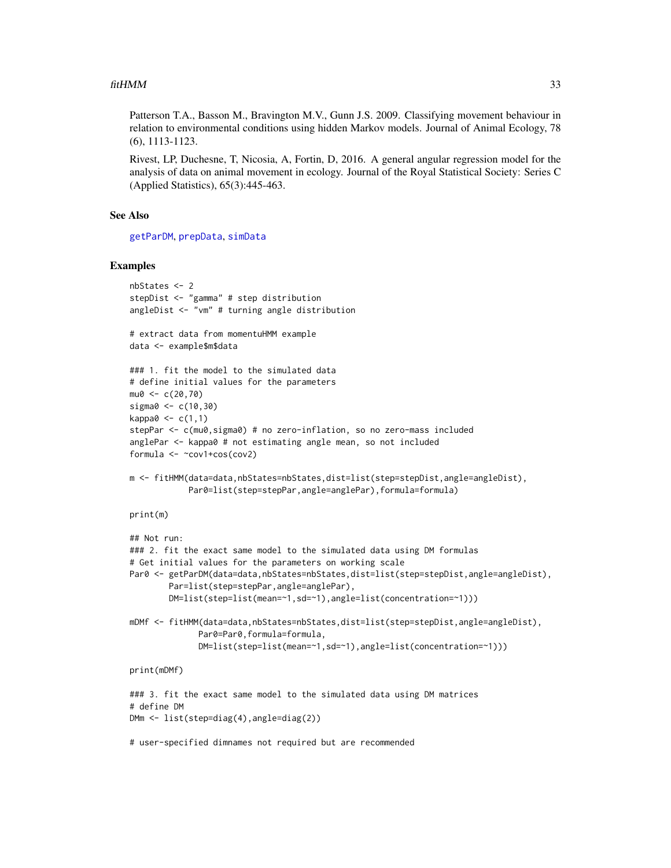#### $fitHMM$  33

Patterson T.A., Basson M., Bravington M.V., Gunn J.S. 2009. Classifying movement behaviour in relation to environmental conditions using hidden Markov models. Journal of Animal Ecology, 78 (6), 1113-1123.

Rivest, LP, Duchesne, T, Nicosia, A, Fortin, D, 2016. A general angular regression model for the analysis of data on animal movement in ecology. Journal of the Royal Statistical Society: Series C (Applied Statistics), 65(3):445-463.

## See Also

[getParDM](#page-40-1), [prepData](#page-76-1), [simData](#page-83-1)

#### Examples

```
nbStates <- 2
stepDist <- "gamma" # step distribution
angleDist <- "vm" # turning angle distribution
# extract data from momentuHMM example
data <- example$m$data
### 1. fit the model to the simulated data
# define initial values for the parameters
mu0 < -c(20, 70)sigma0 <- c(10,30)
kappa0 \leq c(1,1)stepPar <- c(mu0,sigma0) # no zero-inflation, so no zero-mass included
anglePar <- kappa0 # not estimating angle mean, so not included
formula <- ~cov1+cos(cov2)
m <- fitHMM(data=data,nbStates=nbStates,dist=list(step=stepDist,angle=angleDist),
            Par0=list(step=stepPar,angle=anglePar),formula=formula)
print(m)
## Not run:
### 2. fit the exact same model to the simulated data using DM formulas
# Get initial values for the parameters on working scale
Par0 <- getParDM(data=data,nbStates=nbStates,dist=list(step=stepDist,angle=angleDist),
        Par=list(step=stepPar,angle=anglePar),
        DM=list(step=list(mean=~1,sd=~1),angle=list(concentration=~1)))
mDMf <- fitHMM(data=data,nbStates=nbStates,dist=list(step=stepDist,angle=angleDist),
              Par0=Par0,formula=formula,
              DM=list(step=list(mean=~1,sd=~1),angle=list(concentration=~1)))
print(mDMf)
### 3. fit the exact same model to the simulated data using DM matrices
# define DM
DMm <- list(step=diag(4),angle=diag(2))
```
# user-specified dimnames not required but are recommended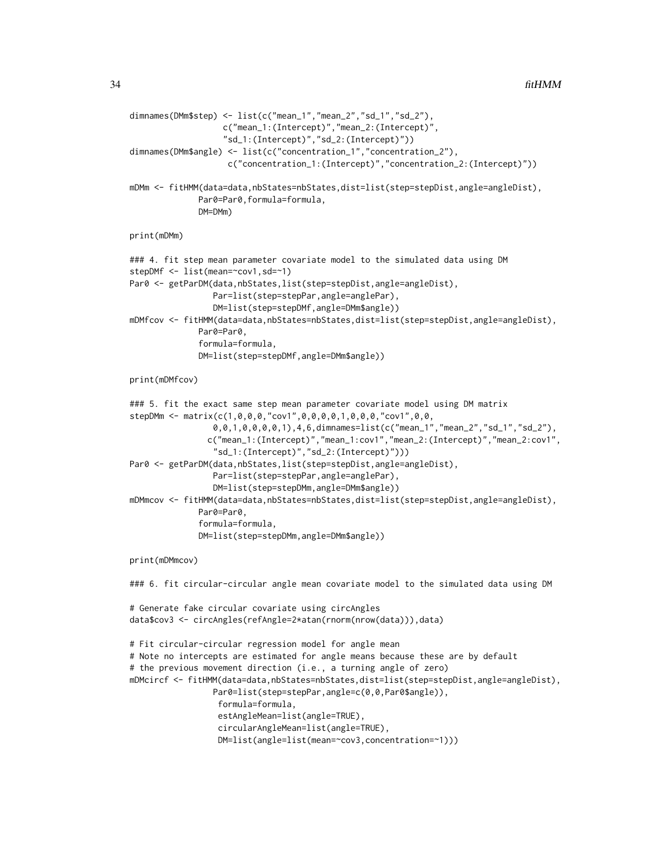```
dimnames(DMm$step) <- list(c("mean_1","mean_2","sd_1","sd_2"),
                   c("mean_1:(Intercept)","mean_2:(Intercept)",
                   "sd_1:(Intercept)","sd_2:(Intercept)"))
dimnames(DMm$angle) <- list(c("concentration_1","concentration_2"),
                    c("concentration_1:(Intercept)","concentration_2:(Intercept)"))
mDMm <- fitHMM(data=data,nbStates=nbStates,dist=list(step=stepDist,angle=angleDist),
              Par0=Par0,formula=formula,
              DM=DMm)
print(mDMm)
### 4. fit step mean parameter covariate model to the simulated data using DM
stepDMf <- list(mean=~cov1,sd=~1)
Par0 <- getParDM(data,nbStates,list(step=stepDist,angle=angleDist),
                 Par=list(step=stepPar,angle=anglePar),
                 DM=list(step=stepDMf,angle=DMm$angle))
mDMfcov <- fitHMM(data=data,nbStates=nbStates,dist=list(step=stepDist,angle=angleDist),
             Par0=Par0,
              formula=formula,
              DM=list(step=stepDMf,angle=DMm$angle))
print(mDMfcov)
### 5. fit the exact same step mean parameter covariate model using DM matrix
stepDMm <- matrix(c(1,0,0,0,"cov1",0,0,0,0,1,0,0,0,"cov1",0,0,
                 0,0,1,0,0,0,0,1),4,6,dimnames=list(c("mean_1","mean_2","sd_1","sd_2"),
                c("mean_1:(Intercept)","mean_1:cov1","mean_2:(Intercept)","mean_2:cov1",
                 "sd_1:(Intercept)","sd_2:(Intercept)")))
Par0 <- getParDM(data,nbStates,list(step=stepDist,angle=angleDist),
                 Par=list(step=stepPar,angle=anglePar),
                 DM=list(step=stepDMm,angle=DMm$angle))
mDMmcov <- fitHMM(data=data,nbStates=nbStates,dist=list(step=stepDist,angle=angleDist),
              Par0=Par0,
              formula=formula,
              DM=list(step=stepDMm,angle=DMm$angle))
print(mDMmcov)
### 6. fit circular-circular angle mean covariate model to the simulated data using DM
# Generate fake circular covariate using circAngles
data$cov3 <- circAngles(refAngle=2*atan(rnorm(nrow(data))),data)
# Fit circular-circular regression model for angle mean
# Note no intercepts are estimated for angle means because these are by default
# the previous movement direction (i.e., a turning angle of zero)
mDMcircf <- fitHMM(data=data,nbStates=nbStates,dist=list(step=stepDist,angle=angleDist),
                 Par0=list(step=stepPar,angle=c(0,0,Par0$angle)),
                  formula=formula,
                  estAngleMean=list(angle=TRUE),
                  circularAngleMean=list(angle=TRUE),
                  DM=list(angle=list(mean=~cov3,concentration=~1)))
```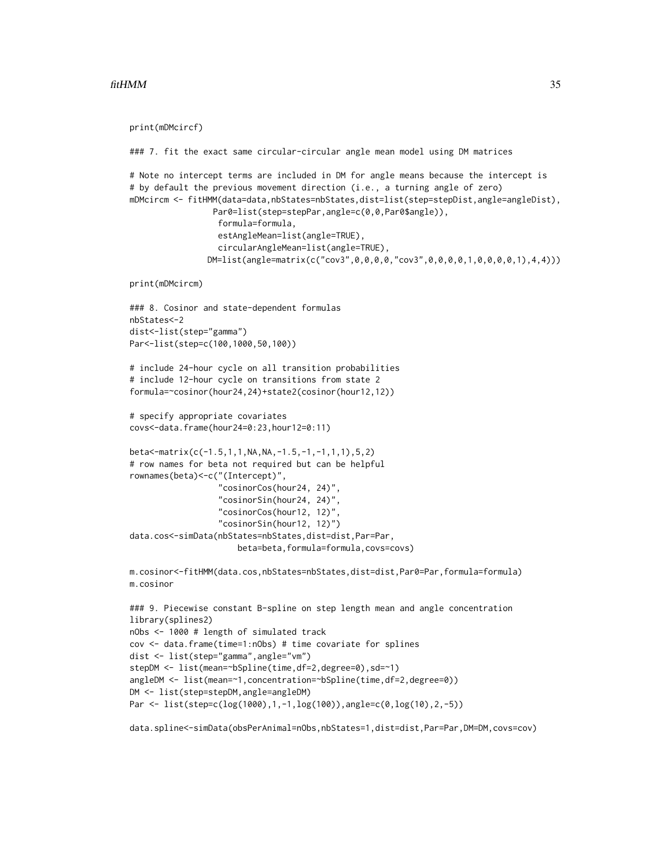#### $fitHMM$  35

```
print(mDMcircf)
### 7. fit the exact same circular-circular angle mean model using DM matrices
# Note no intercept terms are included in DM for angle means because the intercept is
# by default the previous movement direction (i.e., a turning angle of zero)
mDMcircm <- fitHMM(data=data,nbStates=nbStates,dist=list(step=stepDist,angle=angleDist),
                 Par0=list(step=stepPar,angle=c(0,0,Par0$angle)),
                  formula=formula,
                  estAngleMean=list(angle=TRUE),
                  circularAngleMean=list(angle=TRUE),
               DM=list(angle=matrix(c("cov3",0,0,0,0,"cov3",0,0,0,0,1,0,0,0,0,1),4,4)))
print(mDMcircm)
### 8. Cosinor and state-dependent formulas
nbStates<-2
dist<-list(step="gamma")
Par<-list(step=c(100,1000,50,100))
# include 24-hour cycle on all transition probabilities
# include 12-hour cycle on transitions from state 2
formula=~cosinor(hour24,24)+state2(cosinor(hour12,12))
# specify appropriate covariates
covs<-data.frame(hour24=0:23,hour12=0:11)
beta<-matrix(c(-1.5,1,1,NA,NA,-1.5,-1,-1,1,1),5,2)
# row names for beta not required but can be helpful
rownames(beta)<-c("(Intercept)",
                  "cosinorCos(hour24, 24)",
                  "cosinorSin(hour24, 24)",
                  "cosinorCos(hour12, 12)",
                  "cosinorSin(hour12, 12)")
data.cos<-simData(nbStates=nbStates,dist=dist,Par=Par,
                      beta=beta,formula=formula,covs=covs)
m.cosinor<-fitHMM(data.cos,nbStates=nbStates,dist=dist,Par0=Par,formula=formula)
m.cosinor
### 9. Piecewise constant B-spline on step length mean and angle concentration
library(splines2)
nObs <- 1000 # length of simulated track
cov <- data.frame(time=1:nObs) # time covariate for splines
dist <- list(step="gamma",angle="vm")
stepDM <- list(mean=~bSpline(time,df=2,degree=0),sd=~1)
angleDM <- list(mean=~1,concentration=~bSpline(time,df=2,degree=0))
DM <- list(step=stepDM,angle=angleDM)
Par <- list(step=c(log(1000),1,-1,log(100)),angle=c(0,log(10),2,-5))
data.spline<-simData(obsPerAnimal=nObs,nbStates=1,dist=dist,Par=Par,DM=DM,covs=cov)
```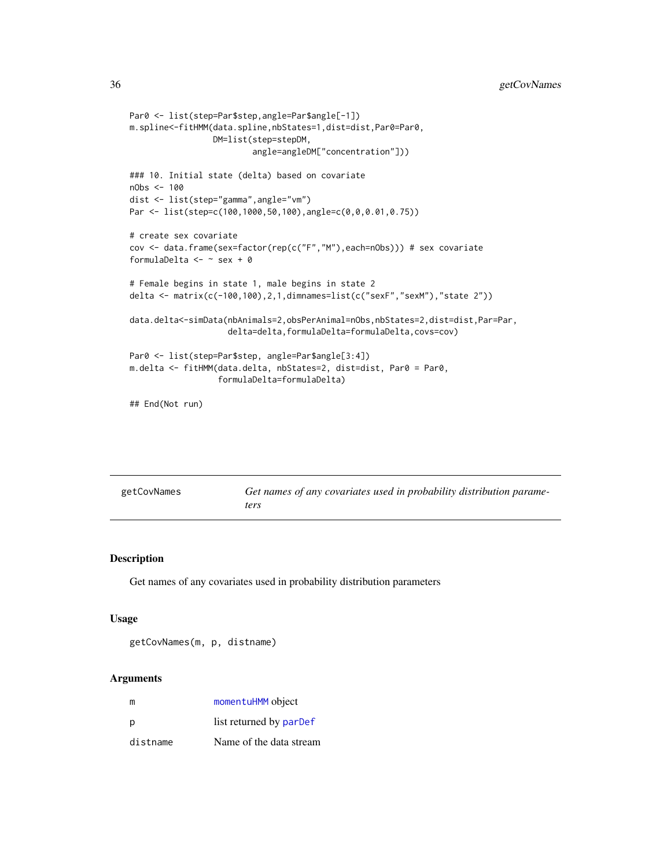```
Par0 <- list(step=Par$step,angle=Par$angle[-1])
m.spline<-fitHMM(data.spline,nbStates=1,dist=dist,Par0=Par0,
                 DM=list(step=stepDM,
                         angle=angleDM["concentration"]))
### 10. Initial state (delta) based on covariate
nObs <- 100
dist <- list(step="gamma",angle="vm")
Par <- list(step=c(100,1000,50,100),angle=c(0,0,0.01,0.75))
# create sex covariate
cov <- data.frame(sex=factor(rep(c("F","M"),each=nObs))) # sex covariate
formulaDelta <- ~ sex + 0
# Female begins in state 1, male begins in state 2
delta <- matrix(c(-100,100),2,1,dimnames=list(c("sexF","sexM"),"state 2"))
data.delta<-simData(nbAnimals=2,obsPerAnimal=nObs,nbStates=2,dist=dist,Par=Par,
                    delta=delta,formulaDelta=formulaDelta,covs=cov)
Par0 <- list(step=Par$step, angle=Par$angle[3:4])
m.delta <- fitHMM(data.delta, nbStates=2, dist=dist, Par0 = Par0,
                  formulaDelta=formulaDelta)
```

```
## End(Not run)
```

| getCovNames | Get names of any covariates used in probability distribution parame- |
|-------------|----------------------------------------------------------------------|
|             | ters                                                                 |

#### Description

Get names of any covariates used in probability distribution parameters

#### Usage

getCovNames(m, p, distname)

| m        | momentuHMM object       |
|----------|-------------------------|
| p        | list returned by parDef |
| distname | Name of the data stream |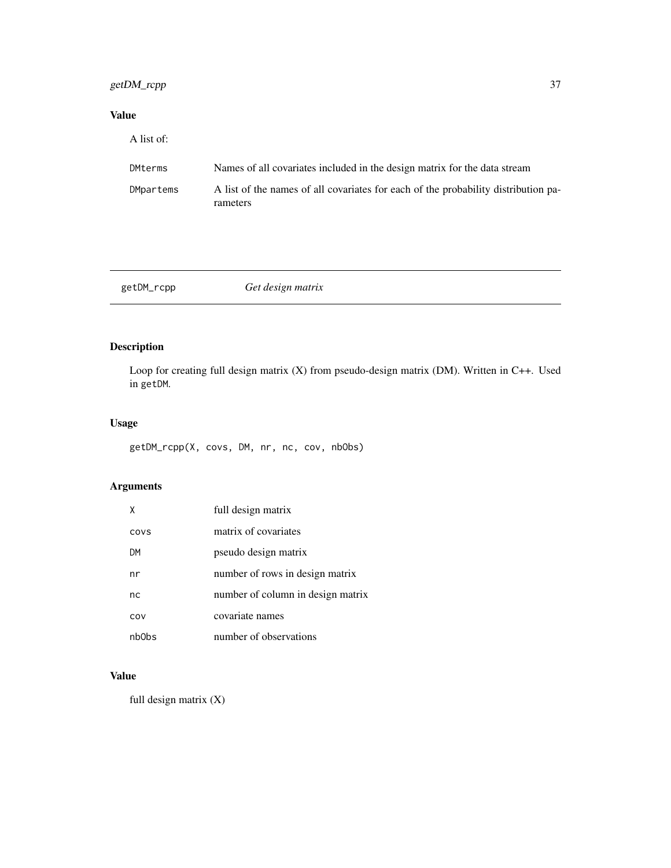# getDM\_rcpp 37

# Value

| A list of: |                                                                                                |  |
|------------|------------------------------------------------------------------------------------------------|--|
| DMterms    | Names of all covariates included in the design matrix for the data stream                      |  |
| DMpartems  | A list of the names of all covariates for each of the probability distribution pa-<br>rameters |  |

getDM\_rcpp *Get design matrix*

# Description

Loop for creating full design matrix (X) from pseudo-design matrix (DM). Written in C++. Used in getDM.

# Usage

```
getDM_rcpp(X, covs, DM, nr, nc, cov, nbObs)
```
# Arguments

| x     | full design matrix                |
|-------|-----------------------------------|
| COVS  | matrix of covariates              |
| DM    | pseudo design matrix              |
| nr    | number of rows in design matrix   |
| nc    | number of column in design matrix |
| COV   | covariate names                   |
| nb0bs | number of observations            |

# Value

full design matrix (X)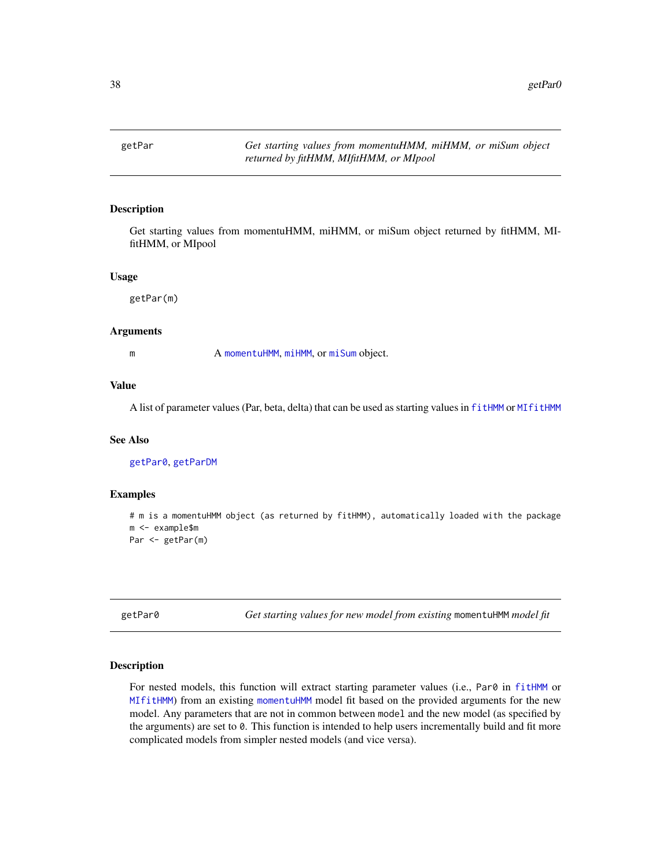<span id="page-37-1"></span>getPar *Get starting values from momentuHMM, miHMM, or miSum object returned by fitHMM, MIfitHMM, or MIpool*

### Description

Get starting values from momentuHMM, miHMM, or miSum object returned by fitHMM, MIfitHMM, or MIpool

#### Usage

getPar(m)

### Arguments

m A [momentuHMM](#page-56-0), [miHMM](#page-53-0), or [miSum](#page-56-1) object.

### Value

A list of parameter values (Par, beta, delta) that can be used as starting values in [fitHMM](#page-24-0) or [MIfitHMM](#page-48-0)

### See Also

[getPar0](#page-37-0), [getParDM](#page-40-0)

#### Examples

```
# m is a momentuHMM object (as returned by fitHMM), automatically loaded with the package
m <- example$m
Par <- getPar(m)
```
<span id="page-37-0"></span>getPar0 *Get starting values for new model from existing* momentuHMM *model fit*

#### Description

For nested models, this function will extract starting parameter values (i.e., Par0 in [fitHMM](#page-24-0) or [MIfitHMM](#page-48-0)) from an existing [momentuHMM](#page-56-0) model fit based on the provided arguments for the new model. Any parameters that are not in common between model and the new model (as specified by the arguments) are set to 0. This function is intended to help users incrementally build and fit more complicated models from simpler nested models (and vice versa).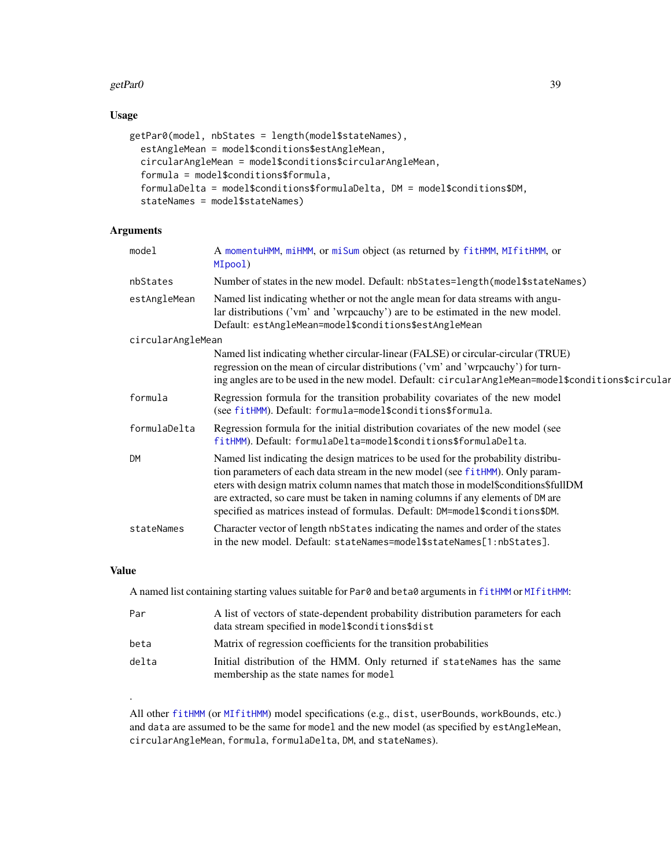### getPar0 39

# Usage

```
getPar0(model, nbStates = length(model$stateNames),
  estAngleMean = model$conditions$estAngleMean,
  circularAngleMean = model$conditions$circularAngleMean,
  formula = model$conditions$formula,
  formulaDelta = model$conditions$formulaDelta, DM = model$conditions$DM,
  stateNames = model$stateNames)
```
### Arguments

| model             | A momentuHMM, miHMM, or miSum object (as returned by fitHMM, MIfitHMM, or<br>MIpool)                                                                                                                                                                                                                                                                                                                                             |
|-------------------|----------------------------------------------------------------------------------------------------------------------------------------------------------------------------------------------------------------------------------------------------------------------------------------------------------------------------------------------------------------------------------------------------------------------------------|
| nbStates          | Number of states in the new model. Default: nbStates=length(model\$stateNames)                                                                                                                                                                                                                                                                                                                                                   |
| estAngleMean      | Named list indicating whether or not the angle mean for data streams with angu-<br>lar distributions ('vm' and 'wrpcauchy') are to be estimated in the new model.<br>Default: estAngleMean=model\$conditions\$estAngleMean                                                                                                                                                                                                       |
| circularAngleMean |                                                                                                                                                                                                                                                                                                                                                                                                                                  |
|                   | Named list indicating whether circular-linear (FALSE) or circular-circular (TRUE)<br>regression on the mean of circular distributions ('vm' and 'wrpcauchy') for turn-<br>ing angles are to be used in the new model. Default: circularAngleMean=model\$conditions\$circular                                                                                                                                                     |
| formula           | Regression formula for the transition probability covariates of the new model<br>(see fitHMM). Default: formula=model\$conditions\$formula.                                                                                                                                                                                                                                                                                      |
| formulaDelta      | Regression formula for the initial distribution covariates of the new model (see<br>fitHMM). Default: formulaDelta=model\$conditions\$formulaDelta.                                                                                                                                                                                                                                                                              |
| <b>DM</b>         | Named list indicating the design matrices to be used for the probability distribu-<br>tion parameters of each data stream in the new model (see fitHMM). Only param-<br>eters with design matrix column names that match those in model\$conditions\$fullDM<br>are extracted, so care must be taken in naming columns if any elements of DM are<br>specified as matrices instead of formulas. Default: DM=model\$conditions\$DM. |
| stateNames        | Character vector of length nbStates indicating the names and order of the states<br>in the new model. Default: stateNames=model\$stateNames[1:nbStates].                                                                                                                                                                                                                                                                         |

### Value

.

A named list containing starting values suitable for Par0 and beta0 arguments in [fitHMM](#page-24-0) or [MIfitHMM](#page-48-0):

| Par   | A list of vectors of state-dependent probability distribution parameters for each<br>data stream specified in model\$conditions\$dist |
|-------|---------------------------------------------------------------------------------------------------------------------------------------|
| beta  | Matrix of regression coefficients for the transition probabilities                                                                    |
| delta | Initial distribution of the HMM. Only returned if stateNames has the same<br>membership as the state names for model                  |

All other [fitHMM](#page-24-0) (or [MIfitHMM](#page-48-0)) model specifications (e.g., dist, userBounds, workBounds, etc.) and data are assumed to be the same for model and the new model (as specified by estAngleMean, circularAngleMean, formula, formulaDelta, DM, and stateNames).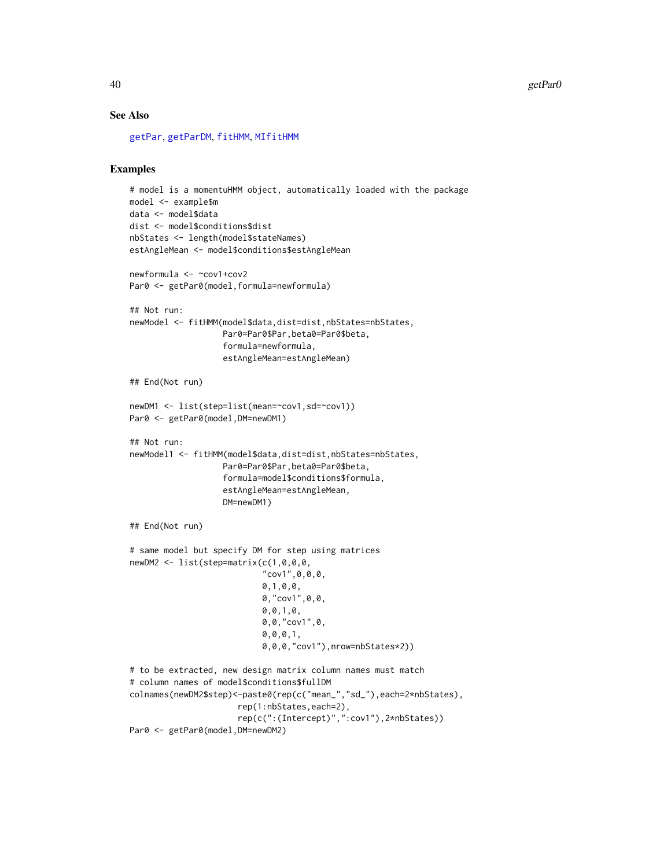### See Also

[getPar](#page-37-1), [getParDM](#page-40-0), [fitHMM](#page-24-0), [MIfitHMM](#page-48-0)

# Examples

```
# model is a momentuHMM object, automatically loaded with the package
model <- example$m
data <- model$data
dist <- model$conditions$dist
nbStates <- length(model$stateNames)
estAngleMean <- model$conditions$estAngleMean
newformula <- ~cov1+cov2
Par0 <- getPar0(model,formula=newformula)
## Not run:
newModel <- fitHMM(model$data,dist=dist,nbStates=nbStates,
                   Par0=Par0$Par,beta0=Par0$beta,
                   formula=newformula,
                   estAngleMean=estAngleMean)
## End(Not run)
newDM1 <- list(step=list(mean=~cov1,sd=~cov1))
Par0 <- getPar0(model,DM=newDM1)
## Not run:
newModel1 <- fitHMM(model$data,dist=dist,nbStates=nbStates,
                   Par0=Par0$Par,beta0=Par0$beta,
                   formula=model$conditions$formula,
                   estAngleMean=estAngleMean,
                   DM=newDM1)
## End(Not run)
# same model but specify DM for step using matrices
newDM2 <- list(step=matrix(c(1,0,0,0,
                            "cov1", \emptyset, \emptyset, \emptyset,0,1,0,0,
                            0,"cov1",0,0,
                            0,0,1,0,
                            0,0,"cov1",0,
                            0,0,0,1,
                            0,0,0,"cov1"),nrow=nbStates*2))
# to be extracted, new design matrix column names must match
# column names of model$conditions$fullDM
colnames(newDM2$step)<-paste0(rep(c("mean_","sd_"),each=2*nbStates),
                      rep(1:nbStates,each=2),
                      rep(c(":(Intercept)",":cov1"),2*nbStates))
Par0 <- getPar0(model, DM=newDM2)
```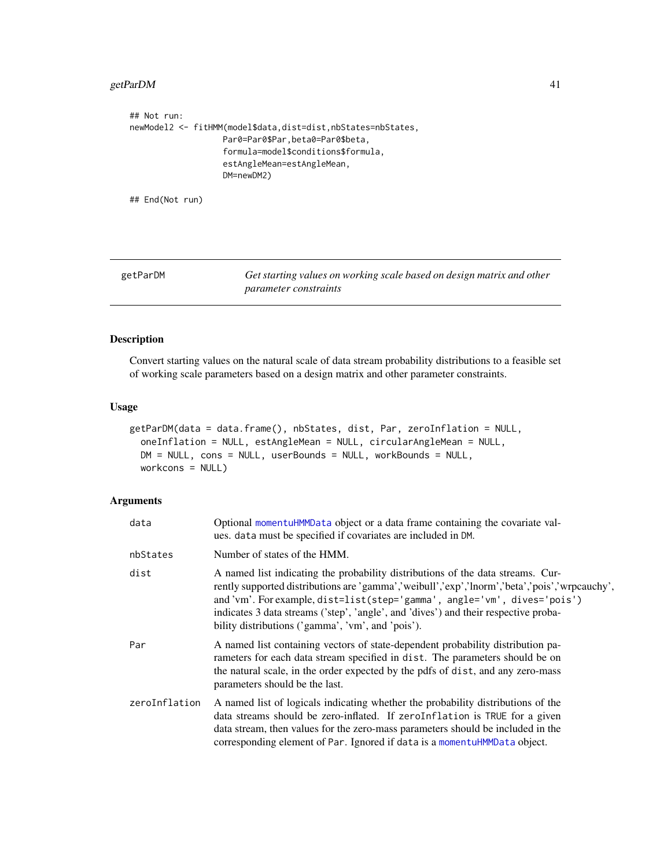### getParDM 41

```
## Not run:
newModel2 <- fitHMM(model$data,dist=dist,nbStates=nbStates,
                   Par0=Par0$Par,beta0=Par0$beta,
                   formula=model$conditions$formula,
                   estAngleMean=estAngleMean,
                   DM=newDM2)
## End(Not run)
```
<span id="page-40-0"></span>

| getParDM | Get starting values on working scale based on design matrix and other |
|----------|-----------------------------------------------------------------------|
|          | <i>parameter constraints</i>                                          |

### Description

Convert starting values on the natural scale of data stream probability distributions to a feasible set of working scale parameters based on a design matrix and other parameter constraints.

### Usage

```
getParDM(data = data.frame(), nbStates, dist, Par, zeroInflation = NULL,
 oneInflation = NULL, estAngleMean = NULL, circularAngleMean = NULL,
 DM = NULL, cons = NULL, userBounds = NULL, workBounds = NULL,
 workcons = NULL)
```

| data          | Optional momentuHMMData object or a data frame containing the covariate val-<br>ues. data must be specified if covariates are included in DM.                                                                                                                                                                                                                                                           |
|---------------|---------------------------------------------------------------------------------------------------------------------------------------------------------------------------------------------------------------------------------------------------------------------------------------------------------------------------------------------------------------------------------------------------------|
| nbStates      | Number of states of the HMM.                                                                                                                                                                                                                                                                                                                                                                            |
| dist          | A named list indicating the probability distributions of the data streams. Cur-<br>rently supported distributions are 'gamma','weibull','exp','lnorm','beta','pois','wrpcauchy',<br>and'vm'. For example, dist=list(step='gamma', angle='vm', dives='pois')<br>indicates 3 data streams ('step', 'angle', and 'dives') and their respective proba-<br>bility distributions ('gamma', 'vm', and 'pois'). |
| Par           | A named list containing vectors of state-dependent probability distribution pa-<br>rameters for each data stream specified in dist. The parameters should be on<br>the natural scale, in the order expected by the pdfs of dist, and any zero-mass<br>parameters should be the last.                                                                                                                    |
| zeroInflation | A named list of logicals indicating whether the probability distributions of the<br>data streams should be zero-inflated. If zeroInflation is TRUE for a given<br>data stream, then values for the zero-mass parameters should be included in the<br>corresponding element of Par. Ignored if data is a momentuHMMData object.                                                                          |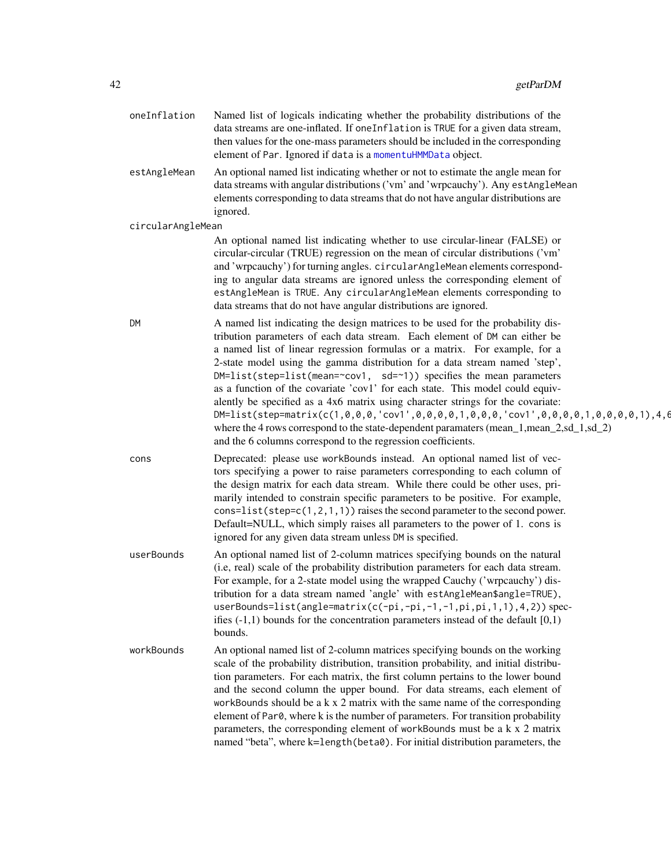| oneInflation      | Named list of logicals indicating whether the probability distributions of the<br>data streams are one-inflated. If oneInflation is TRUE for a given data stream,<br>then values for the one-mass parameters should be included in the corresponding<br>element of Par. Ignored if data is a momentuHMMData object.                                                                                                                                                                                                                                                                                                                                                                                                                                                                                                                                        |
|-------------------|------------------------------------------------------------------------------------------------------------------------------------------------------------------------------------------------------------------------------------------------------------------------------------------------------------------------------------------------------------------------------------------------------------------------------------------------------------------------------------------------------------------------------------------------------------------------------------------------------------------------------------------------------------------------------------------------------------------------------------------------------------------------------------------------------------------------------------------------------------|
| estAngleMean      | An optional named list indicating whether or not to estimate the angle mean for<br>data streams with angular distributions ('vm' and 'wrpcauchy'). Any estAngleMean<br>elements corresponding to data streams that do not have angular distributions are<br>ignored.                                                                                                                                                                                                                                                                                                                                                                                                                                                                                                                                                                                       |
| circularAngleMean |                                                                                                                                                                                                                                                                                                                                                                                                                                                                                                                                                                                                                                                                                                                                                                                                                                                            |
|                   | An optional named list indicating whether to use circular-linear (FALSE) or<br>circular-circular (TRUE) regression on the mean of circular distributions ('vm'<br>and 'wrpcauchy') for turning angles. circularAngleMean elements correspond-<br>ing to angular data streams are ignored unless the corresponding element of<br>estAngleMean is TRUE. Any circularAngleMean elements corresponding to<br>data streams that do not have angular distributions are ignored.                                                                                                                                                                                                                                                                                                                                                                                  |
| DM                | A named list indicating the design matrices to be used for the probability dis-<br>tribution parameters of each data stream. Each element of DM can either be<br>a named list of linear regression formulas or a matrix. For example, for a<br>2-state model using the gamma distribution for a data stream named 'step',<br>DM=list(step=list(mean=~cov1, sd=~1)) specifies the mean parameters<br>as a function of the covariate 'cov1' for each state. This model could equiv-<br>alently be specified as a 4x6 matrix using character strings for the covariate:<br>$DM = list(step = matrix(c(1, 0, 0, 0, 0, 'cov1', 0, 0, 0, 0, 1, 0, 0, 0, 'cov1', 0, 0, 0, 0, 1, 0, 0, 0, 0, 1), 4, 6)$<br>where the 4 rows correspond to the state-dependent paramaters (mean_1,mean_2,sd_1,sd_2)<br>and the 6 columns correspond to the regression coefficients. |
| cons              | Deprecated: please use workBounds instead. An optional named list of vec-<br>tors specifying a power to raise parameters corresponding to each column of<br>the design matrix for each data stream. While there could be other uses, pri-<br>marily intended to constrain specific parameters to be positive. For example,<br>cons=list(step= $c(1, 2, 1, 1)$ ) raises the second parameter to the second power.<br>Default=NULL, which simply raises all parameters to the power of 1. cons is<br>ignored for any given data stream unless DM is specified.                                                                                                                                                                                                                                                                                               |
| userBounds        | An optional named list of 2-column matrices specifying bounds on the natural<br>(i.e, real) scale of the probability distribution parameters for each data stream.<br>For example, for a 2-state model using the wrapped Cauchy ('wrpcauchy') dis-<br>tribution for a data stream named 'angle' with estAngleMean\$angle=TRUE),<br>userBounds=list(angle=matrix(c(-pi,-pi,-1,-1,pi,pi,1,1),4,2)) spec-<br>ifies $(-1,1)$ bounds for the concentration parameters instead of the default $[0,1)$<br>bounds.                                                                                                                                                                                                                                                                                                                                                 |
| workBounds        | An optional named list of 2-column matrices specifying bounds on the working<br>scale of the probability distribution, transition probability, and initial distribu-<br>tion parameters. For each matrix, the first column pertains to the lower bound<br>and the second column the upper bound. For data streams, each element of<br>workBounds should be a $k \times 2$ matrix with the same name of the corresponding<br>element of Par0, where k is the number of parameters. For transition probability<br>parameters, the corresponding element of workBounds must be a k x 2 matrix<br>named "beta", where k=length (beta0). For initial distribution parameters, the                                                                                                                                                                               |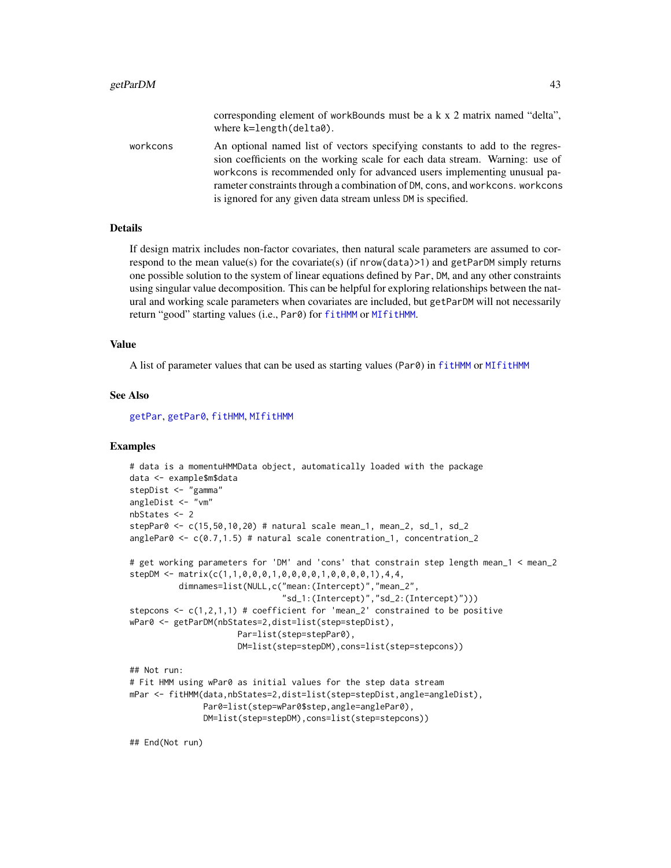|          | corresponding element of workBounds must be a k x 2 matrix named "delta",<br>where $k = length(delta0)$ .                                                    |
|----------|--------------------------------------------------------------------------------------------------------------------------------------------------------------|
| workcons | An optional named list of vectors specifying constants to add to the regres-<br>sion coefficients on the working scale for each data stream. Warning: use of |
|          | workcons is recommended only for advanced users implementing unusual pa-                                                                                     |
|          | rameter constraints through a combination of DM, cons, and workcons, workcons                                                                                |

is ignored for any given data stream unless DM is specified.

#### Details

If design matrix includes non-factor covariates, then natural scale parameters are assumed to correspond to the mean value(s) for the covariate(s) (if nrow(data)>1) and getParDM simply returns one possible solution to the system of linear equations defined by Par, DM, and any other constraints using singular value decomposition. This can be helpful for exploring relationships between the natural and working scale parameters when covariates are included, but getParDM will not necessarily return "good" starting values (i.e., Par0) for [fitHMM](#page-24-0) or [MIfitHMM](#page-48-0).

#### Value

A list of parameter values that can be used as starting values (Par0) in [fitHMM](#page-24-0) or [MIfitHMM](#page-48-0)

#### See Also

[getPar](#page-37-1), [getPar0](#page-37-0), [fitHMM](#page-24-0), [MIfitHMM](#page-48-0)

# Examples

```
# data is a momentuHMMData object, automatically loaded with the package
data <- example$m$data
stepDist <- "gamma"
angleDist <- "vm"
nbStates <- 2
stepPar0 <- c(15,50,10,20) # natural scale mean_1, mean_2, sd_1, sd_2
anglePar0 <- c(0.7,1.5) # natural scale conentration_1, concentration_2
# get working parameters for 'DM' and 'cons' that constrain step length mean_1 < mean_2
stepDM <- matrix(c(1,1,0,0,0,1,0,0,0,0,1,0,0,0,0,1),4,4,
          dimnames=list(NULL,c("mean:(Intercept)","mean_2",
                               "sd_1:(Intercept)","sd_2:(Intercept)")))
stepcons \leq c(1,2,1,1) # coefficient for 'mean_2' constrained to be positive
wPar0 <- getParDM(nbStates=2,dist=list(step=stepDist),
                      Par=list(step=stepPar0),
                      DM=list(step=stepDM),cons=list(step=stepcons))
## Not run:
# Fit HMM using wPar0 as initial values for the step data stream
mPar <- fitHMM(data,nbStates=2,dist=list(step=stepDist,angle=angleDist),
              Par0=list(step=wPar0$step,angle=anglePar0),
              DM=list(step=stepDM),cons=list(step=stepcons))
```
## End(Not run)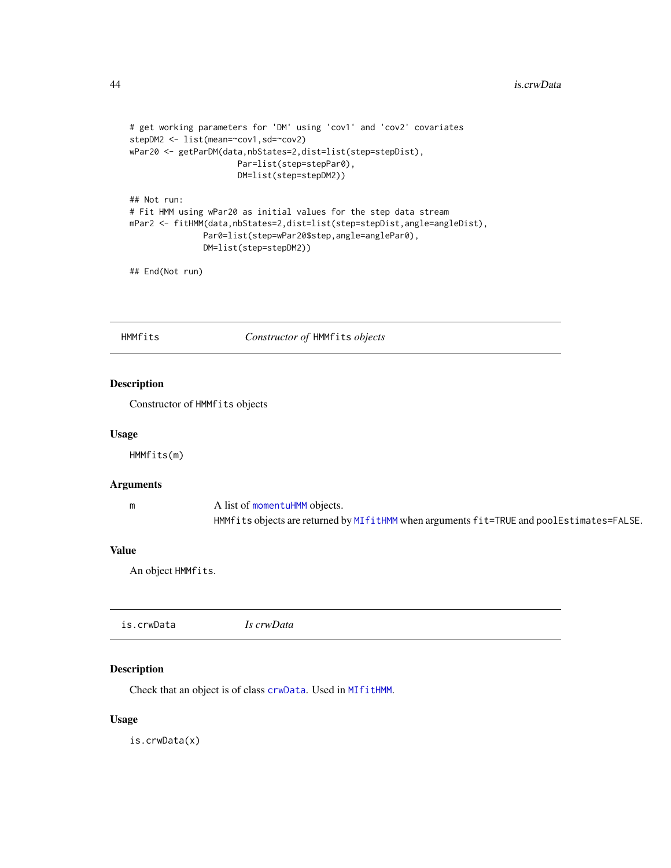```
# get working parameters for 'DM' using 'cov1' and 'cov2' covariates
stepDM2 <- list(mean=~cov1,sd=~cov2)
wPar20 <- getParDM(data,nbStates=2,dist=list(step=stepDist),
                     Par=list(step=stepPar0),
                     DM=list(step=stepDM2))
## Not run:
# Fit HMM using wPar20 as initial values for the step data stream
mPar2 <- fitHMM(data,nbStates=2,dist=list(step=stepDist,angle=angleDist),
               Par0=list(step=wPar20$step,angle=anglePar0),
               DM=list(step=stepDM2))
```
## End(Not run)

<span id="page-43-0"></span>HMMfits *Constructor of* HMMfits *objects*

### Description

Constructor of HMMfits objects

### Usage

HMMfits(m)

#### Arguments

| m | A list of momentuHMM objects.                                                             |
|---|-------------------------------------------------------------------------------------------|
|   | HMMfits objects are returned by MIfitHMM when arguments fit=TRUE and poolEstimates=FALSE. |

#### Value

An object HMMfits.

| Is crwData |
|------------|
|------------|

### Description

Check that an object is of class [crwData](#page-15-0). Used in [MIfitHMM](#page-48-0).

# Usage

is.crwData(x)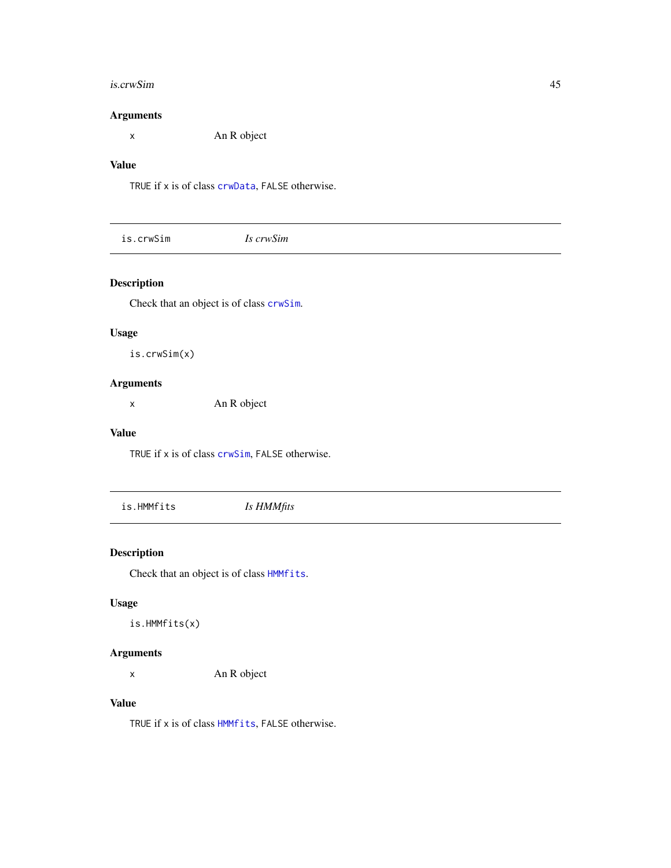#### is.crwSim 45

### Arguments

x An R object

### Value

TRUE if x is of class [crwData](#page-15-0), FALSE otherwise.

|  | Is crwSim | is.crwSim |
|--|-----------|-----------|
|--|-----------|-----------|

# Description

Check that an object is of class [crwSim](#page-15-1).

### Usage

is.crwSim(x)

### Arguments

x An R object

### Value

TRUE if x is of class [crwSim](#page-15-1), FALSE otherwise.

is.HMMfits *Is HMMfits*

### Description

Check that an object is of class [HMMfits](#page-43-0).

# Usage

is.HMMfits(x)

### Arguments

x An R object

### Value

TRUE if x is of class [HMMfits](#page-43-0), FALSE otherwise.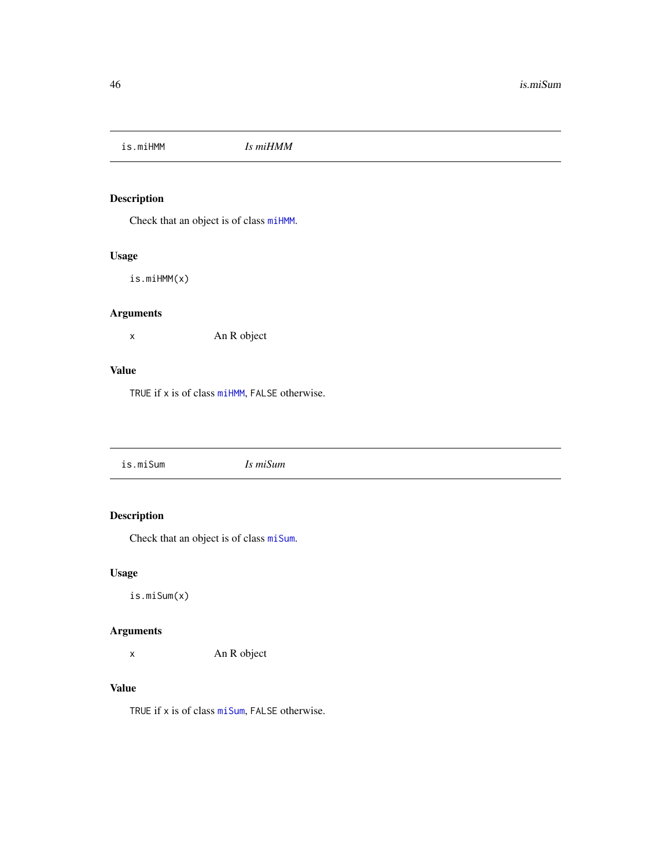is.miHMM *Is miHMM*

# Description

Check that an object is of class [miHMM](#page-53-0).

# Usage

is.miHMM(x)

# Arguments

x An R object

### Value

TRUE if x is of class [miHMM](#page-53-0), FALSE otherwise.

|--|

# Description

Check that an object is of class [miSum](#page-56-1).

# Usage

is.miSum(x)

### Arguments

x An R object

### Value

TRUE if x is of class [miSum](#page-56-1), FALSE otherwise.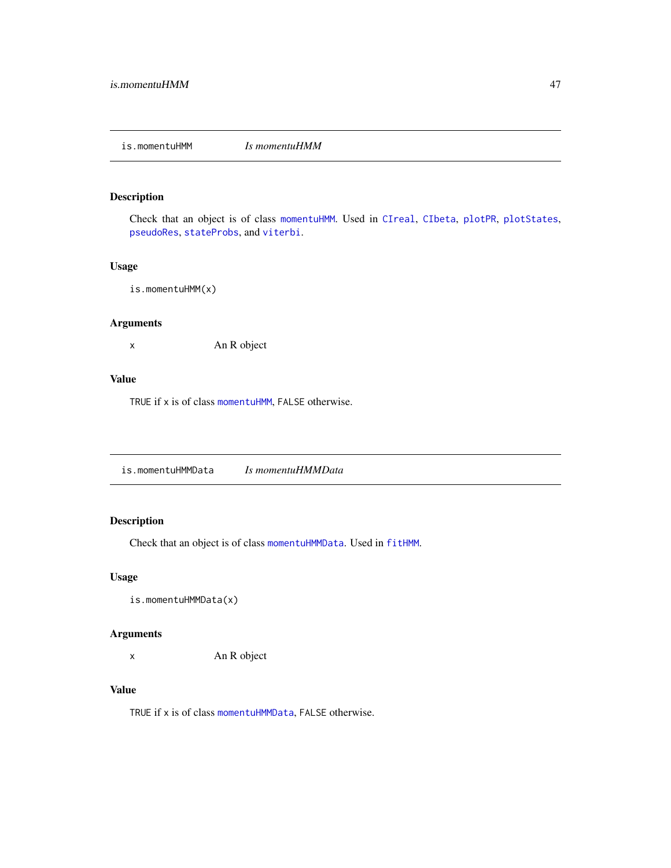### Description

Check that an object is of class [momentuHMM](#page-56-0). Used in [CIreal](#page-9-0), [CIbeta](#page-7-0), [plotPR](#page-70-0), [plotStates](#page-74-0), [pseudoRes](#page-81-0), [stateProbs](#page-94-0), and [viterbi](#page-99-0).

### Usage

is.momentuHMM(x)

### Arguments

x An R object

### Value

TRUE if x is of class [momentuHMM](#page-56-0), FALSE otherwise.

is.momentuHMMData *Is momentuHMMData*

# Description

Check that an object is of class [momentuHMMData](#page-57-0). Used in [fitHMM](#page-24-0).

### Usage

is.momentuHMMData(x)

### Arguments

x An R object

### Value

TRUE if x is of class [momentuHMMData](#page-57-0), FALSE otherwise.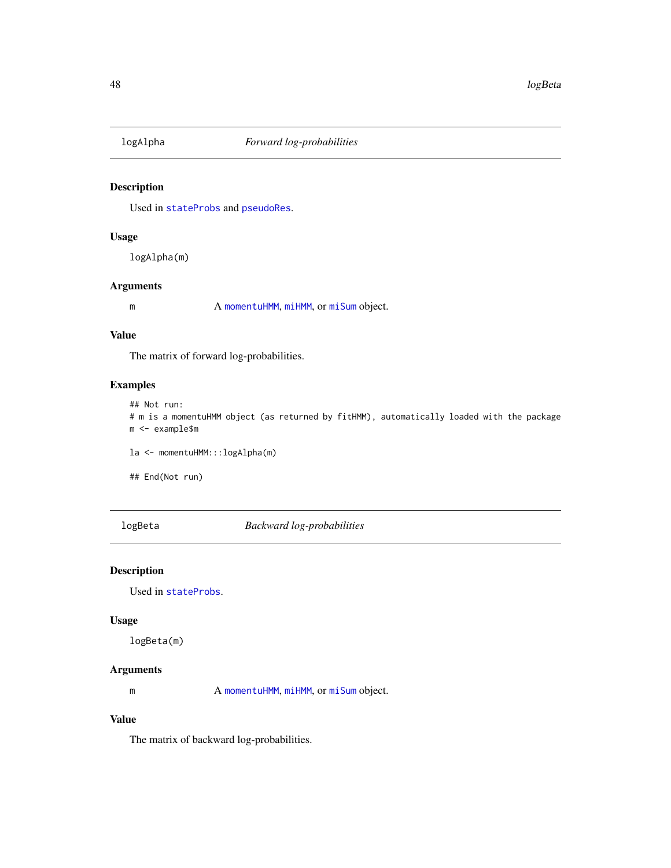### Description

Used in [stateProbs](#page-94-0) and [pseudoRes](#page-81-0).

### Usage

logAlpha(m)

### Arguments

m A [momentuHMM](#page-56-0), [miHMM](#page-53-0), or [miSum](#page-56-1) object.

#### Value

The matrix of forward log-probabilities.

### Examples

## Not run:

```
# m is a momentuHMM object (as returned by fitHMM), automatically loaded with the package
m <- example$m
```
la <- momentuHMM:::logAlpha(m)

## End(Not run)

logBeta *Backward log-probabilities*

### Description

Used in [stateProbs](#page-94-0).

### Usage

logBeta(m)

# Arguments

m A [momentuHMM](#page-56-0), [miHMM](#page-53-0), or [miSum](#page-56-1) object.

# Value

The matrix of backward log-probabilities.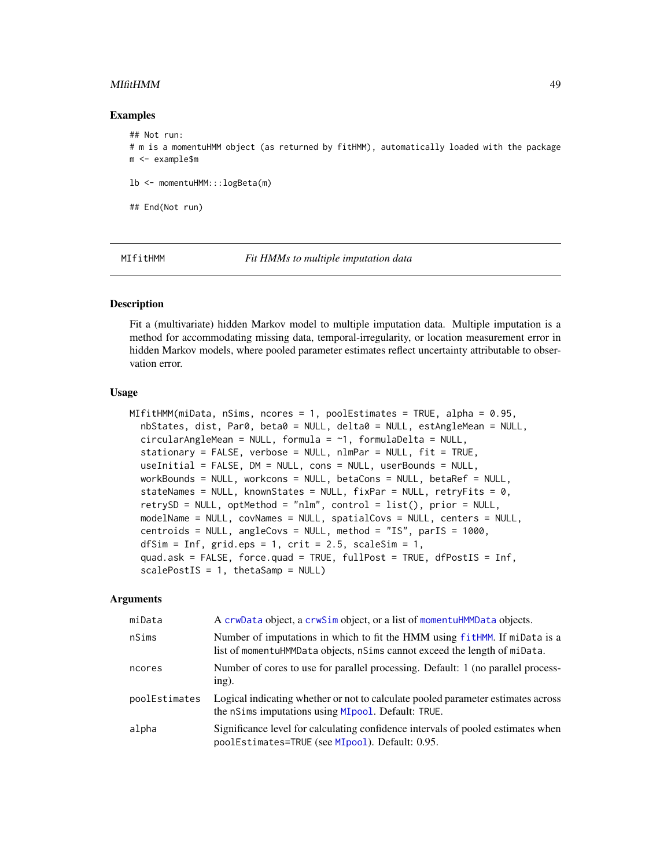#### MIfitHMM 49

#### Examples

```
## Not run:
# m is a momentuHMM object (as returned by fitHMM), automatically loaded with the package
m <- example$m
lb <- momentuHMM:::logBeta(m)
## End(Not run)
```
<span id="page-48-0"></span>MIfitHMM *Fit HMMs to multiple imputation data*

#### Description

Fit a (multivariate) hidden Markov model to multiple imputation data. Multiple imputation is a method for accommodating missing data, temporal-irregularity, or location measurement error in hidden Markov models, where pooled parameter estimates reflect uncertainty attributable to observation error.

#### Usage

```
MIfitHMM(miData, nSims, ncores = 1, poolEstimates = TRUE, alpha = 0.95,
  nbStates, dist, Par0, beta0 = NULL, delta0 = NULL, estAngleMean = NULL,
  circularAngleMean = NULL, formula = ~1, formulaDelta = NULL,
  stationary = FALSE, verbose = NULL, nlmPar = NULL, fit = TRUE,
  useInitial = FALSE, DM = NULL, cons = NULL, userBounds = NULL,
  workBounds = NULL, workcons = NULL, betaCons = NULL, betaRef = NULL,
  stateNames = NULL, knownStates = NULL, fixPar = NULL, retryFits = 0,
  retrySD = NULL, optMethod = "nlm", control = list(), prior = NULL,
  modelName = NULL, covNames = NULL, spatialCovs = NULL, centers = NULL,
  centroids = NULL, angleCovs = NULL, method = "IS", parIS = 1000,
  dfSim = Inf, grid.eps = 1, crit = 2.5, scaleSim = 1,
  quad.ask = FALSE, force.quad = TRUE, fullPost = TRUE, dfPostIS = Inf,
  scalePostIS = 1, thetaSamp = NULL)
```

| miData        | A crwData object, a crwSim object, or a list of momentuHMMData objects.                                                                                 |
|---------------|---------------------------------------------------------------------------------------------------------------------------------------------------------|
| nSims         | Number of imputations in which to fit the HMM using fitHMM. If miData is a<br>list of momentuHMMData objects, nSims cannot exceed the length of miData. |
| ncores        | Number of cores to use for parallel processing. Default: 1 (no parallel process-<br>$ing)$ .                                                            |
| poolEstimates | Logical indicating whether or not to calculate pooled parameter estimates across<br>the nSims imputations using MI pool. Default: TRUE.                 |
| alpha         | Significance level for calculating confidence intervals of pooled estimates when<br>poolEstimates=TRUE (see MIpool). Default: 0.95.                     |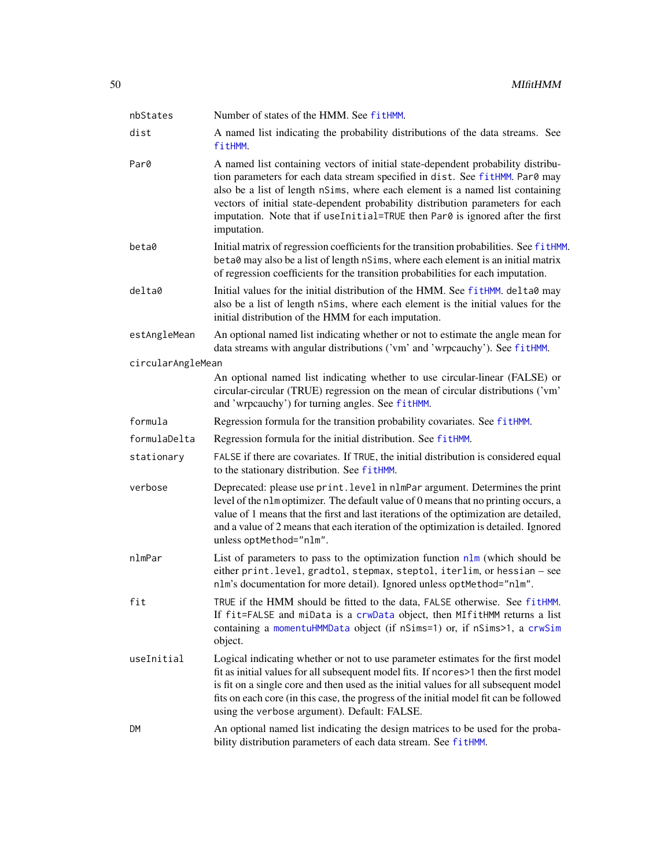| nbStates          | Number of states of the HMM. See fitHMM.                                                                                                                                                                                                                                                                                                                                                                                             |
|-------------------|--------------------------------------------------------------------------------------------------------------------------------------------------------------------------------------------------------------------------------------------------------------------------------------------------------------------------------------------------------------------------------------------------------------------------------------|
| dist              | A named list indicating the probability distributions of the data streams. See<br>fitHMM.                                                                                                                                                                                                                                                                                                                                            |
| Par0              | A named list containing vectors of initial state-dependent probability distribu-<br>tion parameters for each data stream specified in dist. See fitHMM. Par0 may<br>also be a list of length nSims, where each element is a named list containing<br>vectors of initial state-dependent probability distribution parameters for each<br>imputation. Note that if useInitial=TRUE then Par0 is ignored after the first<br>imputation. |
| beta0             | Initial matrix of regression coefficients for the transition probabilities. See fitHMM.<br>beta0 may also be a list of length nSims, where each element is an initial matrix<br>of regression coefficients for the transition probabilities for each imputation.                                                                                                                                                                     |
| delta0            | Initial values for the initial distribution of the HMM. See fitHMM. delta0 may<br>also be a list of length nSims, where each element is the initial values for the<br>initial distribution of the HMM for each imputation.                                                                                                                                                                                                           |
| estAngleMean      | An optional named list indicating whether or not to estimate the angle mean for<br>data streams with angular distributions ('vm' and 'wrpcauchy'). See fitHMM.                                                                                                                                                                                                                                                                       |
| circularAngleMean |                                                                                                                                                                                                                                                                                                                                                                                                                                      |
|                   | An optional named list indicating whether to use circular-linear (FALSE) or<br>circular-circular (TRUE) regression on the mean of circular distributions ('vm'<br>and 'wrpcauchy') for turning angles. See fitHMM.                                                                                                                                                                                                                   |
| formula           | Regression formula for the transition probability covariates. See fitHMM.                                                                                                                                                                                                                                                                                                                                                            |
| formulaDelta      | Regression formula for the initial distribution. See fitHMM.                                                                                                                                                                                                                                                                                                                                                                         |
| stationary        | FALSE if there are covariates. If TRUE, the initial distribution is considered equal<br>to the stationary distribution. See fitHMM.                                                                                                                                                                                                                                                                                                  |
| verbose           | Deprecated: please use print. level in nlmPar argument. Determines the print<br>level of the nlm optimizer. The default value of 0 means that no printing occurs, a<br>value of 1 means that the first and last iterations of the optimization are detailed,<br>and a value of 2 means that each iteration of the optimization is detailed. Ignored<br>unless optMethod="nlm".                                                       |
| nlmPar            | List of parameters to pass to the optimization function $n \ln m$ (which should be<br>either print. level, gradtol, stepmax, steptol, iterlim, or hessian - see<br>nlm's documentation for more detail). Ignored unless optMethod="nlm".                                                                                                                                                                                             |
| fit               | TRUE if the HMM should be fitted to the data, FALSE otherwise. See fitHMM.<br>If fit=FALSE and miData is a crwData object, then MIfitHMM returns a list<br>containing a momentuHMMData object (if nSims=1) or, if nSims>1, a crwSim<br>object.                                                                                                                                                                                       |
| useInitial        | Logical indicating whether or not to use parameter estimates for the first model<br>fit as initial values for all subsequent model fits. If ncores>1 then the first model<br>is fit on a single core and then used as the initial values for all subsequent model<br>fits on each core (in this case, the progress of the initial model fit can be followed<br>using the verbose argument). Default: FALSE.                          |
| DM                | An optional named list indicating the design matrices to be used for the proba-<br>bility distribution parameters of each data stream. See fitHMM.                                                                                                                                                                                                                                                                                   |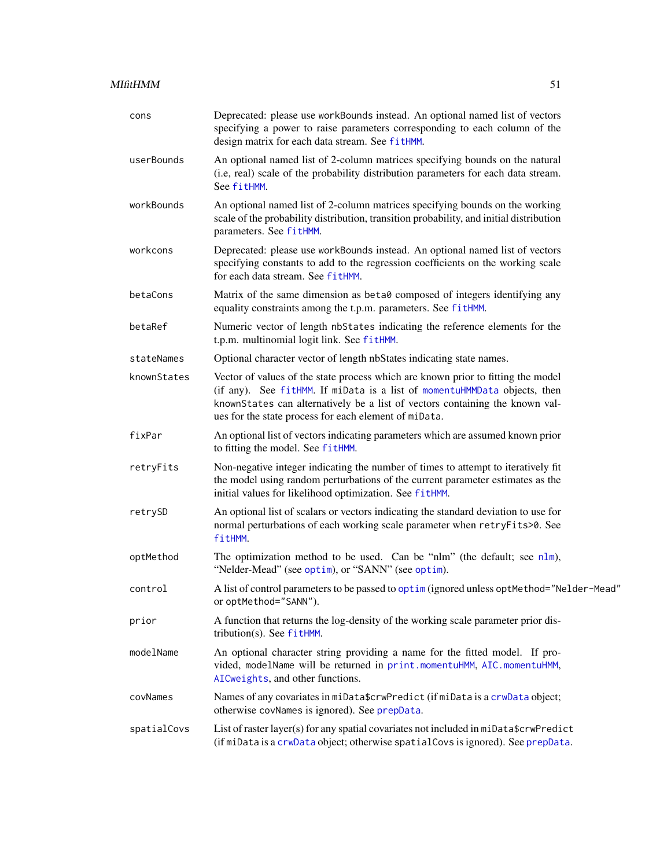| cons        | Deprecated: please use workBounds instead. An optional named list of vectors<br>specifying a power to raise parameters corresponding to each column of the<br>design matrix for each data stream. See fitHMM.                                                                                          |
|-------------|--------------------------------------------------------------------------------------------------------------------------------------------------------------------------------------------------------------------------------------------------------------------------------------------------------|
| userBounds  | An optional named list of 2-column matrices specifying bounds on the natural<br>(i.e, real) scale of the probability distribution parameters for each data stream.<br>See fitHMM.                                                                                                                      |
| workBounds  | An optional named list of 2-column matrices specifying bounds on the working<br>scale of the probability distribution, transition probability, and initial distribution<br>parameters. See fitHMM.                                                                                                     |
| workcons    | Deprecated: please use workBounds instead. An optional named list of vectors<br>specifying constants to add to the regression coefficients on the working scale<br>for each data stream. See fitHMM.                                                                                                   |
| betaCons    | Matrix of the same dimension as beta0 composed of integers identifying any<br>equality constraints among the t.p.m. parameters. See fitHMM.                                                                                                                                                            |
| betaRef     | Numeric vector of length nbStates indicating the reference elements for the<br>t.p.m. multinomial logit link. See fitHMM.                                                                                                                                                                              |
| stateNames  | Optional character vector of length nbStates indicating state names.                                                                                                                                                                                                                                   |
| knownStates | Vector of values of the state process which are known prior to fitting the model<br>(if any). See fitHMM. If miData is a list of momentuHMMData objects, then<br>knownStates can alternatively be a list of vectors containing the known val-<br>ues for the state process for each element of miData. |
| fixPar      | An optional list of vectors indicating parameters which are assumed known prior<br>to fitting the model. See fitHMM.                                                                                                                                                                                   |
| retryFits   | Non-negative integer indicating the number of times to attempt to iteratively fit<br>the model using random perturbations of the current parameter estimates as the<br>initial values for likelihood optimization. See fitHMM.                                                                         |
| retrySD     | An optional list of scalars or vectors indicating the standard deviation to use for<br>normal perturbations of each working scale parameter when retryFits>0. See<br>fitHMM.                                                                                                                           |
| optMethod   | The optimization method to be used. Can be "nlm" (the default; see nlm),<br>"Nelder-Mead" (see optim), or "SANN" (see optim).                                                                                                                                                                          |
| control     | A list of control parameters to be passed to optim (ignored unless optMethod="Nelder-Mead"<br>or optMethod="SANN").                                                                                                                                                                                    |
| prior       | A function that returns the log-density of the working scale parameter prior dis-<br>tribution(s). See fitHMM.                                                                                                                                                                                         |
| modelName   | An optional character string providing a name for the fitted model. If pro-<br>vided, modelName will be returned in print.momentuHMM, AIC.momentuHMM,<br>AICweights, and other functions.                                                                                                              |
| covNames    | Names of any covariates in miData\$crwPredict (if miData is a crwData object;<br>otherwise covNames is ignored). See prepData.                                                                                                                                                                         |
| spatialCovs | List of raster layer(s) for any spatial covariates not included in miData\$crwPredict<br>(if miData is a crwData object; otherwise spatialCovs is ignored). See prepData.                                                                                                                              |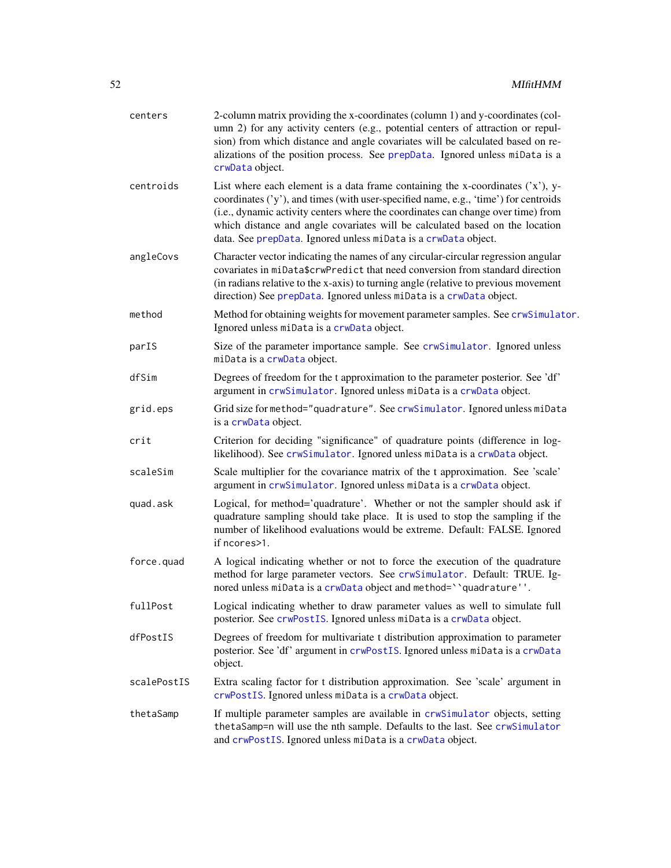| centers     | 2-column matrix providing the x-coordinates (column 1) and y-coordinates (col-<br>umn 2) for any activity centers (e.g., potential centers of attraction or repul-<br>sion) from which distance and angle covariates will be calculated based on re-<br>alizations of the position process. See prepData. Ignored unless miData is a<br>crwData object.                                                        |
|-------------|----------------------------------------------------------------------------------------------------------------------------------------------------------------------------------------------------------------------------------------------------------------------------------------------------------------------------------------------------------------------------------------------------------------|
| centroids   | List where each element is a data frame containing the x-coordinates $('x')$ , y-<br>coordinates ('y'), and times (with user-specified name, e.g., 'time') for centroids<br>(i.e., dynamic activity centers where the coordinates can change over time) from<br>which distance and angle covariates will be calculated based on the location<br>data. See prepData. Ignored unless miData is a crwData object. |
| angleCovs   | Character vector indicating the names of any circular-circular regression angular<br>covariates in miData\$crwPredict that need conversion from standard direction<br>(in radians relative to the x-axis) to turning angle (relative to previous movement<br>direction) See prepData. Ignored unless miData is a crwData object.                                                                               |
| method      | Method for obtaining weights for movement parameter samples. See crwSimulator.<br>Ignored unless miData is a crwData object.                                                                                                                                                                                                                                                                                   |
| parIS       | Size of the parameter importance sample. See crwSimulator. Ignored unless<br>miData is a crwData object.                                                                                                                                                                                                                                                                                                       |
| dfSim       | Degrees of freedom for the t approximation to the parameter posterior. See 'df'<br>argument in crwSimulator. Ignored unless miData is a crwData object.                                                                                                                                                                                                                                                        |
| grid.eps    | Grid size for method="quadrature". See crwSimulator. Ignored unless miData<br>is a crwData object.                                                                                                                                                                                                                                                                                                             |
| crit        | Criterion for deciding "significance" of quadrature points (difference in log-<br>likelihood). See crwSimulator. Ignored unless miData is a crwData object.                                                                                                                                                                                                                                                    |
| scaleSim    | Scale multiplier for the covariance matrix of the t approximation. See 'scale'<br>argument in crwSimulator. Ignored unless miData is a crwData object.                                                                                                                                                                                                                                                         |
| quad.ask    | Logical, for method='quadrature'. Whether or not the sampler should ask if<br>quadrature sampling should take place. It is used to stop the sampling if the<br>number of likelihood evaluations would be extreme. Default: FALSE. Ignored<br>if ncores>1.                                                                                                                                                      |
| force.quad  | A logical indicating whether or not to force the execution of the quadrature<br>method for large parameter vectors. See crwSimulator. Default: TRUE. Ig-<br>nored unless miData is a crwData object and method="quadrature".                                                                                                                                                                                   |
| fullPost    | Logical indicating whether to draw parameter values as well to simulate full<br>posterior. See crwPostIS. Ignored unless miData is a crwData object.                                                                                                                                                                                                                                                           |
| dfPostIS    | Degrees of freedom for multivariate t distribution approximation to parameter<br>posterior. See 'df' argument in crwPostIS. Ignored unless miData is a crwData<br>object.                                                                                                                                                                                                                                      |
| scalePostIS | Extra scaling factor for t distribution approximation. See 'scale' argument in<br>crwPostIS. Ignored unless miData is a crwData object.                                                                                                                                                                                                                                                                        |
| thetaSamp   | If multiple parameter samples are available in crwSimulator objects, setting<br>thetaSamp=n will use the nth sample. Defaults to the last. See crwSimulator<br>and crwPostIS. Ignored unless miData is a crwData object.                                                                                                                                                                                       |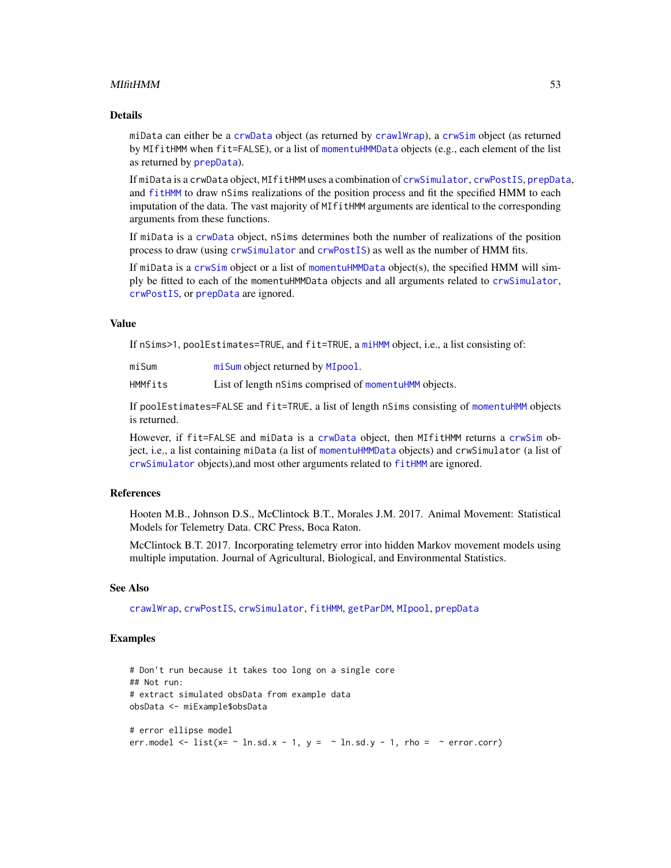#### MIfitHMM 53

### Details

miData can either be a [crwData](#page-15-0) object (as returned by [crawlWrap](#page-11-0)), a [crwSim](#page-15-1) object (as returned by MIfitHMM when fit=FALSE), or a list of [momentuHMMData](#page-57-0) objects (e.g., each element of the list as returned by [prepData](#page-76-0)).

If miData is a crwData object, MIfitHMM uses a combination of [crwSimulator](#page-0-0), [crwPostIS](#page-0-0), [prepData](#page-76-0), and [fitHMM](#page-24-0) to draw nSims realizations of the position process and fit the specified HMM to each imputation of the data. The vast majority of MIfitHMM arguments are identical to the corresponding arguments from these functions.

If miData is a [crwData](#page-15-0) object, nSims determines both the number of realizations of the position process to draw (using [crwSimulator](#page-0-0) and [crwPostIS](#page-0-0)) as well as the number of HMM fits.

If miData is a [crwSim](#page-15-1) object or a list of [momentuHMMData](#page-57-0) object(s), the specified HMM will simply be fitted to each of the momentuHMMData objects and all arguments related to [crwSimulator](#page-0-0), [crwPostIS](#page-0-0), or [prepData](#page-76-0) are ignored.

#### Value

If nSims>1, poolEstimates=TRUE, and fit=TRUE, a [miHMM](#page-53-0) object, i.e., a list consisting of:

[miSum](#page-56-1) miSum object returned by [MIpool](#page-54-0).

HMMfits List of length nSims comprised of [momentuHMM](#page-56-0) objects.

If poolEstimates=FALSE and fit=TRUE, a list of length nSims consisting of [momentuHMM](#page-56-0) objects is returned.

However, if fit=FALSE and miData is a [crwData](#page-15-0) object, then MIfitHMM returns a [crwSim](#page-15-1) object, i.e., a list containing miData (a list of [momentuHMMData](#page-57-0) objects) and crwSimulator (a list of [crwSimulator](#page-0-0) objects),and most other arguments related to [fitHMM](#page-24-0) are ignored.

### References

Hooten M.B., Johnson D.S., McClintock B.T., Morales J.M. 2017. Animal Movement: Statistical Models for Telemetry Data. CRC Press, Boca Raton.

McClintock B.T. 2017. Incorporating telemetry error into hidden Markov movement models using multiple imputation. Journal of Agricultural, Biological, and Environmental Statistics.

#### See Also

[crawlWrap](#page-11-0), [crwPostIS](#page-0-0), [crwSimulator](#page-0-0), [fitHMM](#page-24-0), [getParDM](#page-40-0), [MIpool](#page-54-0), [prepData](#page-76-0)

### Examples

```
# Don't run because it takes too long on a single core
## Not run:
# extract simulated obsData from example data
obsData <- miExample$obsData
# error ellipse model
err.model <- list(x= \sim ln.sd.x - 1, y = \sim ln.sd.y - 1, rho = \sim error.corr)
```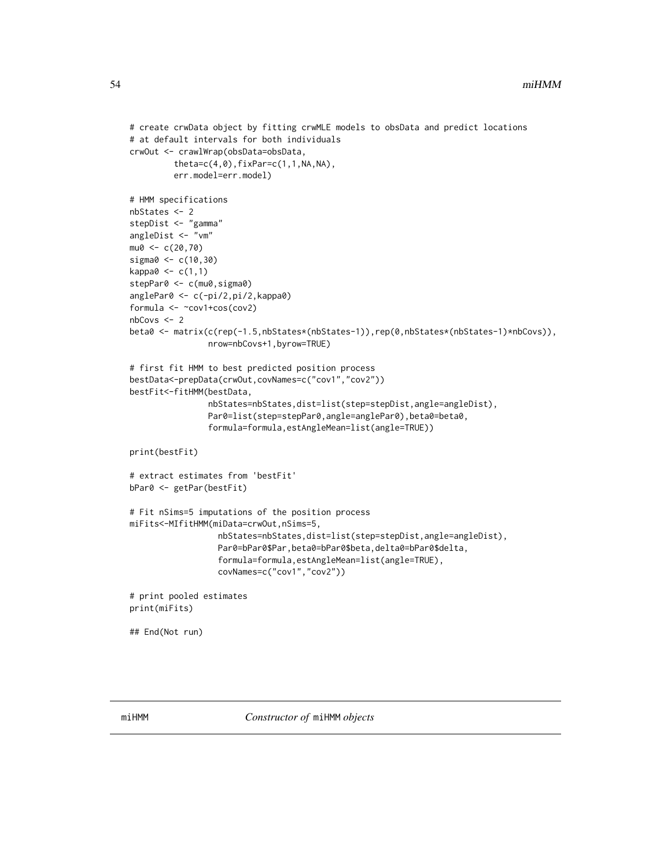```
# create crwData object by fitting crwMLE models to obsData and predict locations
# at default intervals for both individuals
crwOut <- crawlWrap(obsData=obsData,
         theta = c(4, 0), fixPar = c(1, 1, NA, NA),err.model=err.model)
# HMM specifications
nbStates <- 2
stepDist <- "gamma"
angleDist <- "vm"
mu0 < -c(20, 70)sigma0 <- c(10,30)
kappa0 \leq c(1,1)stepPar0 <- c(mu0, sigma0)
anglePar0 <- c(-pi/2,pi/2,kappa0)
formula <- ~cov1+cos(cov2)
nbCovs <- 2
beta0 <- matrix(c(rep(-1.5,nbStates*(nbStates-1)),rep(0,nbStates*(nbStates-1)*nbCovs)),
                nrow=nbCovs+1,byrow=TRUE)
# first fit HMM to best predicted position process
bestData<-prepData(crwOut,covNames=c("cov1","cov2"))
bestFit<-fitHMM(bestData,
                nbStates=nbStates,dist=list(step=stepDist,angle=angleDist),
                Par0=list(step=stepPar0,angle=anglePar0),beta0=beta0,
                formula=formula,estAngleMean=list(angle=TRUE))
print(bestFit)
# extract estimates from 'bestFit'
bPar0 <- getPar(bestFit)
# Fit nSims=5 imputations of the position process
miFits<-MIfitHMM(miData=crwOut,nSims=5,
                  nbStates=nbStates,dist=list(step=stepDist,angle=angleDist),
                  Par0=bPar0$Par,beta0=bPar0$beta,delta0=bPar0$delta,
                  formula=formula,estAngleMean=list(angle=TRUE),
                  covNames=c("cov1","cov2"))
# print pooled estimates
print(miFits)
## End(Not run)
```
<span id="page-53-0"></span>miHMM *Constructor of* miHMM *objects*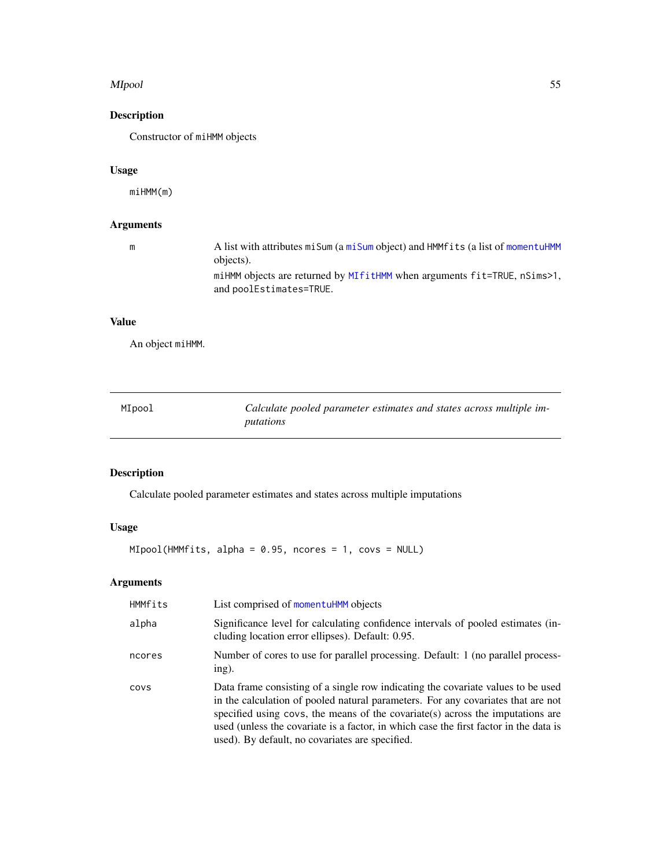#### MIpool 55

# Description

Constructor of miHMM objects

# Usage

miHMM(m)

# Arguments

| m | A list with attributes misum (a misum object) and HMMfits (a list of momentuHMM<br>objects).        |
|---|-----------------------------------------------------------------------------------------------------|
|   | miHMM objects are returned by MIfitHMM when arguments fit=TRUE, nSims>1,<br>and poolEstimates=TRUE. |

# Value

An object miHMM.

<span id="page-54-0"></span>

| MIpool | Calculate pooled parameter estimates and states across multiple im- |
|--------|---------------------------------------------------------------------|
|        | putations                                                           |

# Description

Calculate pooled parameter estimates and states across multiple imputations

### Usage

MIpool(HMMfits, alpha = 0.95, ncores = 1, covs = NULL)

| HMMfits | List comprised of momentuHMM objects                                                                                                                                                                                                                                                                                                                                                                |
|---------|-----------------------------------------------------------------------------------------------------------------------------------------------------------------------------------------------------------------------------------------------------------------------------------------------------------------------------------------------------------------------------------------------------|
| alpha   | Significance level for calculating confidence intervals of pooled estimates (in-<br>cluding location error ellipses). Default: 0.95.                                                                                                                                                                                                                                                                |
| ncores  | Number of cores to use for parallel processing. Default: 1 (no parallel process-<br>ing).                                                                                                                                                                                                                                                                                                           |
| COVS    | Data frame consisting of a single row indicating the covariate values to be used<br>in the calculation of pooled natural parameters. For any covariates that are not<br>specified using covs, the means of the covariate (s) across the imputations are<br>used (unless the covariate is a factor, in which case the first factor in the data is<br>used). By default, no covariates are specified. |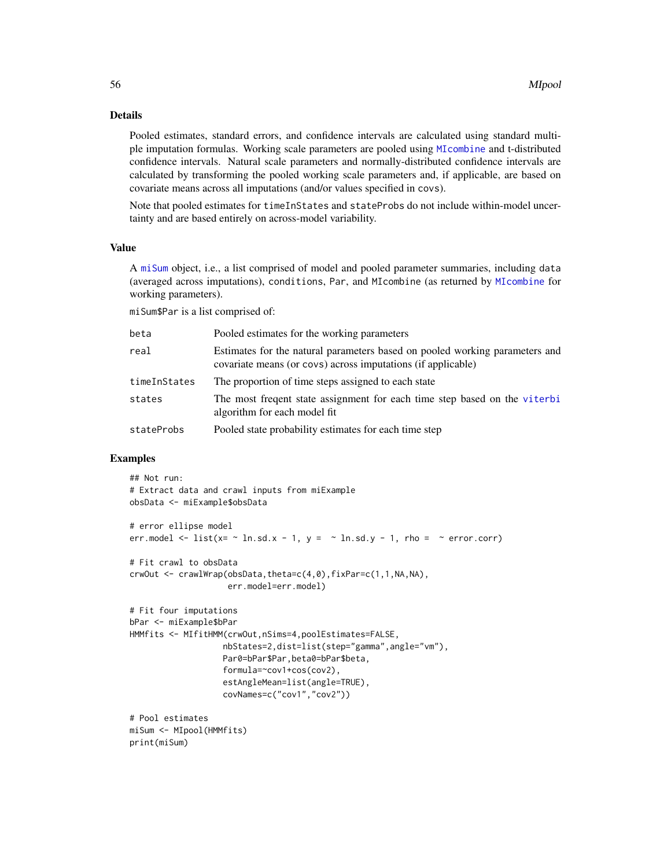### Details

Pooled estimates, standard errors, and confidence intervals are calculated using standard multiple imputation formulas. Working scale parameters are pooled using [MIcombine](#page-0-0) and t-distributed confidence intervals. Natural scale parameters and normally-distributed confidence intervals are calculated by transforming the pooled working scale parameters and, if applicable, are based on covariate means across all imputations (and/or values specified in covs).

Note that pooled estimates for timeInStates and stateProbs do not include within-model uncertainty and are based entirely on across-model variability.

#### Value

A [miSum](#page-56-1) object, i.e., a list comprised of model and pooled parameter summaries, including data (averaged across imputations), conditions, Par, and MIcombine (as returned by [MIcombine](#page-0-0) for working parameters).

miSum\$Par is a list comprised of:

| beta         | Pooled estimates for the working parameters                                                                                                 |
|--------------|---------------------------------------------------------------------------------------------------------------------------------------------|
| real         | Estimates for the natural parameters based on pooled working parameters and<br>covariate means (or covs) across imputations (if applicable) |
| timeInStates | The proportion of time steps assigned to each state                                                                                         |
| states       | The most frequent state assignment for each time step based on the viterbi<br>algorithm for each model fit.                                 |
| stateProbs   | Pooled state probability estimates for each time step                                                                                       |

### Examples

```
## Not run:
# Extract data and crawl inputs from miExample
obsData <- miExample$obsData
# error ellipse model
err.model \le list(x= \sim ln.sd.x - 1, y = \sim ln.sd.y - 1, rho = \sim error.corr)
# Fit crawl to obsData
crwOut <- crawlWrap(obsData,theta=c(4,0),fixPar=c(1,1,NA,NA),
                    err.model=err.model)
# Fit four imputations
bPar <- miExample$bPar
HMMfits <- MIfitHMM(crwOut,nSims=4,poolEstimates=FALSE,
                   nbStates=2,dist=list(step="gamma",angle="vm"),
                   Par0=bPar$Par,beta0=bPar$beta,
                   formula=~cov1+cos(cov2),
                   estAngleMean=list(angle=TRUE),
                   covNames=c("cov1","cov2"))
# Pool estimates
miSum <- MIpool(HMMfits)
print(miSum)
```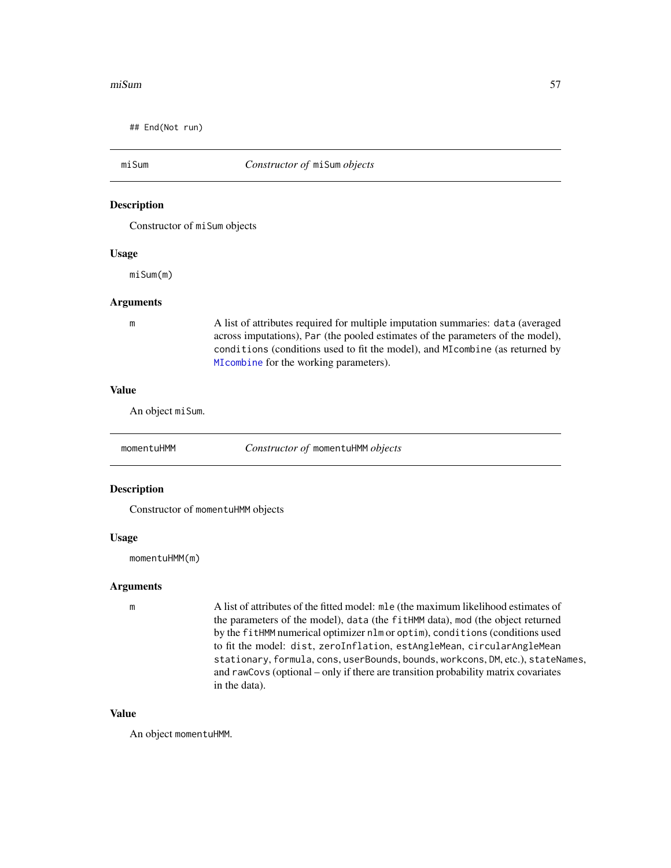#### miSum 57

## End(Not run)

### <span id="page-56-1"></span>miSum *Constructor of* miSum *objects*

#### Description

Constructor of miSum objects

#### Usage

miSum(m)

#### Arguments

m A list of attributes required for multiple imputation summaries: data (averaged across imputations), Par (the pooled estimates of the parameters of the model), conditions (conditions used to fit the model), and MIcombine (as returned by [MIcombine](#page-0-0) for the working parameters).

#### Value

An object miSum.

<span id="page-56-0"></span>momentuHMM *Constructor of* momentuHMM *objects*

#### Description

Constructor of momentuHMM objects

#### Usage

momentuHMM(m)

#### Arguments

m A list of attributes of the fitted model: mle (the maximum likelihood estimates of the parameters of the model), data (the fitHMM data), mod (the object returned by the fitHMM numerical optimizer nlm or optim), conditions (conditions used to fit the model: dist, zeroInflation, estAngleMean, circularAngleMean stationary, formula, cons, userBounds, bounds, workcons, DM, etc.), stateNames, and rawCovs (optional – only if there are transition probability matrix covariates in the data).

### Value

An object momentuHMM.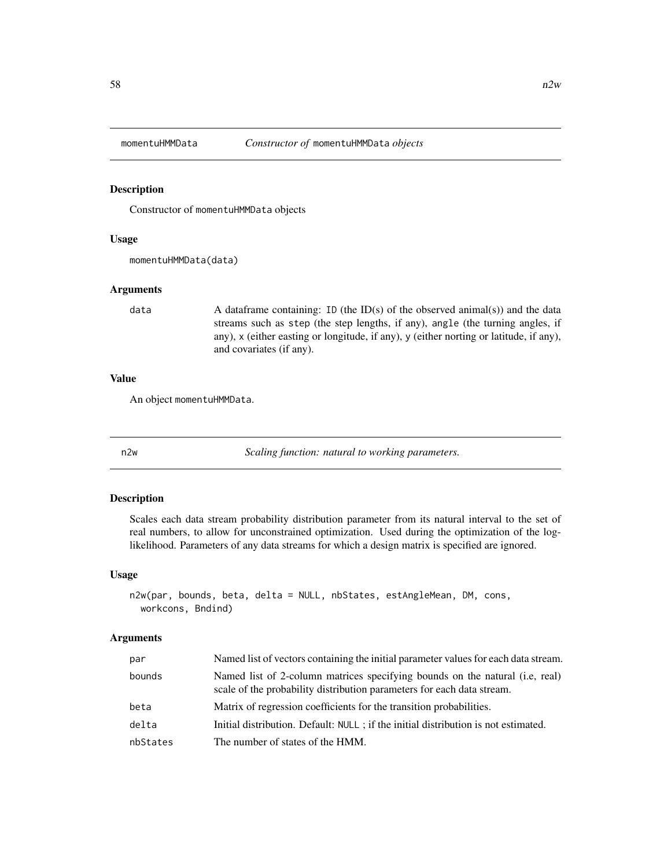<span id="page-57-0"></span>

#### Description

Constructor of momentuHMMData objects

#### Usage

momentuHMMData(data)

### Arguments

data  $\blacksquare$  A dataframe containing: ID (the ID(s) of the observed animal(s)) and the data streams such as step (the step lengths, if any), angle (the turning angles, if any), x (either easting or longitude, if any), y (either norting or latitude, if any), and covariates (if any).

### Value

An object momentuHMMData.

n2w *Scaling function: natural to working parameters.*

### Description

Scales each data stream probability distribution parameter from its natural interval to the set of real numbers, to allow for unconstrained optimization. Used during the optimization of the loglikelihood. Parameters of any data streams for which a design matrix is specified are ignored.

#### Usage

```
n2w(par, bounds, beta, delta = NULL, nbStates, estAngleMean, DM, cons,
 workcons, Bndind)
```

| par      | Named list of vectors containing the initial parameter values for each data stream.                                                                    |
|----------|--------------------------------------------------------------------------------------------------------------------------------------------------------|
| bounds   | Named list of 2-column matrices specifying bounds on the natural (i.e. real)<br>scale of the probability distribution parameters for each data stream. |
| beta     | Matrix of regression coefficients for the transition probabilities.                                                                                    |
| delta    | Initial distribution. Default: NULL ; if the initial distribution is not estimated.                                                                    |
| nbStates | The number of states of the HMM.                                                                                                                       |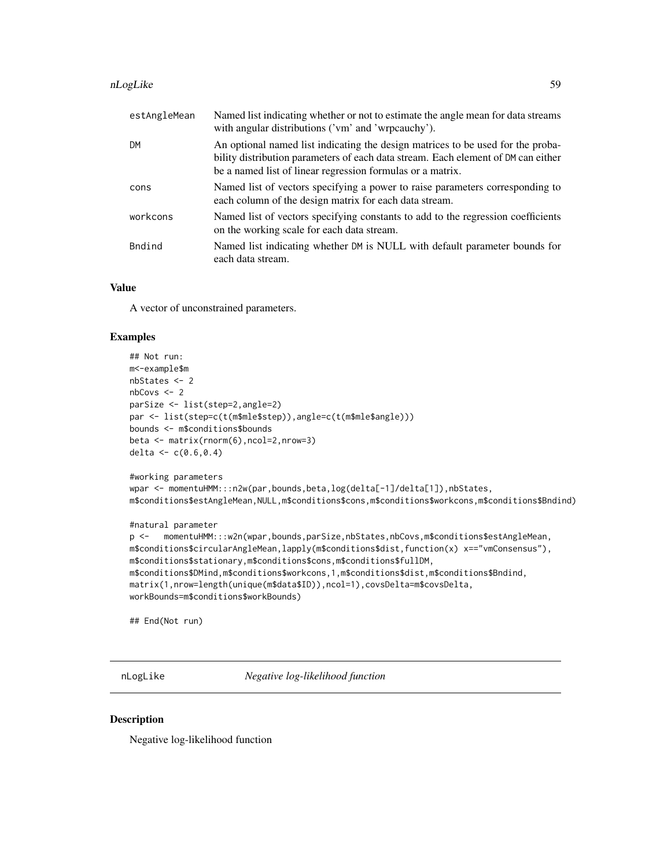#### nLogLike 59

| estAngleMean | Named list indicating whether or not to estimate the angle mean for data streams<br>with angular distributions ('vm' and 'wrpcauchy').                                                                                             |
|--------------|------------------------------------------------------------------------------------------------------------------------------------------------------------------------------------------------------------------------------------|
| <b>DM</b>    | An optional named list indicating the design matrices to be used for the proba-<br>bility distribution parameters of each data stream. Each element of DM can either<br>be a named list of linear regression formulas or a matrix. |
| cons         | Named list of vectors specifying a power to raise parameters corresponding to<br>each column of the design matrix for each data stream.                                                                                            |
| workcons     | Named list of vectors specifying constants to add to the regression coefficients<br>on the working scale for each data stream.                                                                                                     |
| Bndind       | Named list indicating whether DM is NULL with default parameter bounds for<br>each data stream.                                                                                                                                    |

### Value

A vector of unconstrained parameters.

### Examples

```
## Not run:
m<-example$m
nbStates <- 2
nbCovs <- 2
parSize <- list(step=2,angle=2)
par <- list(step=c(t(m$mle$step)),angle=c(t(m$mle$angle)))
bounds <- m$conditions$bounds
beta <- matrix(rnorm(6),ncol=2,nrow=3)
delta <- c(0.6,0.4)
#working parameters
wpar <- momentuHMM:::n2w(par,bounds,beta,log(delta[-1]/delta[1]),nbStates,
m$conditions$estAngleMean,NULL,m$conditions$cons,m$conditions$workcons,m$conditions$Bndind)
#natural parameter
p <- momentuHMM:::w2n(wpar,bounds,parSize,nbStates,nbCovs,m$conditions$estAngleMean,
m$conditions$circularAngleMean,lapply(m$conditions$dist,function(x) x=="vmConsensus"),
m$conditions$stationary,m$conditions$cons,m$conditions$fullDM,
m$conditions$DMind,m$conditions$workcons,1,m$conditions$dist,m$conditions$Bndind,
matrix(1,nrow=length(unique(m$data$ID)),ncol=1),covsDelta=m$covsDelta,
workBounds=m$conditions$workBounds)
```
## End(Not run)

nLogLike *Negative log-likelihood function*

### Description

Negative log-likelihood function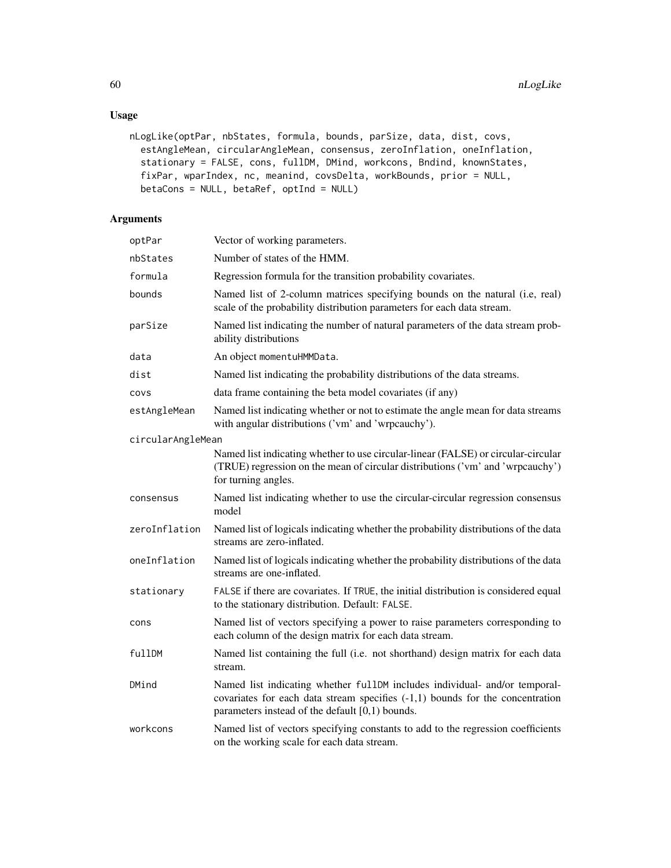# Usage

```
nLogLike(optPar, nbStates, formula, bounds, parSize, data, dist, covs,
  estAngleMean, circularAngleMean, consensus, zeroInflation, oneInflation,
  stationary = FALSE, cons, fullDM, DMind, workcons, Bndind, knownStates,
 fixPar, wparIndex, nc, meanind, covsDelta, workBounds, prior = NULL,
 betaCons = NULL, betaRef, optInd = NULL)
```

| optPar            | Vector of working parameters.                                                                                                                                                                                      |
|-------------------|--------------------------------------------------------------------------------------------------------------------------------------------------------------------------------------------------------------------|
| nbStates          | Number of states of the HMM.                                                                                                                                                                                       |
| formula           | Regression formula for the transition probability covariates.                                                                                                                                                      |
| bounds            | Named list of 2-column matrices specifying bounds on the natural (i.e, real)<br>scale of the probability distribution parameters for each data stream.                                                             |
| parSize           | Named list indicating the number of natural parameters of the data stream prob-<br>ability distributions                                                                                                           |
| data              | An object momentuHMMData.                                                                                                                                                                                          |
| dist              | Named list indicating the probability distributions of the data streams.                                                                                                                                           |
| covs              | data frame containing the beta model covariates (if any)                                                                                                                                                           |
| estAngleMean      | Named list indicating whether or not to estimate the angle mean for data streams<br>with angular distributions ('vm' and 'wrpcauchy').                                                                             |
| circularAngleMean |                                                                                                                                                                                                                    |
|                   | Named list indicating whether to use circular-linear (FALSE) or circular-circular<br>(TRUE) regression on the mean of circular distributions ('vm' and 'wrpcauchy')<br>for turning angles.                         |
| consensus         | Named list indicating whether to use the circular-circular regression consensus<br>model                                                                                                                           |
| zeroInflation     | Named list of logicals indicating whether the probability distributions of the data<br>streams are zero-inflated.                                                                                                  |
| oneInflation      | Named list of logicals indicating whether the probability distributions of the data<br>streams are one-inflated.                                                                                                   |
| stationary        | FALSE if there are covariates. If TRUE, the initial distribution is considered equal<br>to the stationary distribution. Default: FALSE.                                                                            |
| cons              | Named list of vectors specifying a power to raise parameters corresponding to<br>each column of the design matrix for each data stream.                                                                            |
| fullDM            | Named list containing the full (i.e. not shorthand) design matrix for each data<br>stream.                                                                                                                         |
| DMind             | Named list indicating whether fullDM includes individual- and/or temporal-<br>covariates for each data stream specifies $(-1,1)$ bounds for the concentration<br>parameters instead of the default $[0,1)$ bounds. |
| workcons          | Named list of vectors specifying constants to add to the regression coefficients<br>on the working scale for each data stream.                                                                                     |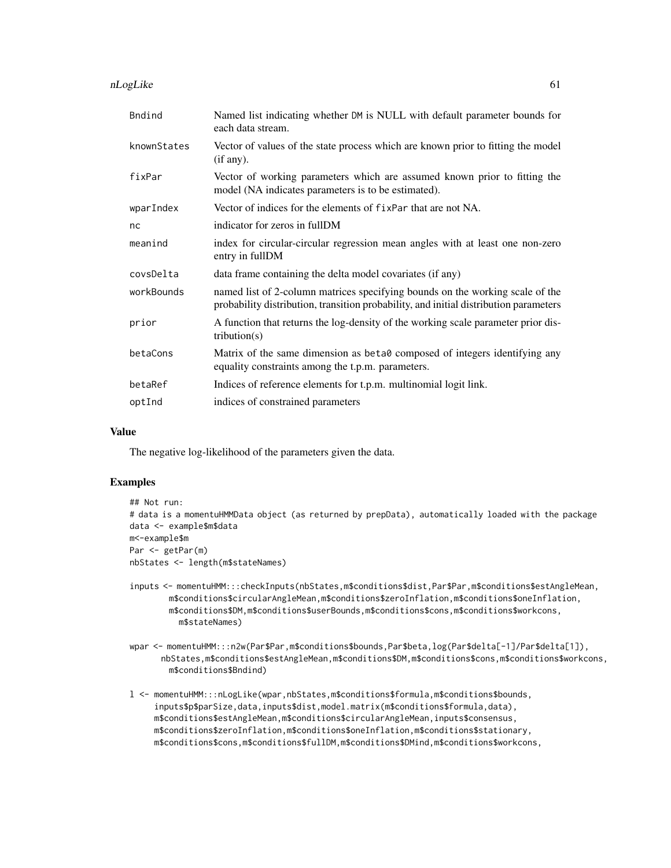nLogLike 61

| Bndind      | Named list indicating whether DM is NULL with default parameter bounds for<br>each data stream.                                                                        |
|-------------|------------------------------------------------------------------------------------------------------------------------------------------------------------------------|
| knownStates | Vector of values of the state process which are known prior to fitting the model<br>(if any).                                                                          |
| fixPar      | Vector of working parameters which are assumed known prior to fitting the<br>model (NA indicates parameters is to be estimated).                                       |
| wparIndex   | Vector of indices for the elements of fixPar that are not NA.                                                                                                          |
| nc          | indicator for zeros in fullDM                                                                                                                                          |
| meanind     | index for circular-circular regression mean angles with at least one non-zero<br>entry in fullDM                                                                       |
| covsDelta   | data frame containing the delta model covariates (if any)                                                                                                              |
| workBounds  | named list of 2-column matrices specifying bounds on the working scale of the<br>probability distribution, transition probability, and initial distribution parameters |
| prior       | A function that returns the log-density of the working scale parameter prior dis-<br>tribution(s)                                                                      |
| betaCons    | Matrix of the same dimension as beta0 composed of integers identifying any<br>equality constraints among the t.p.m. parameters.                                        |
| betaRef     | Indices of reference elements for t.p.m. multinomial logit link.                                                                                                       |
| optInd      | indices of constrained parameters                                                                                                                                      |

#### Value

The negative log-likelihood of the parameters given the data.

### Examples

```
## Not run:
# data is a momentuHMMData object (as returned by prepData), automatically loaded with the package
data <- example$m$data
m<-example$m
Par <- getPar(m)
nbStates <- length(m$stateNames)
```
- inputs <- momentuHMM:::checkInputs(nbStates,m\$conditions\$dist,Par\$Par,m\$conditions\$estAngleMean, m\$conditions\$circularAngleMean,m\$conditions\$zeroInflation,m\$conditions\$oneInflation, m\$conditions\$DM,m\$conditions\$userBounds,m\$conditions\$cons,m\$conditions\$workcons, m\$stateNames)
- wpar <- momentuHMM:::n2w(Par\$Par,m\$conditions\$bounds,Par\$beta,log(Par\$delta[-1]/Par\$delta[1]), nbStates,m\$conditions\$estAngleMean,m\$conditions\$DM,m\$conditions\$cons,m\$conditions\$workcons, m\$conditions\$Bndind)
- l <- momentuHMM:::nLogLike(wpar,nbStates,m\$conditions\$formula,m\$conditions\$bounds, inputs\$p\$parSize,data,inputs\$dist,model.matrix(m\$conditions\$formula,data), m\$conditions\$estAngleMean,m\$conditions\$circularAngleMean,inputs\$consensus, m\$conditions\$zeroInflation,m\$conditions\$oneInflation,m\$conditions\$stationary, m\$conditions\$cons,m\$conditions\$fullDM,m\$conditions\$DMind,m\$conditions\$workcons,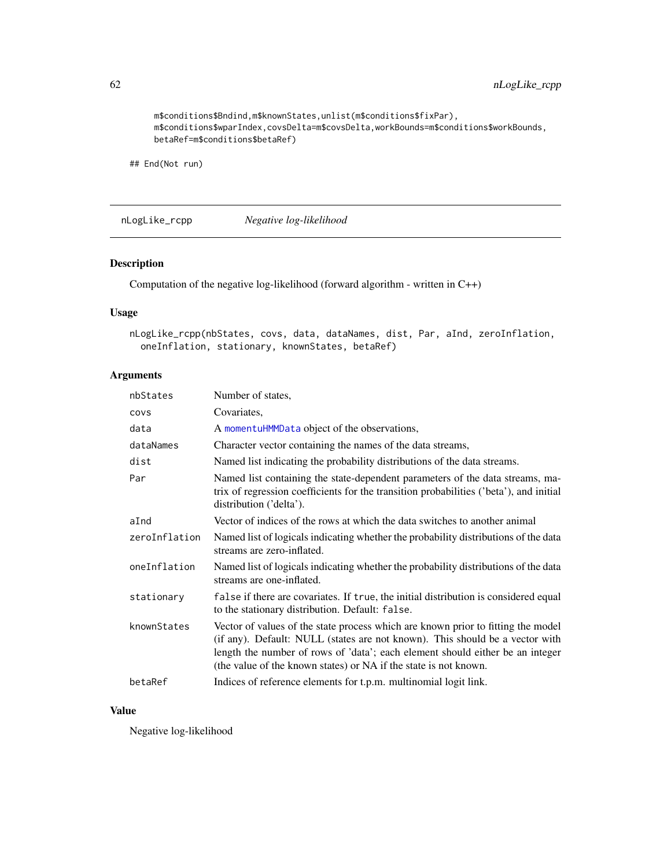m\$conditions\$Bndind,m\$knownStates,unlist(m\$conditions\$fixPar), m\$conditions\$wparIndex,covsDelta=m\$covsDelta,workBounds=m\$conditions\$workBounds, betaRef=m\$conditions\$betaRef)

## End(Not run)

nLogLike\_rcpp *Negative log-likelihood*

### Description

Computation of the negative log-likelihood (forward algorithm - written in C++)

### Usage

```
nLogLike_rcpp(nbStates, covs, data, dataNames, dist, Par, aInd, zeroInflation,
 oneInflation, stationary, knownStates, betaRef)
```
### Arguments

| nbStates      | Number of states,                                                                                                                                                                                                                                                                                                     |
|---------------|-----------------------------------------------------------------------------------------------------------------------------------------------------------------------------------------------------------------------------------------------------------------------------------------------------------------------|
| covs          | Covariates,                                                                                                                                                                                                                                                                                                           |
| data          | A momentuHMMData object of the observations,                                                                                                                                                                                                                                                                          |
| dataNames     | Character vector containing the names of the data streams,                                                                                                                                                                                                                                                            |
| dist          | Named list indicating the probability distributions of the data streams.                                                                                                                                                                                                                                              |
| Par           | Named list containing the state-dependent parameters of the data streams, ma-<br>trix of regression coefficients for the transition probabilities ('beta'), and initial<br>distribution ('delta').                                                                                                                    |
| aInd          | Vector of indices of the rows at which the data switches to another animal                                                                                                                                                                                                                                            |
| zeroInflation | Named list of logicals indicating whether the probability distributions of the data<br>streams are zero-inflated.                                                                                                                                                                                                     |
| oneInflation  | Named list of logicals indicating whether the probability distributions of the data<br>streams are one-inflated.                                                                                                                                                                                                      |
| stationary    | false if there are covariates. If true, the initial distribution is considered equal<br>to the stationary distribution. Default: false.                                                                                                                                                                               |
| knownStates   | Vector of values of the state process which are known prior to fitting the model<br>(if any). Default: NULL (states are not known). This should be a vector with<br>length the number of rows of 'data'; each element should either be an integer<br>(the value of the known states) or NA if the state is not known. |
| betaRef       | Indices of reference elements for t.p.m. multinomial logit link.                                                                                                                                                                                                                                                      |

### Value

Negative log-likelihood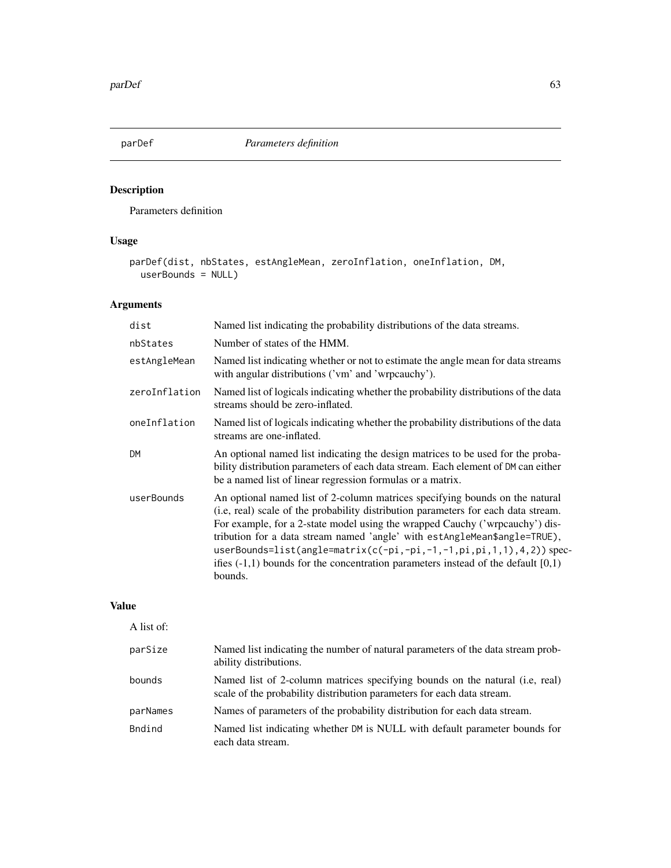# Description

Parameters definition

### Usage

```
parDef(dist, nbStates, estAngleMean, zeroInflation, oneInflation, DM,
 userBounds = NULL)
```
# Arguments

| dist          | Named list indicating the probability distributions of the data streams.                                                                                                                                                                                                                                                                                                                                                                                                                                   |
|---------------|------------------------------------------------------------------------------------------------------------------------------------------------------------------------------------------------------------------------------------------------------------------------------------------------------------------------------------------------------------------------------------------------------------------------------------------------------------------------------------------------------------|
| nbStates      | Number of states of the HMM.                                                                                                                                                                                                                                                                                                                                                                                                                                                                               |
| estAngleMean  | Named list indicating whether or not to estimate the angle mean for data streams<br>with angular distributions ('vm' and 'wrpcauchy').                                                                                                                                                                                                                                                                                                                                                                     |
| zeroInflation | Named list of logicals indicating whether the probability distributions of the data<br>streams should be zero-inflated.                                                                                                                                                                                                                                                                                                                                                                                    |
| oneInflation  | Named list of logicals indicating whether the probability distributions of the data<br>streams are one-inflated.                                                                                                                                                                                                                                                                                                                                                                                           |
| <b>DM</b>     | An optional named list indicating the design matrices to be used for the proba-<br>bility distribution parameters of each data stream. Each element of DM can either<br>be a named list of linear regression formulas or a matrix.                                                                                                                                                                                                                                                                         |
| userBounds    | An optional named list of 2-column matrices specifying bounds on the natural<br>(i.e, real) scale of the probability distribution parameters for each data stream.<br>For example, for a 2-state model using the wrapped Cauchy ('wrpcauchy') dis-<br>tribution for a data stream named 'angle' with estAngleMean\$angle=TRUE),<br>userBounds=list(angle=matrix(c(-pi,-pi,-1,-1,pi,pi,1,1),4,2)) spec-<br>ifies $(-1,1)$ bounds for the concentration parameters instead of the default $[0,1)$<br>bounds. |

### Value

| A list of: |                                                                                                                                                         |
|------------|---------------------------------------------------------------------------------------------------------------------------------------------------------|
| parSize    | Named list indicating the number of natural parameters of the data stream prob-<br>ability distributions.                                               |
| bounds     | Named list of 2-column matrices specifying bounds on the natural (i.e., real)<br>scale of the probability distribution parameters for each data stream. |
| parNames   | Names of parameters of the probability distribution for each data stream.                                                                               |
| Bndind     | Named list indicating whether DM is NULL with default parameter bounds for<br>each data stream.                                                         |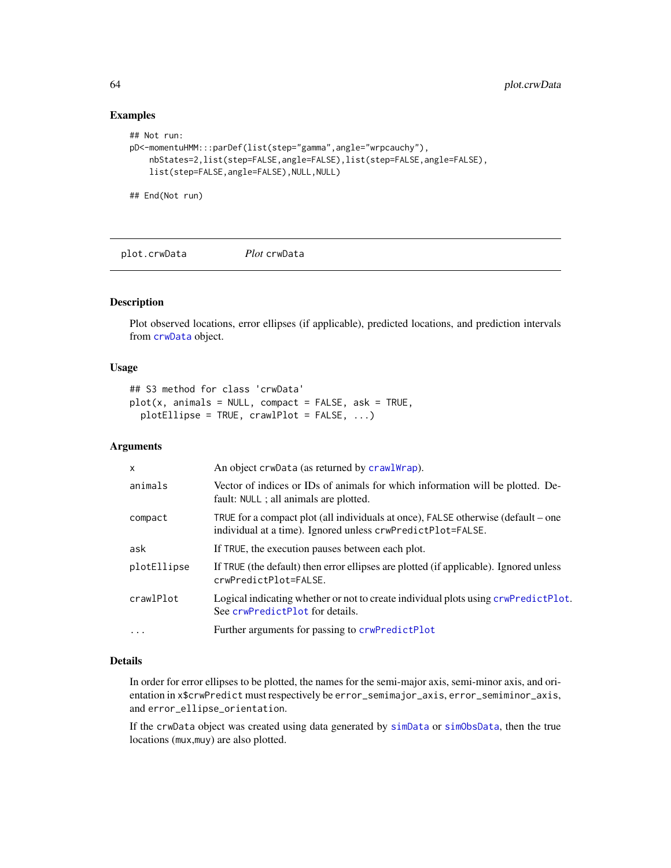### Examples

```
## Not run:
pD<-momentuHMM:::parDef(list(step="gamma",angle="wrpcauchy"),
   nbStates=2,list(step=FALSE,angle=FALSE),list(step=FALSE,angle=FALSE),
   list(step=FALSE,angle=FALSE),NULL,NULL)
```

```
## End(Not run)
```
plot.crwData *Plot* crwData

### Description

Plot observed locations, error ellipses (if applicable), predicted locations, and prediction intervals from [crwData](#page-15-0) object.

### Usage

```
## S3 method for class 'crwData'
plot(x, animals = NULL, compact = FALSE, ask = TRUE,plotEllipse = TRUE, crawlPlot = FALSE, ...)
```
### Arguments

| $\mathsf{x}$ | An object crwData (as returned by crawlWrap).                                                                                                    |  |
|--------------|--------------------------------------------------------------------------------------------------------------------------------------------------|--|
| animals      | Vector of indices or IDs of animals for which information will be plotted. De-<br>fault: NULL ; all animals are plotted.                         |  |
| compact      | TRUE for a compact plot (all individuals at once), FALSE otherwise (default – one<br>individual at a time). Ignored unless crwPredictPlot=FALSE. |  |
| ask          | If TRUE, the execution pauses between each plot.                                                                                                 |  |
| plotEllipse  | If TRUE (the default) then error ellipses are plotted (if applicable). Ignored unless<br>crwPredictPlot=FALSE.                                   |  |
| crawlPlot    | Logical indicating whether or not to create individual plots using crwPredictPlot.<br>See crwPredictPlot for details.                            |  |
| $\ddots$     | Further arguments for passing to crwPredictPlot                                                                                                  |  |

#### Details

In order for error ellipses to be plotted, the names for the semi-major axis, semi-minor axis, and orientation in x\$crwPredict must respectively be error\_semimajor\_axis, error\_semiminor\_axis, and error\_ellipse\_orientation.

If the crwData object was created using data generated by [simData](#page-83-0) or [simObsData](#page-92-0), then the true locations (mux,muy) are also plotted.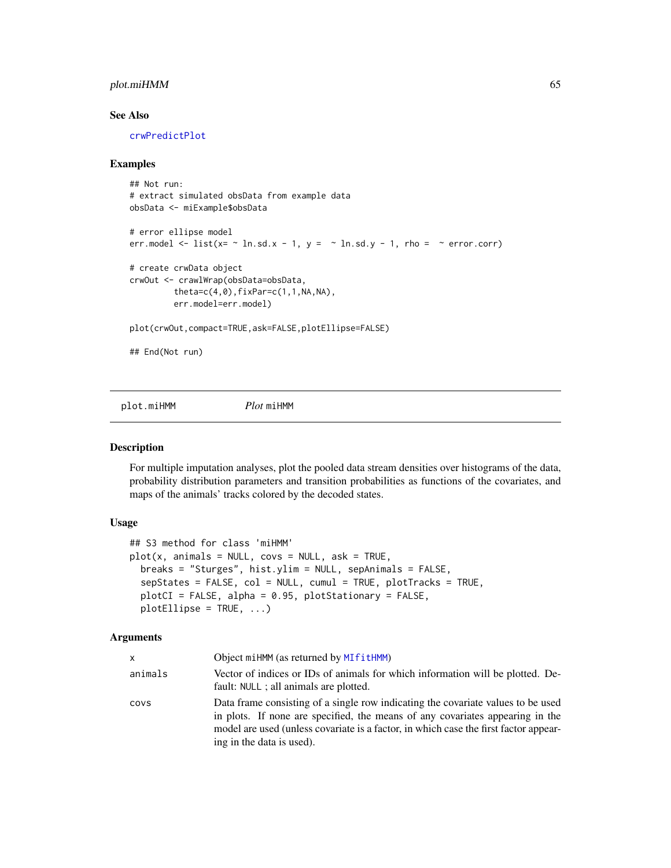### plot.miHMM 65

### See Also

[crwPredictPlot](#page-0-0)

#### Examples

```
## Not run:
# extract simulated obsData from example data
obsData <- miExample$obsData
# error ellipse model
err.model <- list(x= \sim ln.sd.x - 1, y = \sim ln.sd.y - 1, rho = \sim error.corr)
# create crwData object
crwOut <- crawlWrap(obsData=obsData,
         theta=c(4,0),fixPar=c(1,1,NA,NA),err.model=err.model)
plot(crwOut,compact=TRUE,ask=FALSE,plotEllipse=FALSE)
## End(Not run)
```
plot.miHMM *Plot* miHMM

#### Description

For multiple imputation analyses, plot the pooled data stream densities over histograms of the data, probability distribution parameters and transition probabilities as functions of the covariates, and maps of the animals' tracks colored by the decoded states.

### Usage

```
## S3 method for class 'miHMM'
plot(x, animals = NULL, cows = NULL, ask = TRUE,breaks = "Sturges", hist.ylim = NULL, sepAnimals = FALSE,
  sepStates = FALSE, col = NULL, cumul = TRUE, plotTracks = TRUE,
 plotCI = FALSE, alpha = 0.95, plotStationary = FALSE,
 plotEllipse = TRUE, ...)
```

| x       | Object miHMM (as returned by MIfitHMM)                                                                                                                                                                                                                                                 |
|---------|----------------------------------------------------------------------------------------------------------------------------------------------------------------------------------------------------------------------------------------------------------------------------------------|
| animals | Vector of indices or IDs of animals for which information will be plotted. De-<br>fault: NULL ; all animals are plotted.                                                                                                                                                               |
| covs    | Data frame consisting of a single row indicating the covariate values to be used<br>in plots. If none are specified, the means of any covariates appearing in the<br>model are used (unless covariate is a factor, in which case the first factor appear-<br>ing in the data is used). |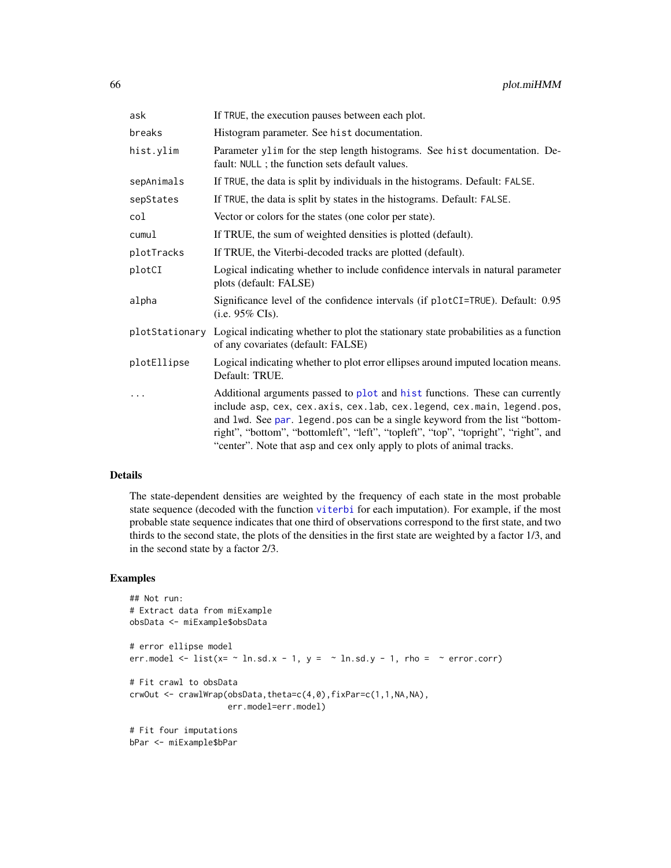| ask         | If TRUE, the execution pauses between each plot.                                                                                                                                                                                                                                                                                                                                                     |  |  |
|-------------|------------------------------------------------------------------------------------------------------------------------------------------------------------------------------------------------------------------------------------------------------------------------------------------------------------------------------------------------------------------------------------------------------|--|--|
| breaks      | Histogram parameter. See hist documentation.                                                                                                                                                                                                                                                                                                                                                         |  |  |
| hist.ylim   | Parameter ylim for the step length histograms. See hist documentation. De-<br>fault: NULL ; the function sets default values.                                                                                                                                                                                                                                                                        |  |  |
| sepAnimals  | If TRUE, the data is split by individuals in the histograms. Default: FALSE.                                                                                                                                                                                                                                                                                                                         |  |  |
| sepStates   | If TRUE, the data is split by states in the histograms. Default: FALSE.                                                                                                                                                                                                                                                                                                                              |  |  |
| col         | Vector or colors for the states (one color per state).                                                                                                                                                                                                                                                                                                                                               |  |  |
| cumul       | If TRUE, the sum of weighted densities is plotted (default).                                                                                                                                                                                                                                                                                                                                         |  |  |
| plotTracks  | If TRUE, the Viterbi-decoded tracks are plotted (default).                                                                                                                                                                                                                                                                                                                                           |  |  |
| plotCI      | Logical indicating whether to include confidence intervals in natural parameter<br>plots (default: FALSE)                                                                                                                                                                                                                                                                                            |  |  |
| alpha       | Significance level of the confidence intervals (if plotCI=TRUE). Default: 0.95<br>$(i.e. 95\% \text{ CIs}).$                                                                                                                                                                                                                                                                                         |  |  |
|             | plotStationary Logical indicating whether to plot the stationary state probabilities as a function<br>of any covariates (default: FALSE)                                                                                                                                                                                                                                                             |  |  |
| plotEllipse | Logical indicating whether to plot error ellipses around imputed location means.<br>Default: TRUE.                                                                                                                                                                                                                                                                                                   |  |  |
| $\cdots$    | Additional arguments passed to plot and hist functions. These can currently<br>include asp, cex, cex.axis, cex.lab, cex.legend, cex.main, legend.pos,<br>and 1wd. See par. legend. pos can be a single keyword from the list "bottom-<br>right", "bottom", "bottomleft", "left", "topleft", "top", "topright", "right", and<br>"center". Note that asp and cex only apply to plots of animal tracks. |  |  |

### Details

The state-dependent densities are weighted by the frequency of each state in the most probable state sequence (decoded with the function [viterbi](#page-99-0) for each imputation). For example, if the most probable state sequence indicates that one third of observations correspond to the first state, and two thirds to the second state, the plots of the densities in the first state are weighted by a factor 1/3, and in the second state by a factor 2/3.

### Examples

```
## Not run:
# Extract data from miExample
obsData <- miExample$obsData
# error ellipse model
err.model \le list(x= \sim ln.sd.x - 1, y = \sim ln.sd.y - 1, rho = \sim error.corr)
# Fit crawl to obsData
crwOut <- crawlWrap(obsData,theta=c(4,0),fixPar=c(1,1,NA,NA),
                    err.model=err.model)
# Fit four imputations
bPar <- miExample$bPar
```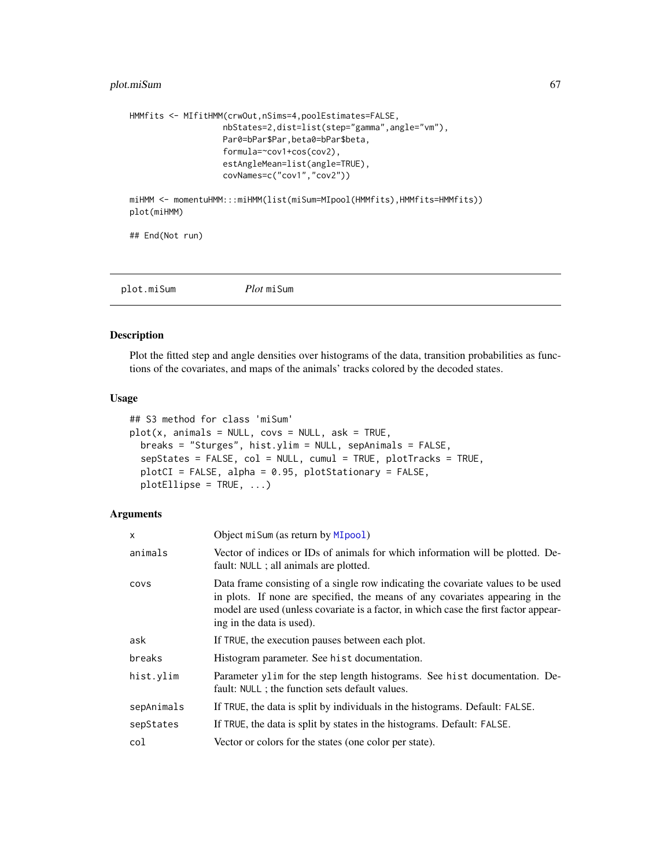### plot.miSum 67

```
HMMfits <- MIfitHMM(crwOut,nSims=4,poolEstimates=FALSE,
                   nbStates=2,dist=list(step="gamma",angle="vm"),
                   Par0=bPar$Par,beta0=bPar$beta,
                   formula=~cov1+cos(cov2),
                   estAngleMean=list(angle=TRUE),
                   covNames=c("cov1","cov2"))
miHMM <- momentuHMM:::miHMM(list(miSum=MIpool(HMMfits),HMMfits=HMMfits))
plot(miHMM)
```
## End(Not run)

plot.miSum *Plot* miSum

#### Description

Plot the fitted step and angle densities over histograms of the data, transition probabilities as functions of the covariates, and maps of the animals' tracks colored by the decoded states.

#### Usage

```
## S3 method for class 'miSum'
plot(x, animals = NULL, cows = NULL, ask = TRUE,breaks = "Sturges", hist.ylim = NULL, sepAnimals = FALSE,
  sepStates = FALSE, col = NULL, cumul = TRUE, plotTracks = TRUE,
 plotCI = FALSE, alpha = 0.95, plotStationary = FALSE,
 plotEllipse = TRUE, ...)
```

| $\mathsf{x}$ | Object mi Sum (as return by MIpool)                                                                                                                                                                                                                                                    |  |
|--------------|----------------------------------------------------------------------------------------------------------------------------------------------------------------------------------------------------------------------------------------------------------------------------------------|--|
| animals      | Vector of indices or IDs of animals for which information will be plotted. De-<br>fault: NULL ; all animals are plotted.                                                                                                                                                               |  |
| COVS         | Data frame consisting of a single row indicating the covariate values to be used<br>in plots. If none are specified, the means of any covariates appearing in the<br>model are used (unless covariate is a factor, in which case the first factor appear-<br>ing in the data is used). |  |
| ask          | If TRUE, the execution pauses between each plot.                                                                                                                                                                                                                                       |  |
| breaks       | Histogram parameter. See hist documentation.                                                                                                                                                                                                                                           |  |
| hist.ylim    | Parameter ylim for the step length histograms. See hist documentation. De-<br>fault: NULL ; the function sets default values.                                                                                                                                                          |  |
| sepAnimals   | If TRUE, the data is split by individuals in the histograms. Default: FALSE.                                                                                                                                                                                                           |  |
| sepStates    | If TRUE, the data is split by states in the histograms. Default: FALSE.                                                                                                                                                                                                                |  |
| col          | Vector or colors for the states (one color per state).                                                                                                                                                                                                                                 |  |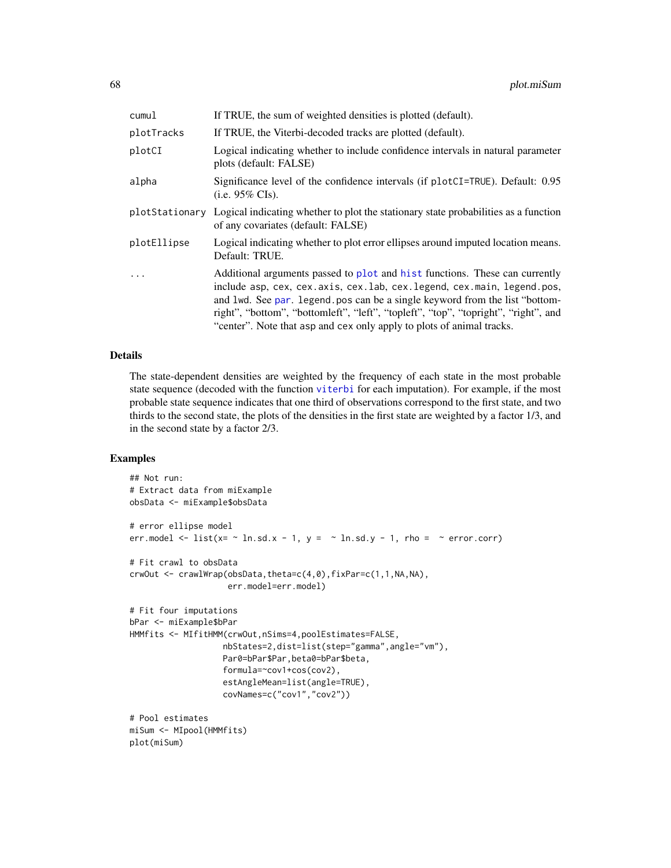| cumul          | If TRUE, the sum of weighted densities is plotted (default).                                                                                                                                                                                                                                                                                                                                             |
|----------------|----------------------------------------------------------------------------------------------------------------------------------------------------------------------------------------------------------------------------------------------------------------------------------------------------------------------------------------------------------------------------------------------------------|
| plotTracks     | If TRUE, the Viterbi-decoded tracks are plotted (default).                                                                                                                                                                                                                                                                                                                                               |
| plotCI         | Logical indicating whether to include confidence intervals in natural parameter<br>plots (default: FALSE)                                                                                                                                                                                                                                                                                                |
| alpha          | Significance level of the confidence intervals (if plotCI=TRUE). Default: 0.95<br>(i.e. $95\%$ CIs).                                                                                                                                                                                                                                                                                                     |
| plotStationary | Logical indicating whether to plot the stationary state probabilities as a function<br>of any covariates (default: FALSE)                                                                                                                                                                                                                                                                                |
| plotEllipse    | Logical indicating whether to plot error ellipses around imputed location means.<br>Default: TRUE.                                                                                                                                                                                                                                                                                                       |
| .              | Additional arguments passed to plot and hist functions. These can currently<br>include asp, cex, cex. axis, cex. lab, cex. legend, cex. main, legend. pos,<br>and lwd. See par. legend pos can be a single keyword from the list "bottom-<br>right", "bottom", "bottomleft", "left", "topleft", "top", "topright", "right", and<br>"center". Note that asp and cex only apply to plots of animal tracks. |

#### Details

The state-dependent densities are weighted by the frequency of each state in the most probable state sequence (decoded with the function [viterbi](#page-99-0) for each imputation). For example, if the most probable state sequence indicates that one third of observations correspond to the first state, and two thirds to the second state, the plots of the densities in the first state are weighted by a factor 1/3, and in the second state by a factor 2/3.

### Examples

```
## Not run:
# Extract data from miExample
obsData <- miExample$obsData
# error ellipse model
err.model <- list(x= \sim ln.sd.x - 1, y = \sim ln.sd.y - 1, rho = \sim error.corr)
# Fit crawl to obsData
crwOut <- crawlWrap(obsData,theta=c(4,0),fixPar=c(1,1,NA,NA),
                    err.model=err.model)
# Fit four imputations
bPar <- miExample$bPar
HMMfits <- MIfitHMM(crwOut,nSims=4,poolEstimates=FALSE,
                   nbStates=2,dist=list(step="gamma",angle="vm"),
                   Par0=bPar$Par,beta0=bPar$beta,
                   formula=~cov1+cos(cov2),
                   estAngleMean=list(angle=TRUE),
                   covNames=c("cov1","cov2"))
# Pool estimates
miSum <- MIpool(HMMfits)
plot(miSum)
```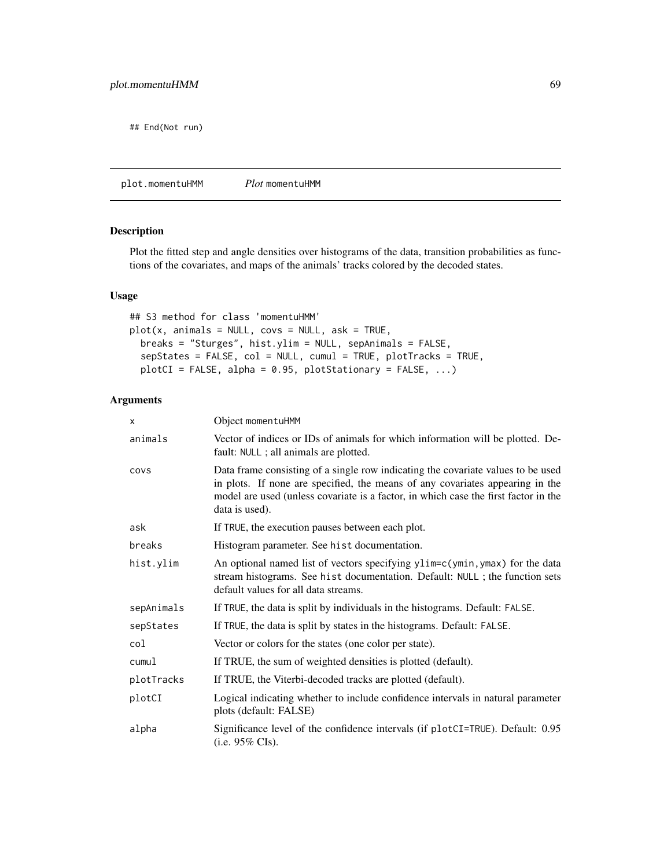## End(Not run)

plot.momentuHMM *Plot* momentuHMM

### Description

Plot the fitted step and angle densities over histograms of the data, transition probabilities as functions of the covariates, and maps of the animals' tracks colored by the decoded states.

### Usage

```
## S3 method for class 'momentuHMM'
plot(x, animals = NULL, covs = NULL, ask = TRUE,
 breaks = "Sturges", hist.ylim = NULL, sepAnimals = FALSE,
  sepStates = FALSE, col = NULL, cumul = TRUE, plotTracks = TRUE,
 plotCI = FALSE, alpha = 0.95, plotStationary = FALSE, ...)
```

| X          | Object momentuHMM                                                                                                                                                                                                                                                          |  |  |
|------------|----------------------------------------------------------------------------------------------------------------------------------------------------------------------------------------------------------------------------------------------------------------------------|--|--|
| animals    | Vector of indices or IDs of animals for which information will be plotted. De-<br>fault: NULL ; all animals are plotted.                                                                                                                                                   |  |  |
| COVS       | Data frame consisting of a single row indicating the covariate values to be used<br>in plots. If none are specified, the means of any covariates appearing in the<br>model are used (unless covariate is a factor, in which case the first factor in the<br>data is used). |  |  |
| ask        | If TRUE, the execution pauses between each plot.                                                                                                                                                                                                                           |  |  |
| breaks     | Histogram parameter. See hist documentation.                                                                                                                                                                                                                               |  |  |
| hist.ylim  | An optional named list of vectors specifying ylim=c(ymin, ymax) for the data<br>stream histograms. See hist documentation. Default: NULL ; the function sets<br>default values for all data streams.                                                                       |  |  |
| sepAnimals | If TRUE, the data is split by individuals in the histograms. Default: FALSE.                                                                                                                                                                                               |  |  |
| sepStates  | If TRUE, the data is split by states in the histograms. Default: FALSE.                                                                                                                                                                                                    |  |  |
| col        | Vector or colors for the states (one color per state).                                                                                                                                                                                                                     |  |  |
| cumul      | If TRUE, the sum of weighted densities is plotted (default).                                                                                                                                                                                                               |  |  |
| plotTracks | If TRUE, the Viterbi-decoded tracks are plotted (default).                                                                                                                                                                                                                 |  |  |
| plotCI     | Logical indicating whether to include confidence intervals in natural parameter<br>plots (default: FALSE)                                                                                                                                                                  |  |  |
| alpha      | Significance level of the confidence intervals (if plotCI=TRUE). Default: 0.95<br>(i.e. $95\%$ CIs).                                                                                                                                                                       |  |  |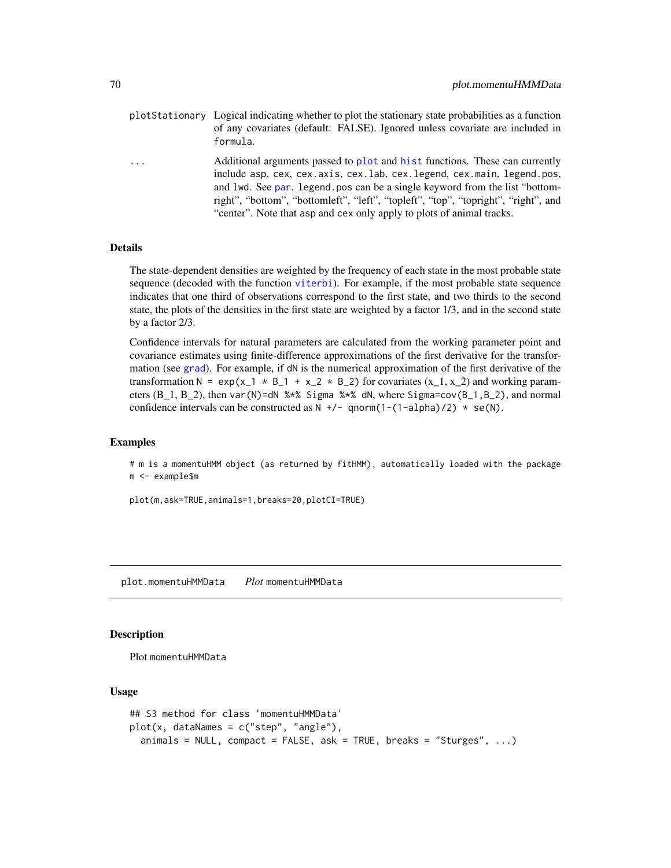- plotStationary Logical indicating whether to plot the stationary state probabilities as a function of any covariates (default: FALSE). Ignored unless covariate are included in formula.
- ... Additional arguments passed to [plot](#page-0-0) and [hist](#page-0-0) functions. These can currently include asp, cex, cex.axis, cex.lab, cex.legend, cex.main, legend.pos, and lwd. See [par](#page-0-0). legend.pos can be a single keyword from the list "bottomright", "bottom", "bottomleft", "left", "topleft", "top", "topright", "right", and "center". Note that asp and cex only apply to plots of animal tracks.

#### Details

The state-dependent densities are weighted by the frequency of each state in the most probable state sequence (decoded with the function [viterbi](#page-99-0)). For example, if the most probable state sequence indicates that one third of observations correspond to the first state, and two thirds to the second state, the plots of the densities in the first state are weighted by a factor 1/3, and in the second state by a factor 2/3.

Confidence intervals for natural parameters are calculated from the working parameter point and covariance estimates using finite-difference approximations of the first derivative for the transformation (see [grad](#page-0-0)). For example, if dN is the numerical approximation of the first derivative of the transformation N =  $exp(x_1 \times B_1 + x_2 \times B_2)$  for covariates  $(x_1, x_2)$  and working parameters  $(B_1, B_2)$ , then var(N)=dN % $*$ % Sigma % $*$ % dN, where Sigma=cov( $B_1, B_2$ ), and normal confidence intervals can be constructed as  $N +/-$  qnorm(1-(1-alpha)/2)  $*$  se(N).

#### Examples

# m is a momentuHMM object (as returned by fitHMM), automatically loaded with the package m <- example\$m

plot(m,ask=TRUE,animals=1,breaks=20,plotCI=TRUE)

plot.momentuHMMData *Plot* momentuHMMData

### **Description**

Plot momentuHMMData

### Usage

```
## S3 method for class 'momentuHMMData'
plot(x, dataNames = c("step", "angle"),animals = NULL, compact = FALSE, ask = TRUE, breaks = "Sturges", \ldots)
```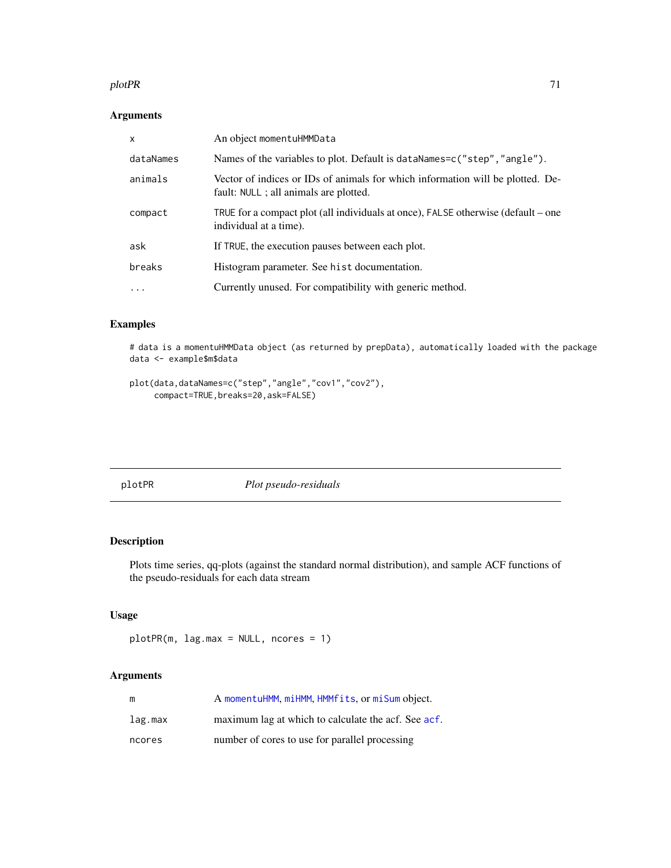#### plotPR 71

# Arguments

| x         | An object momentuHMMData                                                                                                 |
|-----------|--------------------------------------------------------------------------------------------------------------------------|
| dataNames | Names of the variables to plot. Default is dataNames=c("step", "angle").                                                 |
| animals   | Vector of indices or IDs of animals for which information will be plotted. De-<br>fault: NULL ; all animals are plotted. |
| compact   | TRUE for a compact plot (all individuals at once), FALSE otherwise (default – one<br>individual at a time).              |
| ask       | If TRUE, the execution pauses between each plot.                                                                         |
| breaks    | Histogram parameter. See hist documentation.                                                                             |
| $\cdot$   | Currently unused. For compatibility with generic method.                                                                 |

### Examples

# data is a momentuHMMData object (as returned by prepData), automatically loaded with the package data <- example\$m\$data

```
plot(data,dataNames=c("step","angle","cov1","cov2"),
    compact=TRUE,breaks=20,ask=FALSE)
```
<span id="page-70-0"></span>

|  |  | ī |
|--|--|---|
|  |  |   |

plotPR *Plot pseudo-residuals*

### Description

Plots time series, qq-plots (against the standard normal distribution), and sample ACF functions of the pseudo-residuals for each data stream

### Usage

```
plotPR(m, lag.max = NULL, ncores = 1)
```

| m       | A momentuHMM, miHMM, HMMfits, or miSum object.      |
|---------|-----------------------------------------------------|
| lag.max | maximum lag at which to calculate the acf. See acf. |
| ncores  | number of cores to use for parallel processing      |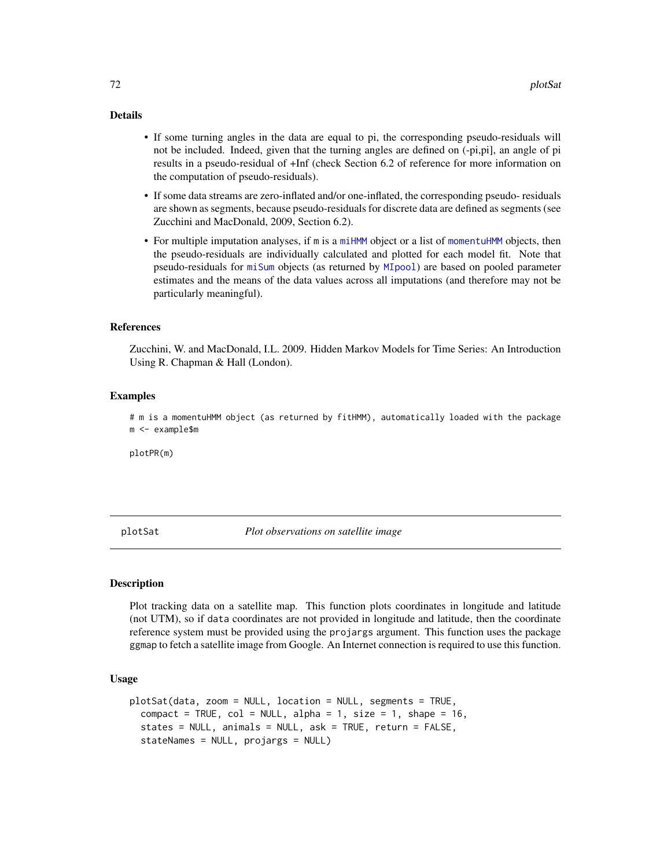### Details

- If some turning angles in the data are equal to pi, the corresponding pseudo-residuals will not be included. Indeed, given that the turning angles are defined on (-pi,pi], an angle of pi results in a pseudo-residual of +Inf (check Section 6.2 of reference for more information on the computation of pseudo-residuals).
- If some data streams are zero-inflated and/or one-inflated, the corresponding pseudo- residuals are shown as segments, because pseudo-residuals for discrete data are defined as segments (see Zucchini and MacDonald, 2009, Section 6.2).
- For multiple imputation analyses, if m is a [miHMM](#page-53-0) object or a list of [momentuHMM](#page-56-0) objects, then the pseudo-residuals are individually calculated and plotted for each model fit. Note that pseudo-residuals for [miSum](#page-56-1) objects (as returned by [MIpool](#page-54-0)) are based on pooled parameter estimates and the means of the data values across all imputations (and therefore may not be particularly meaningful).

#### References

Zucchini, W. and MacDonald, I.L. 2009. Hidden Markov Models for Time Series: An Introduction Using R. Chapman & Hall (London).

#### Examples

# m is a momentuHMM object (as returned by fitHMM), automatically loaded with the package m <- example\$m

plotPR(m)

plotSat *Plot observations on satellite image*

#### Description

Plot tracking data on a satellite map. This function plots coordinates in longitude and latitude (not UTM), so if data coordinates are not provided in longitude and latitude, then the coordinate reference system must be provided using the projargs argument. This function uses the package ggmap to fetch a satellite image from Google. An Internet connection is required to use this function.

#### Usage

```
plotSat(data, zoom = NULL, location = NULL, segments = TRUE,
  compact = TRUE, col = NULL, alpha = 1, size = 1, shape = 16,
  states = NULL, animals = NULL, ask = TRUE, return = FALSE,
  stateNames = NULL, projargs = NULL)
```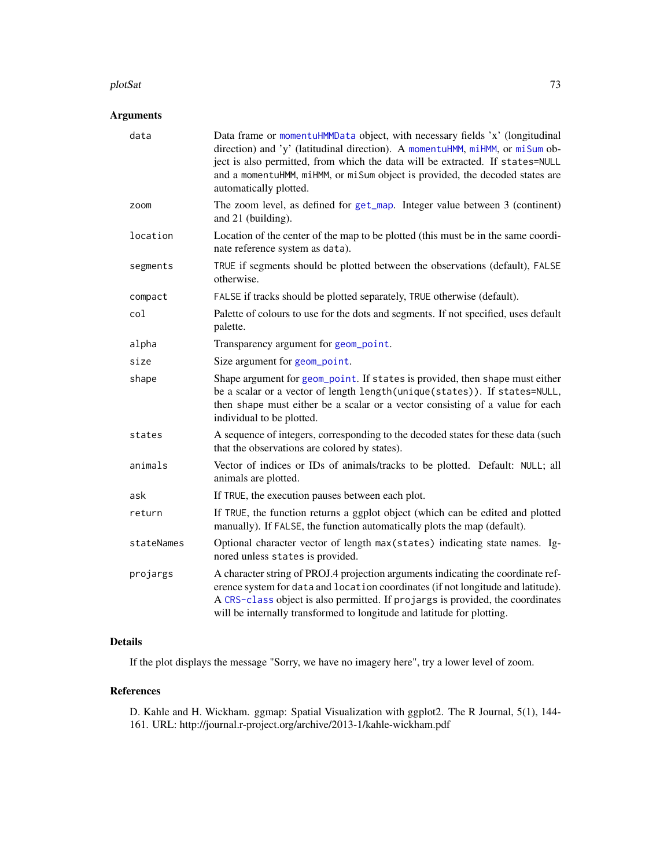#### <span id="page-72-0"></span>plotSat 73

## Arguments

| data       | Data frame or momentuHMMData object, with necessary fields 'x' (longitudinal<br>direction) and 'y' (latitudinal direction). A momentuHMM, miHMM, or miSum ob-<br>ject is also permitted, from which the data will be extracted. If states=NULL<br>and a momentuHMM, miHMM, or miSum object is provided, the decoded states are<br>automatically plotted. |
|------------|----------------------------------------------------------------------------------------------------------------------------------------------------------------------------------------------------------------------------------------------------------------------------------------------------------------------------------------------------------|
| zoom       | The zoom level, as defined for get_map. Integer value between 3 (continent)<br>and 21 (building).                                                                                                                                                                                                                                                        |
| location   | Location of the center of the map to be plotted (this must be in the same coordi-<br>nate reference system as data).                                                                                                                                                                                                                                     |
| segments   | TRUE if segments should be plotted between the observations (default), FALSE<br>otherwise.                                                                                                                                                                                                                                                               |
| compact    | FALSE if tracks should be plotted separately, TRUE otherwise (default).                                                                                                                                                                                                                                                                                  |
| col        | Palette of colours to use for the dots and segments. If not specified, uses default<br>palette.                                                                                                                                                                                                                                                          |
| alpha      | Transparency argument for geom_point.                                                                                                                                                                                                                                                                                                                    |
| size       | Size argument for geom_point.                                                                                                                                                                                                                                                                                                                            |
| shape      | Shape argument for geom_point. If states is provided, then shape must either<br>be a scalar or a vector of length length(unique(states)). If states=NULL,<br>then shape must either be a scalar or a vector consisting of a value for each<br>individual to be plotted.                                                                                  |
| states     | A sequence of integers, corresponding to the decoded states for these data (such<br>that the observations are colored by states).                                                                                                                                                                                                                        |
| animals    | Vector of indices or IDs of animals/tracks to be plotted. Default: NULL; all<br>animals are plotted.                                                                                                                                                                                                                                                     |
| ask        | If TRUE, the execution pauses between each plot.                                                                                                                                                                                                                                                                                                         |
| return     | If TRUE, the function returns a ggplot object (which can be edited and plotted<br>manually). If FALSE, the function automatically plots the map (default).                                                                                                                                                                                               |
| stateNames | Optional character vector of length max(states) indicating state names. Ig-<br>nored unless states is provided.                                                                                                                                                                                                                                          |
| projargs   | A character string of PROJ.4 projection arguments indicating the coordinate ref-<br>erence system for data and location coordinates (if not longitude and latitude).<br>A CRS-class object is also permitted. If projargs is provided, the coordinates<br>will be internally transformed to longitude and latitude for plotting.                         |

## Details

If the plot displays the message "Sorry, we have no imagery here", try a lower level of zoom.

## References

D. Kahle and H. Wickham. ggmap: Spatial Visualization with ggplot2. The R Journal, 5(1), 144- 161. URL: http://journal.r-project.org/archive/2013-1/kahle-wickham.pdf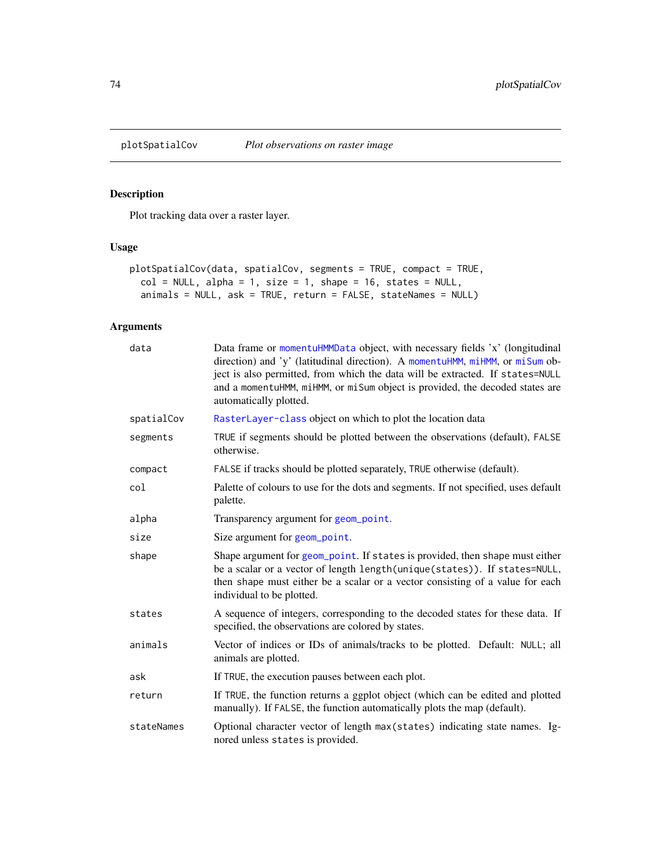<span id="page-73-0"></span>

## Description

Plot tracking data over a raster layer.

## Usage

```
plotSpatialCov(data, spatialCov, segments = TRUE, compact = TRUE,
 col = NULL, alpha = 1, size = 1, shape = 16, states = NULL,
  animals = NULL, ask = TRUE, return = FALSE, stateNames = NULL)
```
## Arguments

| data       | Data frame or momentuHMMData object, with necessary fields 'x' (longitudinal<br>direction) and 'y' (latitudinal direction). A momentuHMM, miHMM, or miSum ob-<br>ject is also permitted, from which the data will be extracted. If states=NULL<br>and a momentuHMM, miHMM, or miSum object is provided, the decoded states are<br>automatically plotted. |
|------------|----------------------------------------------------------------------------------------------------------------------------------------------------------------------------------------------------------------------------------------------------------------------------------------------------------------------------------------------------------|
| spatialCov | RasterLayer-class object on which to plot the location data                                                                                                                                                                                                                                                                                              |
| segments   | TRUE if segments should be plotted between the observations (default), FALSE<br>otherwise.                                                                                                                                                                                                                                                               |
| compact    | FALSE if tracks should be plotted separately, TRUE otherwise (default).                                                                                                                                                                                                                                                                                  |
| col        | Palette of colours to use for the dots and segments. If not specified, uses default<br>palette.                                                                                                                                                                                                                                                          |
| alpha      | Transparency argument for geom_point.                                                                                                                                                                                                                                                                                                                    |
| size       | Size argument for geom_point.                                                                                                                                                                                                                                                                                                                            |
| shape      | Shape argument for geom_point. If states is provided, then shape must either<br>be a scalar or a vector of length length(unique(states)). If states=NULL,<br>then shape must either be a scalar or a vector consisting of a value for each<br>individual to be plotted.                                                                                  |
| states     | A sequence of integers, corresponding to the decoded states for these data. If<br>specified, the observations are colored by states.                                                                                                                                                                                                                     |
| animals    | Vector of indices or IDs of animals/tracks to be plotted. Default: NULL; all<br>animals are plotted.                                                                                                                                                                                                                                                     |
| ask        | If TRUE, the execution pauses between each plot.                                                                                                                                                                                                                                                                                                         |
| return     | If TRUE, the function returns a ggplot object (which can be edited and plotted<br>manually). If FALSE, the function automatically plots the map (default).                                                                                                                                                                                               |
| stateNames | Optional character vector of length max (states) indicating state names. Ig-<br>nored unless states is provided.                                                                                                                                                                                                                                         |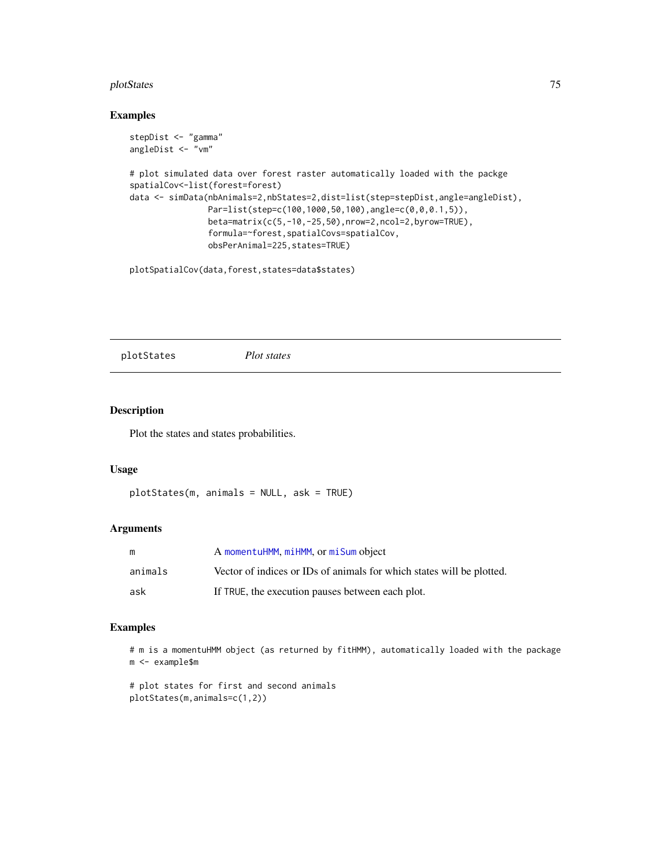#### <span id="page-74-0"></span>plotStates 75

#### Examples

```
stepDist <- "gamma"
angleDist <- "vm"
# plot simulated data over forest raster automatically loaded with the packge
spatialCov<-list(forest=forest)
data <- simData(nbAnimals=2,nbStates=2,dist=list(step=stepDist,angle=angleDist),
               Par=list(step=c(100,1000,50,100),angle=c(0,0,0.1,5)),
                beta=matrix(c(5,-10,-25,50),nrow=2,ncol=2,byrow=TRUE),
                formula=~forest,spatialCovs=spatialCov,
                obsPerAnimal=225,states=TRUE)
```
plotSpatialCov(data,forest,states=data\$states)

plotStates *Plot states*

## Description

Plot the states and states probabilities.

#### Usage

```
plotStates(m, animals = NULL, ask = TRUE)
```
#### Arguments

| m       | A momentuHMM, miHMM, or miSum object                                  |
|---------|-----------------------------------------------------------------------|
| animals | Vector of indices or IDs of animals for which states will be plotted. |
| ask     | If TRUE, the execution pauses between each plot.                      |

#### Examples

```
# m is a momentuHMM object (as returned by fitHMM), automatically loaded with the package
m <- example$m
```
# plot states for first and second animals plotStates(m,animals=c(1,2))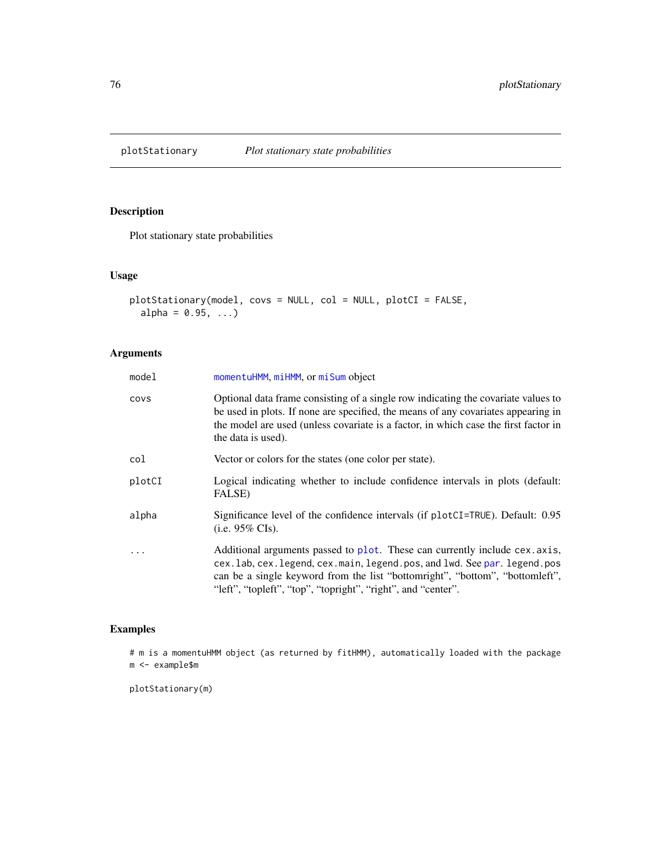<span id="page-75-0"></span>

## Description

Plot stationary state probabilities

## Usage

```
plotStationary(model, covs = NULL, col = NULL, plotCI = FALSE,
  alpha = 0.95, ...
```
## Arguments

| model  | momentuHMM, miHMM, or miSum object                                                                                                                                                                                                                                                                     |
|--------|--------------------------------------------------------------------------------------------------------------------------------------------------------------------------------------------------------------------------------------------------------------------------------------------------------|
| covs   | Optional data frame consisting of a single row indicating the covariate values to<br>be used in plots. If none are specified, the means of any covariates appearing in<br>the model are used (unless covariate is a factor, in which case the first factor in<br>the data is used).                    |
| col    | Vector or colors for the states (one color per state).                                                                                                                                                                                                                                                 |
| plotCI | Logical indicating whether to include confidence intervals in plots (default:<br>FALSE)                                                                                                                                                                                                                |
| alpha  | Significance level of the confidence intervals (if plotCI=TRUE). Default: 0.95<br>(i.e. $95\%$ CIs).                                                                                                                                                                                                   |
|        | Additional arguments passed to plot. These can currently include cex. axis,<br>cex.lab, cex.legend, cex.main, legend.pos, and lwd. See par. legend.pos<br>can be a single keyword from the list "bottomright", "bottom", "bottomleft",<br>"left", "topleft", "top", "topright", "right", and "center". |

## Examples

# m is a momentuHMM object (as returned by fitHMM), automatically loaded with the package m <- example\$m

plotStationary(m)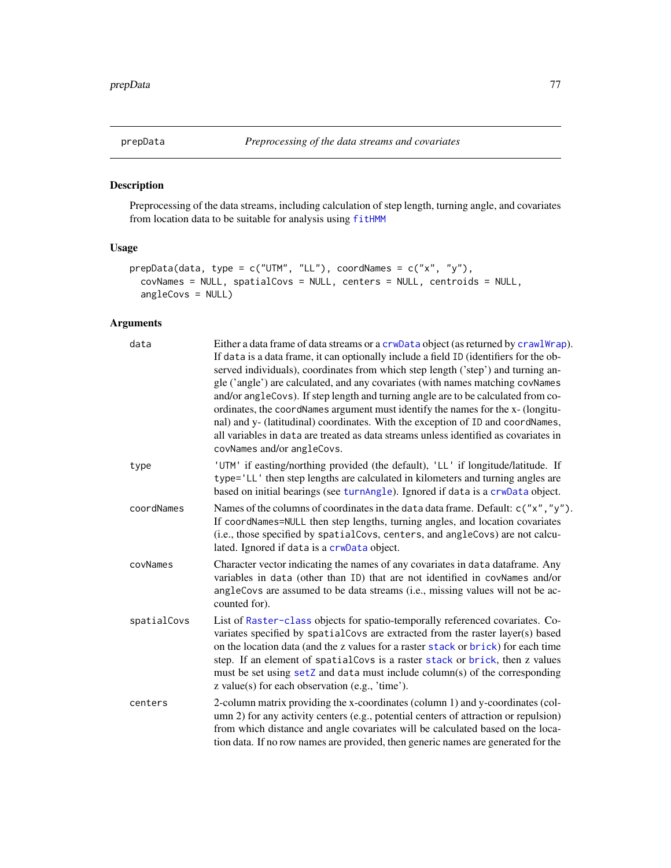<span id="page-76-1"></span><span id="page-76-0"></span>

## Description

Preprocessing of the data streams, including calculation of step length, turning angle, and covariates from location data to be suitable for analysis using [fitHMM](#page-24-0)

## Usage

```
prepData(data, type = c("UTM", "LL"), coordNames = c("x", "y"),
  covNames = NULL, spatialCovs = NULL, centers = NULL, centroids = NULL,
  angleCovs = NULL)
```
## Arguments

| data        | Either a data frame of data streams or a crwData object (as returned by crawlWrap).<br>If data is a data frame, it can optionally include a field ID (identifiers for the ob-<br>served individuals), coordinates from which step length ('step') and turning an-<br>gle ('angle') are calculated, and any covariates (with names matching covNames<br>and/or angleCovs). If step length and turning angle are to be calculated from co-<br>ordinates, the coordNames argument must identify the names for the x- (longitu-<br>nal) and y- (latitudinal) coordinates. With the exception of ID and coordNames,<br>all variables in data are treated as data streams unless identified as covariates in<br>covNames and/or angleCovs. |
|-------------|--------------------------------------------------------------------------------------------------------------------------------------------------------------------------------------------------------------------------------------------------------------------------------------------------------------------------------------------------------------------------------------------------------------------------------------------------------------------------------------------------------------------------------------------------------------------------------------------------------------------------------------------------------------------------------------------------------------------------------------|
| type        | 'UTM' if easting/northing provided (the default), 'LL' if longitude/latitude. If<br>type='LL' then step lengths are calculated in kilometers and turning angles are<br>based on initial bearings (see turnAngle). Ignored if data is a crwData object.                                                                                                                                                                                                                                                                                                                                                                                                                                                                               |
| coordNames  | Names of the columns of coordinates in the data data frame. Default: c("x", "y").<br>If coordNames=NULL then step lengths, turning angles, and location covariates<br>(i.e., those specified by spatial Covs, centers, and angle Covs) are not calcu-<br>lated. Ignored if data is a crwData object.                                                                                                                                                                                                                                                                                                                                                                                                                                 |
| covNames    | Character vector indicating the names of any covariates in data dataframe. Any<br>variables in data (other than ID) that are not identified in covNames and/or<br>angleCovs are assumed to be data streams (i.e., missing values will not be ac-<br>counted for).                                                                                                                                                                                                                                                                                                                                                                                                                                                                    |
| spatialCovs | List of Raster-class objects for spatio-temporally referenced covariates. Co-<br>variates specified by spatialCovs are extracted from the raster layer(s) based<br>on the location data (and the z values for a raster stack or brick) for each time<br>step. If an element of spatial Covs is a raster stack or brick, then z values<br>must be set using setZ and data must include column(s) of the corresponding<br>$z$ value(s) for each observation (e.g., 'time').                                                                                                                                                                                                                                                            |
| centers     | 2-column matrix providing the x-coordinates (column 1) and y-coordinates (col-<br>umn 2) for any activity centers (e.g., potential centers of attraction or repulsion)<br>from which distance and angle covariates will be calculated based on the loca-<br>tion data. If no row names are provided, then generic names are generated for the                                                                                                                                                                                                                                                                                                                                                                                        |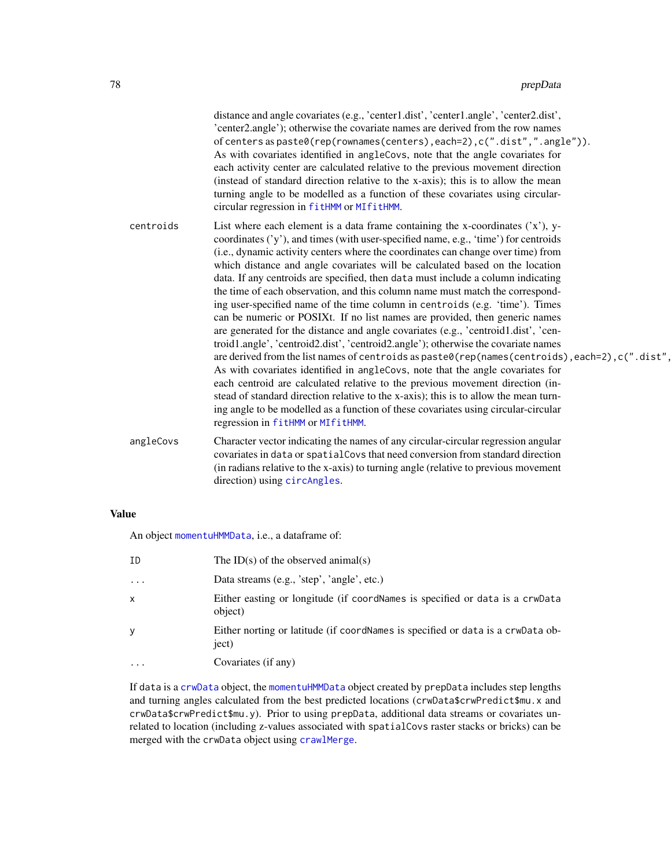<span id="page-77-0"></span>

|           | distance and angle covariates (e.g., 'center1.dist', 'center1.angle', 'center2.dist',<br>'center2.angle'); otherwise the covariate names are derived from the row names<br>of centers as paste0(rep(rownames(centers), each=2), c(".dist",".angle")).<br>As with covariates identified in angleCovs, note that the angle covariates for<br>each activity center are calculated relative to the previous movement direction<br>(instead of standard direction relative to the x-axis); this is to allow the mean<br>turning angle to be modelled as a function of these covariates using circular-<br>circular regression in fitHMM or MIfitHMM.                                                                                                                                                                                                                                                                                                                                                                                                                                                                                                                                                                                                                                                                                                          |
|-----------|----------------------------------------------------------------------------------------------------------------------------------------------------------------------------------------------------------------------------------------------------------------------------------------------------------------------------------------------------------------------------------------------------------------------------------------------------------------------------------------------------------------------------------------------------------------------------------------------------------------------------------------------------------------------------------------------------------------------------------------------------------------------------------------------------------------------------------------------------------------------------------------------------------------------------------------------------------------------------------------------------------------------------------------------------------------------------------------------------------------------------------------------------------------------------------------------------------------------------------------------------------------------------------------------------------------------------------------------------------|
| centroids | List where each element is a data frame containing the x-coordinates $('x'), y-$<br>coordinates $('y')$ , and times (with user-specified name, e.g., 'time') for centroids<br>(i.e., dynamic activity centers where the coordinates can change over time) from<br>which distance and angle covariates will be calculated based on the location<br>data. If any centroids are specified, then data must include a column indicating<br>the time of each observation, and this column name must match the correspond-<br>ing user-specified name of the time column in centroids (e.g. 'time'). Times<br>can be numeric or POSIXt. If no list names are provided, then generic names<br>are generated for the distance and angle covariates (e.g., 'centroid1.dist', 'cen-<br>troid1.angle', 'centroid2.dist', 'centroid2.angle'); otherwise the covariate names<br>are derived from the list names of centroids as paste0(rep(names(centroids), each=2), c(".dist",<br>As with covariates identified in angleCovs, note that the angle covariates for<br>each centroid are calculated relative to the previous movement direction (in-<br>stead of standard direction relative to the x-axis); this is to allow the mean turn-<br>ing angle to be modelled as a function of these covariates using circular-circular<br>regression in fitHMM or MIfitHMM. |
| angleCovs | Character vector indicating the names of any circular-circular regression angular<br>covariates in data or spatial Covs that need conversion from standard direction<br>(in radians relative to the x-axis) to turning angle (relative to previous movement<br>direction) using circAngles.                                                                                                                                                                                                                                                                                                                                                                                                                                                                                                                                                                                                                                                                                                                                                                                                                                                                                                                                                                                                                                                              |

## Value

An object [momentuHMMData](#page-57-0), i.e., a dataframe of:

| ΙD       | The ID(s) of the observed animal(s)                                                      |
|----------|------------------------------------------------------------------------------------------|
| .        | Data streams (e.g., 'step', 'angle', etc.)                                               |
| x        | Either easting or longitude (if coordNames is specified or data is a crwData<br>object)  |
|          | Either norting or latitude (if coordNames is specified or data is a crwData ob-<br>ject) |
| $\cdots$ | Covariates (if any)                                                                      |

If data is a [crwData](#page-15-0) object, the [momentuHMMData](#page-57-0) object created by prepData includes step lengths and turning angles calculated from the best predicted locations (crwData\$crwPredict\$mu.x and crwData\$crwPredict\$mu.y). Prior to using prepData, additional data streams or covariates unrelated to location (including z-values associated with spatialCovs raster stacks or bricks) can be merged with the crwData object using [crawlMerge](#page-10-0).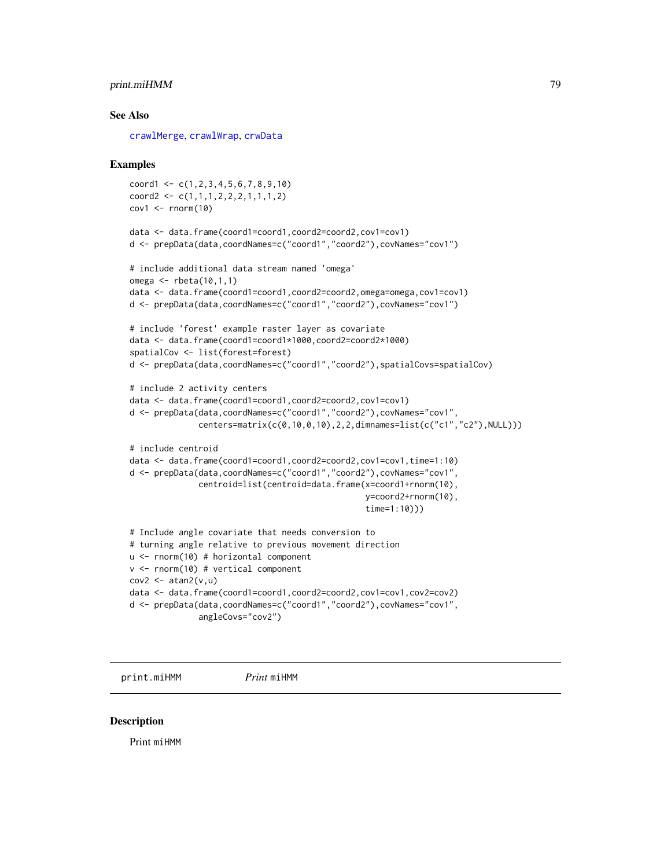## <span id="page-78-0"></span>print.miHMM 79

#### See Also

[crawlMerge](#page-10-0), [crawlWrap](#page-11-0), [crwData](#page-15-0)

#### Examples

```
coord1 \leq c(1, 2, 3, 4, 5, 6, 7, 8, 9, 10)coord2 <- c(1,1,1,2,2,2,1,1,1,2)cov1 \le -rnorm(10)
```

```
data <- data.frame(coord1=coord1,coord2=coord2,cov1=cov1)
d <- prepData(data,coordNames=c("coord1","coord2"),covNames="cov1")
```

```
# include additional data stream named 'omega'
omega <- rbeta(10,1,1)
data <- data.frame(coord1=coord1,coord2=coord2,omega=omega,cov1=cov1)
d <- prepData(data,coordNames=c("coord1","coord2"),covNames="cov1")
# include 'forest' example raster layer as covariate
data <- data.frame(coord1=coord1*1000,coord2=coord2*1000)
spatialCov <- list(forest=forest)
d <- prepData(data,coordNames=c("coord1","coord2"),spatialCovs=spatialCov)
# include 2 activity centers
data <- data.frame(coord1=coord1,coord2=coord2,cov1=cov1)
d <- prepData(data,coordNames=c("coord1","coord2"),covNames="cov1",
              centers=matrix(c(0,10,0,10),2,2,dimnames=list(c("c1","c2"),NULL)))
# include centroid
data <- data.frame(coord1=coord1,coord2=coord2,cov1=cov1,time=1:10)
d <- prepData(data,coordNames=c("coord1","coord2"),covNames="cov1",
              centroid=list(centroid=data.frame(x=coord1+rnorm(10),
```

```
y=coord2+rnorm(10),
```

```
time=1:10)))
```

```
# Include angle covariate that needs conversion to
# turning angle relative to previous movement direction
u <- rnorm(10) # horizontal component
v <- rnorm(10) # vertical component
cov2 \le - \text{atan2}(v, u)data <- data.frame(coord1=coord1,coord2=coord2,cov1=cov1,cov2=cov2)
d <- prepData(data,coordNames=c("coord1","coord2"),covNames="cov1",
              angleCovs="cov2")
```
print.miHMM *Print* miHMM

#### **Description**

Print miHMM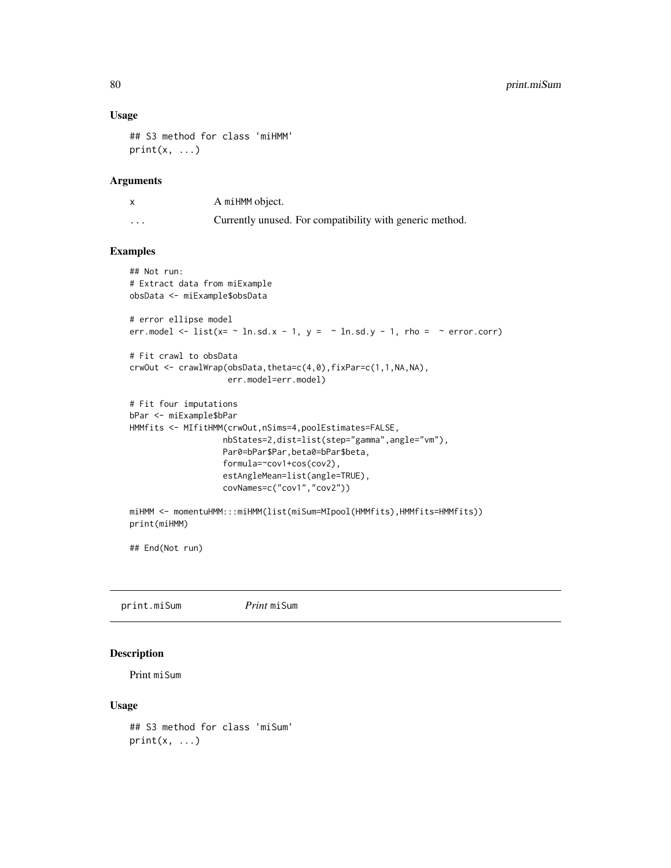## Usage

```
## S3 method for class 'miHMM'
print(x, \ldots)
```
## Arguments

|          | A miHMM object.                                          |
|----------|----------------------------------------------------------|
| $\cdots$ | Currently unused. For compatibility with generic method. |

#### Examples

```
## Not run:
# Extract data from miExample
obsData <- miExample$obsData
# error ellipse model
err.model \le list(x= \sim ln.sd.x - 1, y = \sim ln.sd.y - 1, rho = \sim error.corr)
# Fit crawl to obsData
crwOut <- crawlWrap(obsData,theta=c(4,0),fixPar=c(1,1,NA,NA),
                    err.model=err.model)
# Fit four imputations
bPar <- miExample$bPar
HMMfits <- MIfitHMM(crwOut,nSims=4,poolEstimates=FALSE,
                   nbStates=2,dist=list(step="gamma",angle="vm"),
                   Par0=bPar$Par,beta0=bPar$beta,
                   formula=~cov1+cos(cov2),
                   estAngleMean=list(angle=TRUE),
                   covNames=c("cov1","cov2"))
miHMM <- momentuHMM:::miHMM(list(miSum=MIpool(HMMfits),HMMfits=HMMfits))
print(miHMM)
```
## End(Not run)

print.miSum *Print* miSum

#### Description

Print miSum

## Usage

```
## S3 method for class 'miSum'
print(x, \ldots)
```
<span id="page-79-0"></span>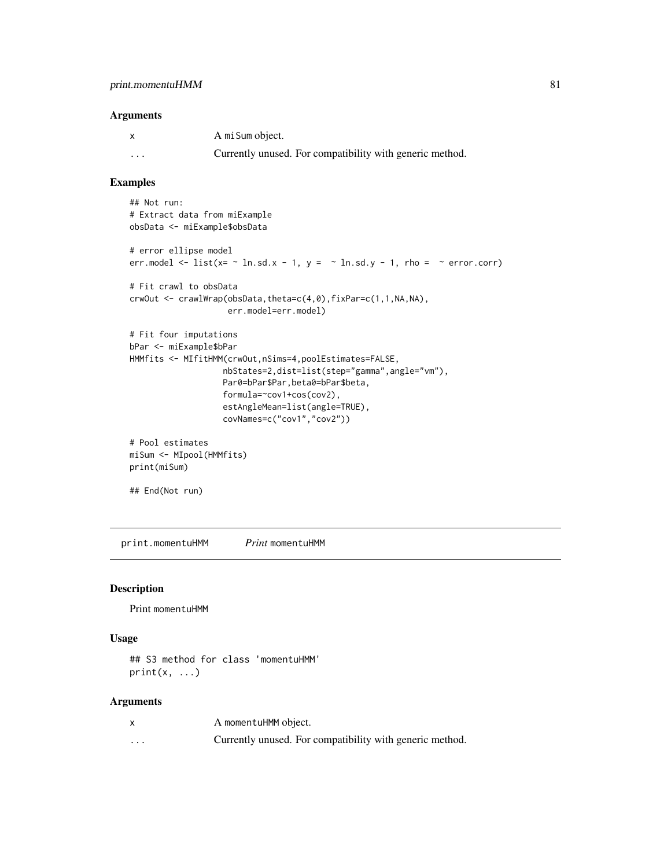#### <span id="page-80-0"></span>Arguments

|          | A mi Sum object.                                         |
|----------|----------------------------------------------------------|
| $\cdots$ | Currently unused. For compatibility with generic method. |

#### Examples

```
## Not run:
# Extract data from miExample
obsData <- miExample$obsData
# error ellipse model
err.model \le list(x= \sim ln.sd.x - 1, y = \sim ln.sd.y - 1, rho = \sim error.corr)
# Fit crawl to obsData
crwOut <- crawlWrap(obsData,theta=c(4,0),fixPar=c(1,1,NA,NA),
                    err.model=err.model)
# Fit four imputations
bPar <- miExample$bPar
HMMfits <- MIfitHMM(crwOut,nSims=4,poolEstimates=FALSE,
                   nbStates=2,dist=list(step="gamma",angle="vm"),
                   Par0=bPar$Par,beta0=bPar$beta,
                   formula=~cov1+cos(cov2),
                   estAngleMean=list(angle=TRUE),
                   covNames=c("cov1","cov2"))
# Pool estimates
miSum <- MIpool(HMMfits)
print(miSum)
```
## End(Not run)

print.momentuHMM *Print* momentuHMM

### Description

Print momentuHMM

#### Usage

```
## S3 method for class 'momentuHMM'
print(x, \ldots)
```
#### Arguments

|   | A momentuHMM object.                                     |
|---|----------------------------------------------------------|
| . | Currently unused. For compatibility with generic method. |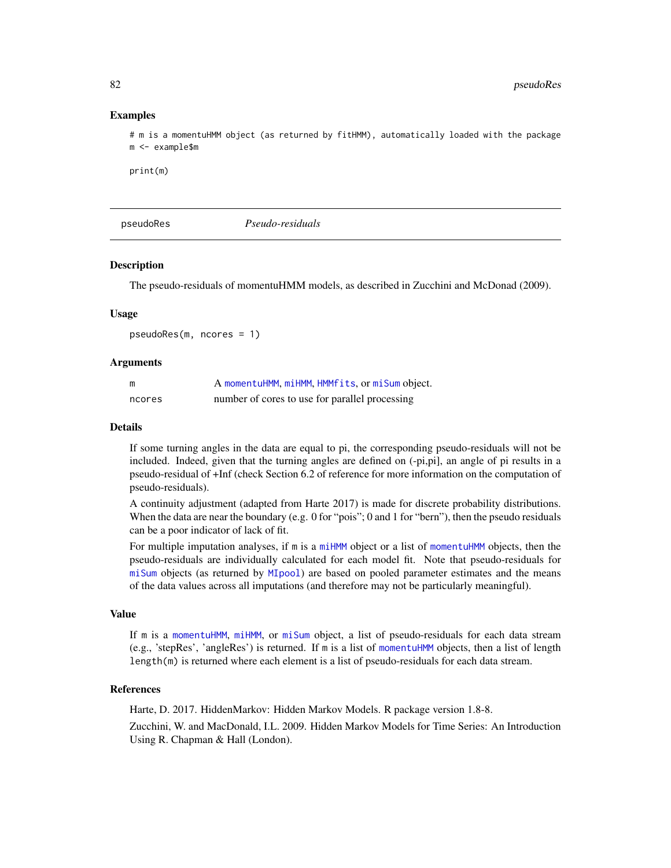#### Examples

# m is a momentuHMM object (as returned by fitHMM), automatically loaded with the package m <- example\$m

print(m)

pseudoRes *Pseudo-residuals*

#### Description

The pseudo-residuals of momentuHMM models, as described in Zucchini and McDonad (2009).

#### Usage

pseudoRes(m, ncores = 1)

#### Arguments

| m      | A momentuHMM, miHMM, HMMfits, or miSum object. |
|--------|------------------------------------------------|
| ncores | number of cores to use for parallel processing |

#### Details

If some turning angles in the data are equal to pi, the corresponding pseudo-residuals will not be included. Indeed, given that the turning angles are defined on (-pi,pi], an angle of pi results in a pseudo-residual of +Inf (check Section 6.2 of reference for more information on the computation of pseudo-residuals).

A continuity adjustment (adapted from Harte 2017) is made for discrete probability distributions. When the data are near the boundary (e.g. 0 for "pois"; 0 and 1 for "bern"), then the pseudo residuals can be a poor indicator of lack of fit.

For multiple imputation analyses, if m is a [miHMM](#page-53-0) object or a list of [momentuHMM](#page-56-0) objects, then the pseudo-residuals are individually calculated for each model fit. Note that pseudo-residuals for [miSum](#page-56-1) objects (as returned by [MIpool](#page-54-0)) are based on pooled parameter estimates and the means of the data values across all imputations (and therefore may not be particularly meaningful).

#### Value

If m is a [momentuHMM](#page-56-0), [miHMM](#page-53-0), or [miSum](#page-56-1) object, a list of pseudo-residuals for each data stream (e.g., 'stepRes', 'angleRes') is returned. If m is a list of [momentuHMM](#page-56-0) objects, then a list of length length(m) is returned where each element is a list of pseudo-residuals for each data stream.

#### References

Harte, D. 2017. HiddenMarkov: Hidden Markov Models. R package version 1.8-8.

Zucchini, W. and MacDonald, I.L. 2009. Hidden Markov Models for Time Series: An Introduction Using R. Chapman & Hall (London).

<span id="page-81-0"></span>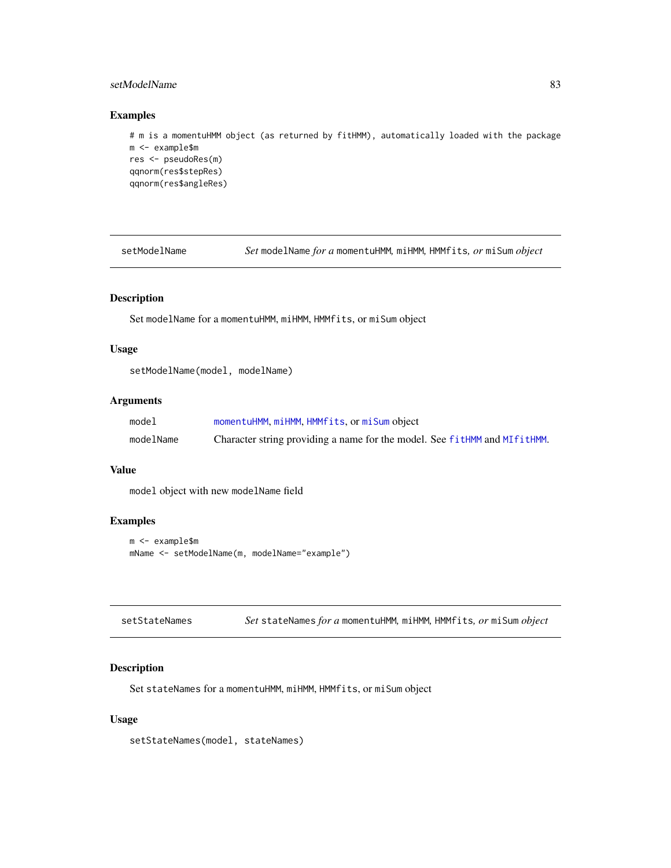## <span id="page-82-0"></span>setModelName 83

## Examples

```
# m is a momentuHMM object (as returned by fitHMM), automatically loaded with the package
m <- example$m
res <- pseudoRes(m)
qqnorm(res$stepRes)
qqnorm(res$angleRes)
```
setModelName *Set* modelName *for a* momentuHMM*,* miHMM*,* HMMfits*, or* miSum *object*

## Description

Set modelName for a momentuHMM, miHMM, HMMfits, or miSum object

## Usage

```
setModelName(model, modelName)
```
## Arguments

| model     | momentuHMM, miHMM, HMMfits, or miSum object                               |
|-----------|---------------------------------------------------------------------------|
| modelName | Character string providing a name for the model. See fitHMM and MIfitHMM. |

## Value

model object with new modelName field

## Examples

```
m <- example$m
mName <- setModelName(m, modelName="example")
```

| setStateNames |  | Set stateNames for a momentuHMM, miHMM, HMMfits, or miSum object |  |  |  |  |
|---------------|--|------------------------------------------------------------------|--|--|--|--|
|---------------|--|------------------------------------------------------------------|--|--|--|--|

## Description

Set stateNames for a momentuHMM, miHMM, HMMfits, or miSum object

## Usage

setStateNames(model, stateNames)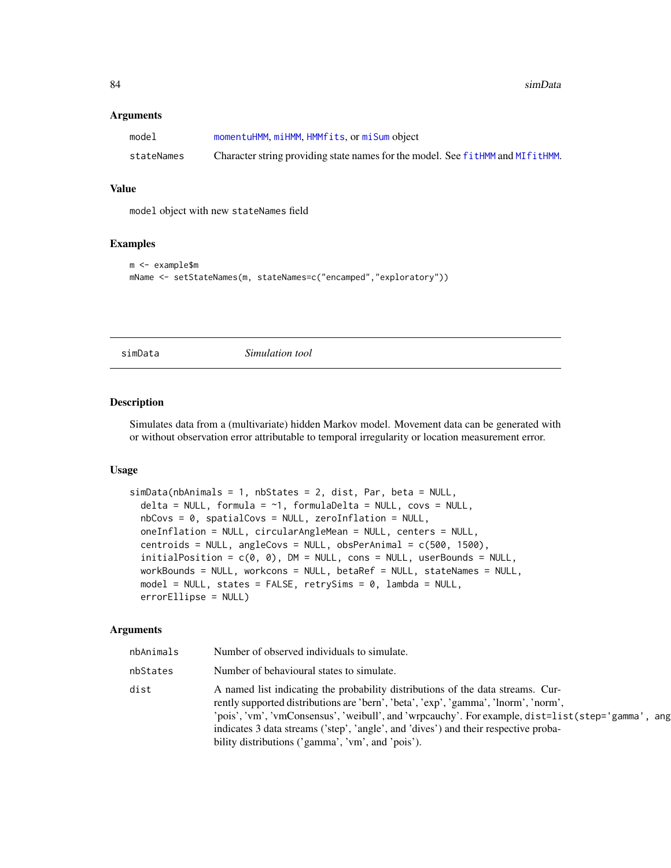#### <span id="page-83-1"></span>**Arguments**

| model      | momentuHMM, miHMM, HMMfits, or miSum object                                    |
|------------|--------------------------------------------------------------------------------|
| stateNames | Character string providing state names for the model. See fitHMM and MIfitHMM. |

#### Value

model object with new stateNames field

#### Examples

```
m <- example$m
mName <- setStateNames(m, stateNames=c("encamped","exploratory"))
```
<span id="page-83-0"></span>

simData *Simulation tool*

#### Description

Simulates data from a (multivariate) hidden Markov model. Movement data can be generated with or without observation error attributable to temporal irregularity or location measurement error.

#### Usage

```
simData(nbAnimals = 1, nbStates = 2, dist, Par, beta = NULL,
 delta = NULL, formula = \sim1, formulaDelta = NULL, covs = NULL,
 nbCovs = 0, spatialCovs = NULL, zeroInflation = NULL,
 oneInflation = NULL, circularAngleMean = NULL, centers = NULL,
 centroids = NULL, angleCovs = NULL, obsPerAnimal = c(500, 1500),
 initialPosition = c(0, 0), DM = NULL, cons = NULL, userBounds = NULL,
 workBounds = NULL, workcons = NULL, betaRef = NULL, stateNames = NULL,
 model = NULL, states = FALSE, retrySims = 0, lambda = NULL,
 errorEllipse = NULL)
```
#### Arguments

| nbAnimals | Number of observed individuals to simulate.                                                                                                                                                                                                                                                                                                                                                                                 |
|-----------|-----------------------------------------------------------------------------------------------------------------------------------------------------------------------------------------------------------------------------------------------------------------------------------------------------------------------------------------------------------------------------------------------------------------------------|
| nbStates  | Number of behavioural states to simulate.                                                                                                                                                                                                                                                                                                                                                                                   |
| dist      | A named list indicating the probability distributions of the data streams. Cur-<br>rently supported distributions are 'bern', 'beta', 'exp', 'gamma', 'lnorm', 'norm',<br>'pois', 'vm', 'vmConsensus', 'weibull', and 'wrpcauchy'. For example, dist=list(step='gamma'<br>, ang<br>indicates 3 data streams ('step', 'angle', and 'dives') and their respective proba-<br>bility distributions ('gamma', 'vm', and 'pois'). |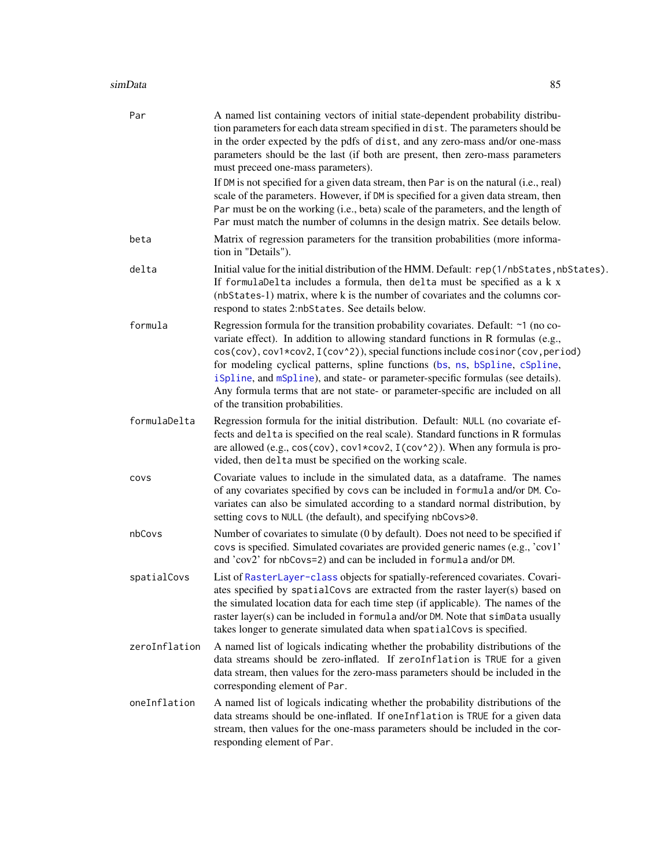#### <span id="page-84-0"></span>simData 85

| Par           | A named list containing vectors of initial state-dependent probability distribu-<br>tion parameters for each data stream specified in dist. The parameters should be<br>in the order expected by the pdfs of dist, and any zero-mass and/or one-mass<br>parameters should be the last (if both are present, then zero-mass parameters<br>must preceed one-mass parameters).                                                                                                                                                                      |
|---------------|--------------------------------------------------------------------------------------------------------------------------------------------------------------------------------------------------------------------------------------------------------------------------------------------------------------------------------------------------------------------------------------------------------------------------------------------------------------------------------------------------------------------------------------------------|
|               | If DM is not specified for a given data stream, then Par is on the natural (i.e., real)<br>scale of the parameters. However, if DM is specified for a given data stream, then<br>Par must be on the working (i.e., beta) scale of the parameters, and the length of<br>Par must match the number of columns in the design matrix. See details below.                                                                                                                                                                                             |
| beta          | Matrix of regression parameters for the transition probabilities (more informa-<br>tion in "Details").                                                                                                                                                                                                                                                                                                                                                                                                                                           |
| delta         | Initial value for the initial distribution of the HMM. Default: rep(1/nbStates, nbStates).<br>If formulaDelta includes a formula, then delta must be specified as a k x<br>(nbStates-1) matrix, where k is the number of covariates and the columns cor-<br>respond to states 2:nbStates. See details below.                                                                                                                                                                                                                                     |
| formula       | Regression formula for the transition probability covariates. Default: ~1 (no co-<br>variate effect). In addition to allowing standard functions in R formulas (e.g.,<br>cos(cov), cov1*cov2, I(cov^2)), special functions include cosinor(cov, period)<br>for modeling cyclical patterns, spline functions (bs, ns, bSpline, cSpline,<br>iSpline, and mSpline), and state- or parameter-specific formulas (see details).<br>Any formula terms that are not state- or parameter-specific are included on all<br>of the transition probabilities. |
| formulaDelta  | Regression formula for the initial distribution. Default: NULL (no covariate ef-<br>fects and delta is specified on the real scale). Standard functions in R formulas<br>are allowed (e.g., $cos(cov)$ , $cov1 * cov2$ , $I(cov^2)$ ). When any formula is pro-<br>vided, then delta must be specified on the working scale.                                                                                                                                                                                                                     |
| covs          | Covariate values to include in the simulated data, as a dataframe. The names<br>of any covariates specified by covs can be included in formula and/or DM. Co-<br>variates can also be simulated according to a standard normal distribution, by<br>setting covs to NULL (the default), and specifying nbCovs>0.                                                                                                                                                                                                                                  |
| nbCovs        | Number of covariates to simulate (0 by default). Does not need to be specified if<br>covs is specified. Simulated covariates are provided generic names (e.g., 'cov1'<br>and 'cov2' for nbCovs=2) and can be included in formula and/or DM.                                                                                                                                                                                                                                                                                                      |
| spatialCovs   | List of RasterLayer-class objects for spatially-referenced covariates. Covari-<br>ates specified by spatialCovs are extracted from the raster layer(s) based on<br>the simulated location data for each time step (if applicable). The names of the<br>raster layer(s) can be included in formula and/or DM. Note that simData usually<br>takes longer to generate simulated data when spatialCovs is specified.                                                                                                                                 |
| zeroInflation | A named list of logicals indicating whether the probability distributions of the<br>data streams should be zero-inflated. If zeroInflation is TRUE for a given<br>data stream, then values for the zero-mass parameters should be included in the<br>corresponding element of Par.                                                                                                                                                                                                                                                               |
| oneInflation  | A named list of logicals indicating whether the probability distributions of the<br>data streams should be one-inflated. If oneInflation is TRUE for a given data<br>stream, then values for the one-mass parameters should be included in the cor-<br>responding element of Par.                                                                                                                                                                                                                                                                |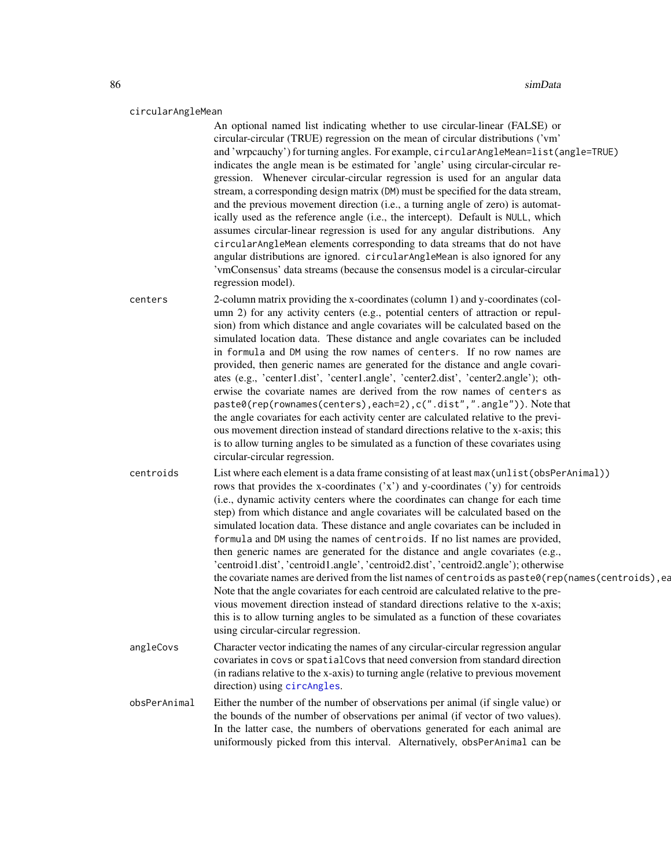#### <span id="page-85-0"></span>circularAngleMean

An optional named list indicating whether to use circular-linear (FALSE) or circular-circular (TRUE) regression on the mean of circular distributions ('vm' and 'wrpcauchy') for turning angles. For example, circularAngleMean=list(angle=TRUE) indicates the angle mean is be estimated for 'angle' using circular-circular regression. Whenever circular-circular regression is used for an angular data stream, a corresponding design matrix (DM) must be specified for the data stream, and the previous movement direction (i.e., a turning angle of zero) is automatically used as the reference angle (i.e., the intercept). Default is NULL, which assumes circular-linear regression is used for any angular distributions. Any circularAngleMean elements corresponding to data streams that do not have angular distributions are ignored. circularAngleMean is also ignored for any 'vmConsensus' data streams (because the consensus model is a circular-circular regression model).

centers 2-column matrix providing the x-coordinates (column 1) and y-coordinates (column 2) for any activity centers (e.g., potential centers of attraction or repulsion) from which distance and angle covariates will be calculated based on the simulated location data. These distance and angle covariates can be included in formula and DM using the row names of centers. If no row names are provided, then generic names are generated for the distance and angle covariates (e.g., 'center1.dist', 'center1.angle', 'center2.dist', 'center2.angle'); otherwise the covariate names are derived from the row names of centers as paste0(rep(rownames(centers),each=2),c(".dist",".angle")). Note that the angle covariates for each activity center are calculated relative to the previous movement direction instead of standard directions relative to the x-axis; this is to allow turning angles to be simulated as a function of these covariates using circular-circular regression.

centroids List where each element is a data frame consisting of at least max(unlist(obsPerAnimal)) rows that provides the x-coordinates ('x') and y-coordinates ('y) for centroids (i.e., dynamic activity centers where the coordinates can change for each time step) from which distance and angle covariates will be calculated based on the simulated location data. These distance and angle covariates can be included in formula and DM using the names of centroids. If no list names are provided, then generic names are generated for the distance and angle covariates (e.g., 'centroid1.dist', 'centroid1.angle', 'centroid2.dist', 'centroid2.angle'); otherwise the covariate names are derived from the list names of centroids as paste0(rep(names(centroids), each Note that the angle covariates for each centroid are calculated relative to the previous movement direction instead of standard directions relative to the x-axis; this is to allow turning angles to be simulated as a function of these covariates using circular-circular regression.

angleCovs Character vector indicating the names of any circular-circular regression angular covariates in covs or spatialCovs that need conversion from standard direction (in radians relative to the x-axis) to turning angle (relative to previous movement direction) using [circAngles](#page-8-0).

obsPerAnimal Either the number of the number of observations per animal (if single value) or the bounds of the number of observations per animal (if vector of two values). In the latter case, the numbers of obervations generated for each animal are uniformously picked from this interval. Alternatively, obsPerAnimal can be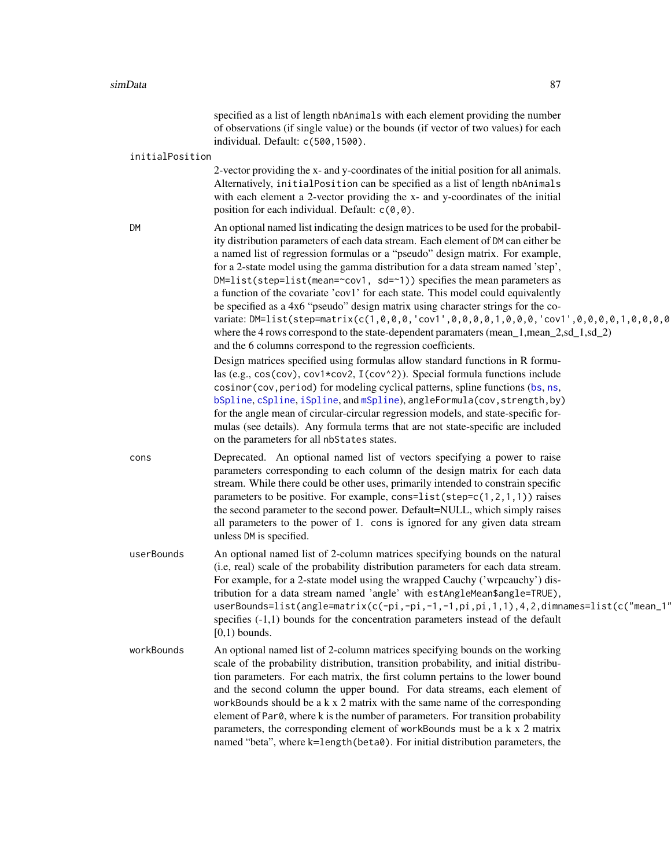specified as a list of length nbAnimals with each element providing the number of observations (if single value) or the bounds (if vector of two values) for each individual. Default: c(500,1500).

#### <span id="page-86-0"></span>initialPosition

2-vector providing the x- and y-coordinates of the initial position for all animals. Alternatively, initialPosition can be specified as a list of length nbAnimals with each element a 2-vector providing the x- and y-coordinates of the initial position for each individual. Default:  $c(0,0)$ .

DM An optional named list indicating the design matrices to be used for the probability distribution parameters of each data stream. Each element of DM can either be a named list of regression formulas or a "pseudo" design matrix. For example, for a 2-state model using the gamma distribution for a data stream named 'step',  $DM=list(\text{step}=list(\text{mean}=\text{cov1}, \text{sd}=\text{1}))$  specifies the mean parameters as a function of the covariate 'cov1' for each state. This model could equivalently be specified as a 4x6 "pseudo" design matrix using character strings for the covariate: DM=list(step=matrix(c(1,0,0,0,'cov1',0,0,0,1,0,0,0,0,'cov1',0,0,0,0,1,0,0,0,0 where the 4 rows correspond to the state-dependent paramaters (mean 1, mean 2,sd 1,sd 2) and the 6 columns correspond to the regression coefficients. Design matrices specified using formulas allow standard functions in R formu-

las (e.g., cos(cov), cov1\*cov2, I(cov^2)). Special formula functions include cosinor(cov,period) for modeling cyclical patterns, spline functions ([bs](#page-0-0), [ns](#page-0-0), [bSpline](#page-0-0), [cSpline](#page-0-0), [iSpline](#page-0-0), and [mSpline](#page-0-0)), angleFormula(cov, strength, by) for the angle mean of circular-circular regression models, and state-specific formulas (see details). Any formula terms that are not state-specific are included on the parameters for all nbStates states.

cons Deprecated. An optional named list of vectors specifying a power to raise parameters corresponding to each column of the design matrix for each data stream. While there could be other uses, primarily intended to constrain specific parameters to be positive. For example, cons=list(step= $c(1,2,1,1)$ ) raises the second parameter to the second power. Default=NULL, which simply raises all parameters to the power of 1. cons is ignored for any given data stream unless DM is specified.

userBounds An optional named list of 2-column matrices specifying bounds on the natural (i.e, real) scale of the probability distribution parameters for each data stream. For example, for a 2-state model using the wrapped Cauchy ('wrpcauchy') distribution for a data stream named 'angle' with estAngleMean\$angle=TRUE), userBounds=list(angle=matrix(c(-pi,-pi,-1,-1,pi,pi,1,1),4,2,dimnames=list(c("mean\_1" specifies (-1,1) bounds for the concentration parameters instead of the default  $[0,1)$  bounds.

workBounds An optional named list of 2-column matrices specifying bounds on the working scale of the probability distribution, transition probability, and initial distribution parameters. For each matrix, the first column pertains to the lower bound and the second column the upper bound. For data streams, each element of workBounds should be a  $k \times 2$  matrix with the same name of the corresponding element of Par0, where k is the number of parameters. For transition probability parameters, the corresponding element of workBounds must be a k x 2 matrix named "beta", where k=length(beta0). For initial distribution parameters, the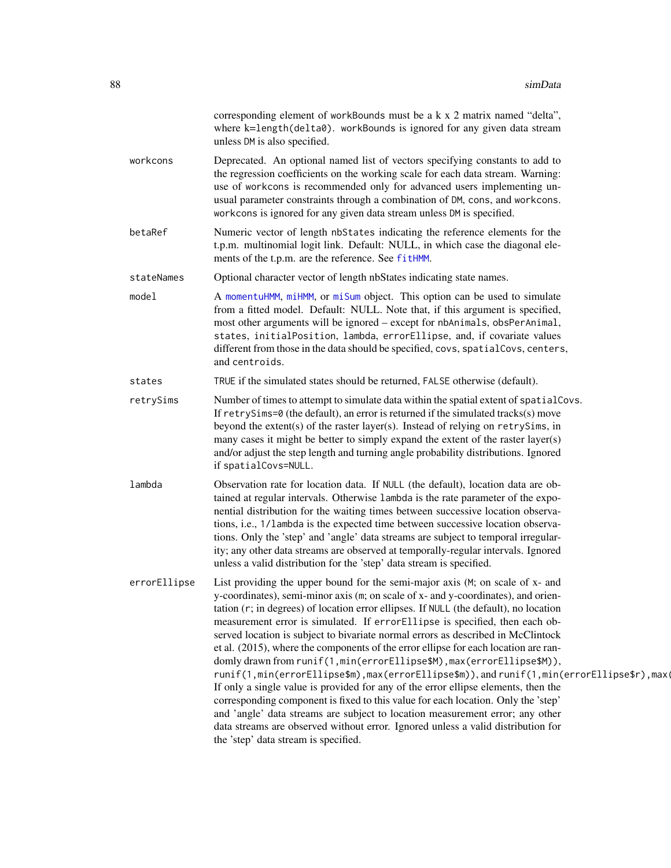<span id="page-87-0"></span>

|              | corresponding element of workBounds must be a k x 2 matrix named "delta",<br>where k=length(delta0). workBounds is ignored for any given data stream<br>unless DM is also specified.                                                                                                                                                                                                                                                                                                                                                                                                                                                                                                                                                                                                                                                                                                                                                                                                                                                                                               |
|--------------|------------------------------------------------------------------------------------------------------------------------------------------------------------------------------------------------------------------------------------------------------------------------------------------------------------------------------------------------------------------------------------------------------------------------------------------------------------------------------------------------------------------------------------------------------------------------------------------------------------------------------------------------------------------------------------------------------------------------------------------------------------------------------------------------------------------------------------------------------------------------------------------------------------------------------------------------------------------------------------------------------------------------------------------------------------------------------------|
| workcons     | Deprecated. An optional named list of vectors specifying constants to add to<br>the regression coefficients on the working scale for each data stream. Warning:<br>use of workcons is recommended only for advanced users implementing un-<br>usual parameter constraints through a combination of DM, cons, and workcons.<br>workcons is ignored for any given data stream unless DM is specified.                                                                                                                                                                                                                                                                                                                                                                                                                                                                                                                                                                                                                                                                                |
| betaRef      | Numeric vector of length nbStates indicating the reference elements for the<br>t.p.m. multinomial logit link. Default: NULL, in which case the diagonal ele-<br>ments of the t.p.m. are the reference. See fitHMM.                                                                                                                                                                                                                                                                                                                                                                                                                                                                                                                                                                                                                                                                                                                                                                                                                                                                 |
| stateNames   | Optional character vector of length nbStates indicating state names.                                                                                                                                                                                                                                                                                                                                                                                                                                                                                                                                                                                                                                                                                                                                                                                                                                                                                                                                                                                                               |
| model        | A momentuHMM, miHMM, or miSum object. This option can be used to simulate<br>from a fitted model. Default: NULL. Note that, if this argument is specified,<br>most other arguments will be ignored - except for nbAnimals, obsPerAnimal,<br>states, initialPosition, lambda, errorEllipse, and, if covariate values<br>different from those in the data should be specified, covs, spatialCovs, centers,<br>and centroids.                                                                                                                                                                                                                                                                                                                                                                                                                                                                                                                                                                                                                                                         |
| states       | TRUE if the simulated states should be returned, FALSE otherwise (default).                                                                                                                                                                                                                                                                                                                                                                                                                                                                                                                                                                                                                                                                                                                                                                                                                                                                                                                                                                                                        |
| retrySims    | Number of times to attempt to simulate data within the spatial extent of spatial Covs.<br>If $retrySims=0$ (the default), an error is returned if the simulated tracks(s) move<br>beyond the extent(s) of the raster layer(s). Instead of relying on retrySims, in<br>many cases it might be better to simply expand the extent of the raster layer(s)<br>and/or adjust the step length and turning angle probability distributions. Ignored<br>if spatialCovs=NULL.                                                                                                                                                                                                                                                                                                                                                                                                                                                                                                                                                                                                               |
| lambda       | Observation rate for location data. If NULL (the default), location data are ob-<br>tained at regular intervals. Otherwise 1 ambda is the rate parameter of the expo-<br>nential distribution for the waiting times between successive location observa-<br>tions, i.e., 1/lambda is the expected time between successive location observa-<br>tions. Only the 'step' and 'angle' data streams are subject to temporal irregular-<br>ity; any other data streams are observed at temporally-regular intervals. Ignored<br>unless a valid distribution for the 'step' data stream is specified.                                                                                                                                                                                                                                                                                                                                                                                                                                                                                     |
| errorEllipse | List providing the upper bound for the semi-major axis (M; on scale of x- and<br>y-coordinates), semi-minor axis (m; on scale of x- and y-coordinates), and orien-<br>tation (r; in degrees) of location error ellipses. If NULL (the default), no location<br>measurement error is simulated. If errorEllipse is specified, then each ob-<br>served location is subject to bivariate normal errors as described in McClintock<br>et al. (2015), where the components of the error ellipse for each location are ran-<br>domly drawn from runif(1, min(errorEllipse\$M), max(errorEllipse\$M)),<br>runif(1,min(errorEllipse\$m),max(errorEllipse\$m)),andrunif(1,min(errorEllipse\$r),max(<br>If only a single value is provided for any of the error ellipse elements, then the<br>corresponding component is fixed to this value for each location. Only the 'step'<br>and 'angle' data streams are subject to location measurement error; any other<br>data streams are observed without error. Ignored unless a valid distribution for<br>the 'step' data stream is specified. |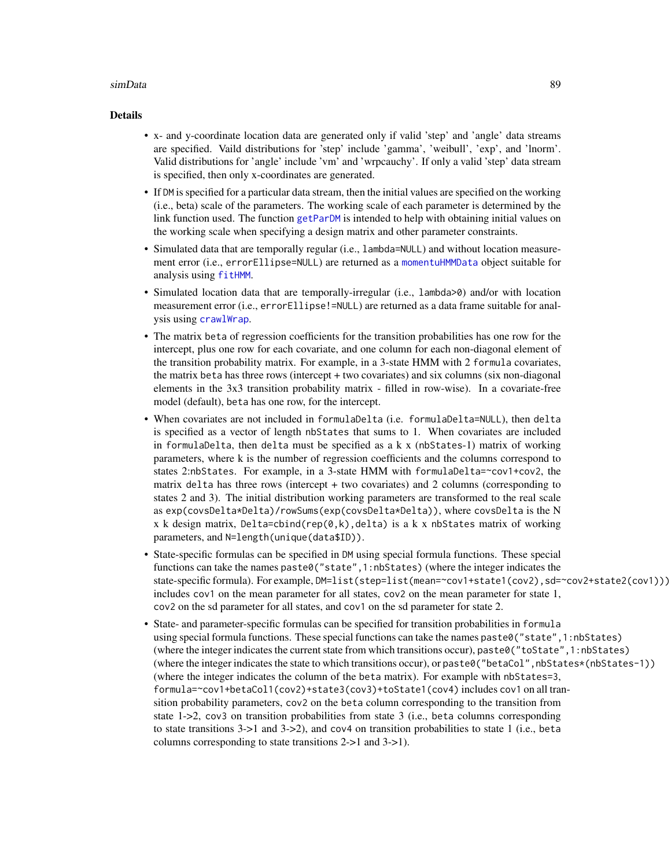#### <span id="page-88-0"></span>simData 89

#### Details

- x- and y-coordinate location data are generated only if valid 'step' and 'angle' data streams are specified. Vaild distributions for 'step' include 'gamma', 'weibull', 'exp', and 'lnorm'. Valid distributions for 'angle' include 'vm' and 'wrpcauchy'. If only a valid 'step' data stream is specified, then only x-coordinates are generated.
- If DM is specified for a particular data stream, then the initial values are specified on the working (i.e., beta) scale of the parameters. The working scale of each parameter is determined by the link function used. The function [getParDM](#page-40-0) is intended to help with obtaining initial values on the working scale when specifying a design matrix and other parameter constraints.
- Simulated data that are temporally regular (i.e., lambda=NULL) and without location measurement error (i.e., errorEllipse=NULL) are returned as a [momentuHMMData](#page-57-0) object suitable for analysis using [fitHMM](#page-24-0).
- Simulated location data that are temporally-irregular (i.e., 1 ambda > 0) and/or with location measurement error (i.e., errorEllipse!=NULL) are returned as a data frame suitable for analysis using [crawlWrap](#page-11-0).
- The matrix beta of regression coefficients for the transition probabilities has one row for the intercept, plus one row for each covariate, and one column for each non-diagonal element of the transition probability matrix. For example, in a 3-state HMM with 2 formula covariates, the matrix beta has three rows (intercept + two covariates) and six columns (six non-diagonal elements in the 3x3 transition probability matrix - filled in row-wise). In a covariate-free model (default), beta has one row, for the intercept.
- When covariates are not included in formulaDelta (i.e. formulaDelta=NULL), then delta is specified as a vector of length nbStates that sums to 1. When covariates are included in formulaDelta, then delta must be specified as a  $k \times (n$ bStates-1) matrix of working parameters, where k is the number of regression coefficients and the columns correspond to states 2:nbStates. For example, in a 3-state HMM with formulaDelta=~cov1+cov2, the matrix delta has three rows (intercept + two covariates) and 2 columns (corresponding to states 2 and 3). The initial distribution working parameters are transformed to the real scale as exp(covsDelta\*Delta)/rowSums(exp(covsDelta\*Delta)), where covsDelta is the N x k design matrix,  $Delta$ cha=cbind(rep(0,k),delta) is a k x nbStates matrix of working parameters, and N=length(unique(data\$ID)).
- State-specific formulas can be specified in DM using special formula functions. These special functions can take the names paste0("state",1:nbStates) (where the integer indicates the state-specific formula). For example, DM=list(step=list(mean=~cov1+state1(cov2), sd=~cov2+state2(cov1))) includes cov1 on the mean parameter for all states, cov2 on the mean parameter for state 1, cov2 on the sd parameter for all states, and cov1 on the sd parameter for state 2.
- State- and parameter-specific formulas can be specified for transition probabilities in formula using special formula functions. These special functions can take the names paste0("state",1:nbStates) (where the integer indicates the current state from which transitions occur), paste0("toState",1:nbStates) (where the integer indicates the state to which transitions occur), or paste0("betaCol", nbStates\*(nbStates-1)) (where the integer indicates the column of the beta matrix). For example with nbStates=3, formula=~cov1+betaCol1(cov2)+state3(cov3)+toState1(cov4) includes cov1 on all transition probability parameters, cov2 on the beta column corresponding to the transition from state 1->2, cov3 on transition probabilities from state 3 (i.e., beta columns corresponding to state transitions 3->1 and 3->2), and cov4 on transition probabilities to state 1 (i.e., beta columns corresponding to state transitions 2->1 and 3->1).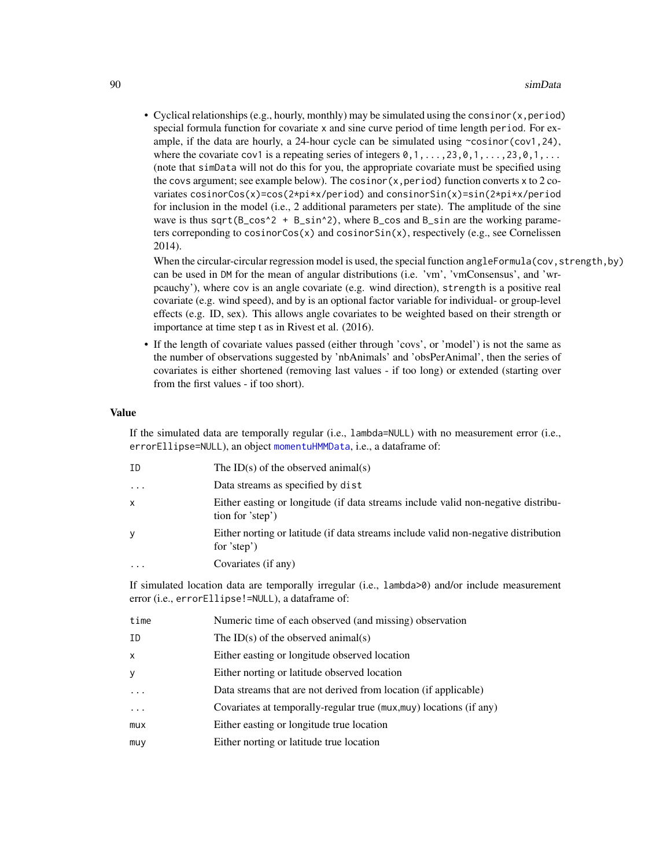<span id="page-89-0"></span>• Cyclical relationships (e.g., hourly, monthly) may be simulated using the consinor  $(x, period)$ special formula function for covariate x and sine curve period of time length period. For example, if the data are hourly, a 24-hour cycle can be simulated using  $\sim$ cosinor(cov1,24), where the covariate cov1 is a repeating series of integers  $\emptyset, 1, \ldots, 23, \emptyset, 1, \ldots, 23, \emptyset, 1, \ldots$ (note that simData will not do this for you, the appropriate covariate must be specified using the covs argument; see example below). The cosinor  $(x, period)$  function converts x to 2 covariates cosinorCos(x)=cos(2\*pi\*x/period) and consinorSin(x)=sin(2\*pi\*x/period for inclusion in the model (i.e., 2 additional parameters per state). The amplitude of the sine wave is thus sqrt( $B_{\text{c}}\cos^2 2 + B_{\text{c}}\sin^2 2$ ), where B<sub> $\text{c}$ </sub> cos and B<sub> $\text{c}}\sin n$  are the working parame-</sub> ters correponding to cosinor $Cos(x)$  and  $cosinorsin(x)$ , respectively (e.g., see Cornelissen 2014).

When the circular-circular regression model is used, the special function angleFormula(cov, strength, by) can be used in DM for the mean of angular distributions (i.e. 'vm', 'vmConsensus', and 'wrpcauchy'), where cov is an angle covariate (e.g. wind direction), strength is a positive real covariate (e.g. wind speed), and by is an optional factor variable for individual- or group-level effects (e.g. ID, sex). This allows angle covariates to be weighted based on their strength or importance at time step t as in Rivest et al. (2016).

• If the length of covariate values passed (either through 'covs', or 'model') is not the same as the number of observations suggested by 'nbAnimals' and 'obsPerAnimal', then the series of covariates is either shortened (removing last values - if too long) or extended (starting over from the first values - if too short).

#### Value

If the simulated data are temporally regular (i.e., lambda=NULL) with no measurement error (i.e., errorEllipse=NULL), an object [momentuHMMData](#page-57-0), i.e., a dataframe of:

| ID        | The ID(s) of the observed animal(s)                                                                   |
|-----------|-------------------------------------------------------------------------------------------------------|
| $\cdots$  | Data streams as specified by dist                                                                     |
| X         | Either easting or longitude (if data streams include valid non-negative distribu-<br>tion for 'step') |
| y         | Either norting or latitude (if data streams include valid non-negative distribution<br>for 'step')    |
| $\ddotsc$ | Covariates (if any)                                                                                   |

If simulated location data are temporally irregular (i.e., lambda>0) and/or include measurement error (i.e., errorEllipse!=NULL), a dataframe of:

| time              | Numeric time of each observed (and missing) observation             |
|-------------------|---------------------------------------------------------------------|
| ID                | The ID(s) of the observed animal(s)                                 |
| X                 | Either easting or longitude observed location                       |
| У                 | Either norting or latitude observed location                        |
| $\cdot\cdot\cdot$ | Data streams that are not derived from location (if applicable)     |
| $\ddots$          | Covariates at temporally-regular true (mux, muy) locations (if any) |
| mux               | Either easting or longitude true location                           |
| muy               | Either norting or latitude true location                            |
|                   |                                                                     |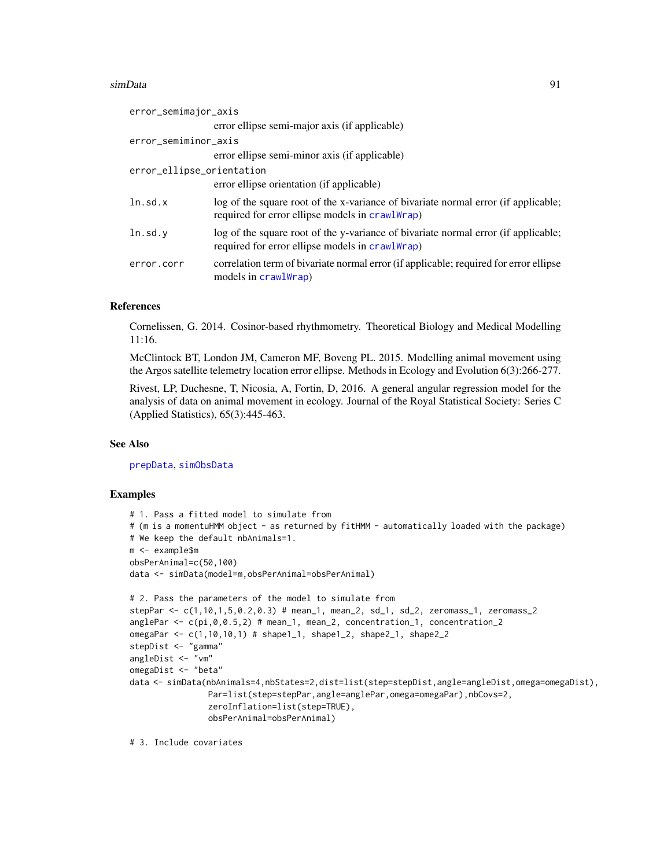#### <span id="page-90-0"></span>simData 91

| error_semimajor_axis      |                                                                                                                                       |
|---------------------------|---------------------------------------------------------------------------------------------------------------------------------------|
|                           | error ellipse semi-major axis (if applicable)                                                                                         |
| error_semiminor_axis      |                                                                                                                                       |
|                           | error ellipse semi-minor axis (if applicable)                                                                                         |
| error_ellipse_orientation |                                                                                                                                       |
|                           | error ellipse orientation (if applicable)                                                                                             |
| ln.sd.x                   | log of the square root of the x-variance of bivariate normal error (if applicable;<br>required for error ellipse models in crawlWrap) |
| ln . sd.v                 | log of the square root of the y-variance of bivariate normal error (if applicable;<br>required for error ellipse models in crawlWrap) |
| error.corr                | correlation term of bivariate normal error (if applicable; required for error ellipse<br>models in crawlWrap)                         |

#### References

Cornelissen, G. 2014. Cosinor-based rhythmometry. Theoretical Biology and Medical Modelling 11:16.

McClintock BT, London JM, Cameron MF, Boveng PL. 2015. Modelling animal movement using the Argos satellite telemetry location error ellipse. Methods in Ecology and Evolution 6(3):266-277.

Rivest, LP, Duchesne, T, Nicosia, A, Fortin, D, 2016. A general angular regression model for the analysis of data on animal movement in ecology. Journal of the Royal Statistical Society: Series C (Applied Statistics), 65(3):445-463.

#### See Also

[prepData](#page-76-0), [simObsData](#page-92-0)

#### Examples

```
# 1. Pass a fitted model to simulate from
# (m is a momentuHMM object - as returned by fitHMM - automatically loaded with the package)
# We keep the default nbAnimals=1.
m <- example$m
obsPerAnimal=c(50,100)
data <- simData(model=m,obsPerAnimal=obsPerAnimal)
# 2. Pass the parameters of the model to simulate from
stepPar <- c(1,10,1,5,0.2,0.3) # mean_1, mean_2, sd_1, sd_2, zeromass_1, zeromass_2
anglePar \leftarrow c(pi, \theta, \theta.5, 2) # mean_1, mean_2, concentration_1, concentration_2
omegaPar <- c(1,10,10,1) # shape1_1, shape1_2, shape2_1, shape2_2
stepDist <- "gamma"
angleDist <- "vm"
omegaDist <- "beta"
data <- simData(nbAnimals=4,nbStates=2,dist=list(step=stepDist,angle=angleDist,omega=omegaDist),
                Par=list(step=stepPar,angle=anglePar,omega=omegaPar),nbCovs=2,
                zeroInflation=list(step=TRUE),
                obsPerAnimal=obsPerAnimal)
```
# 3. Include covariates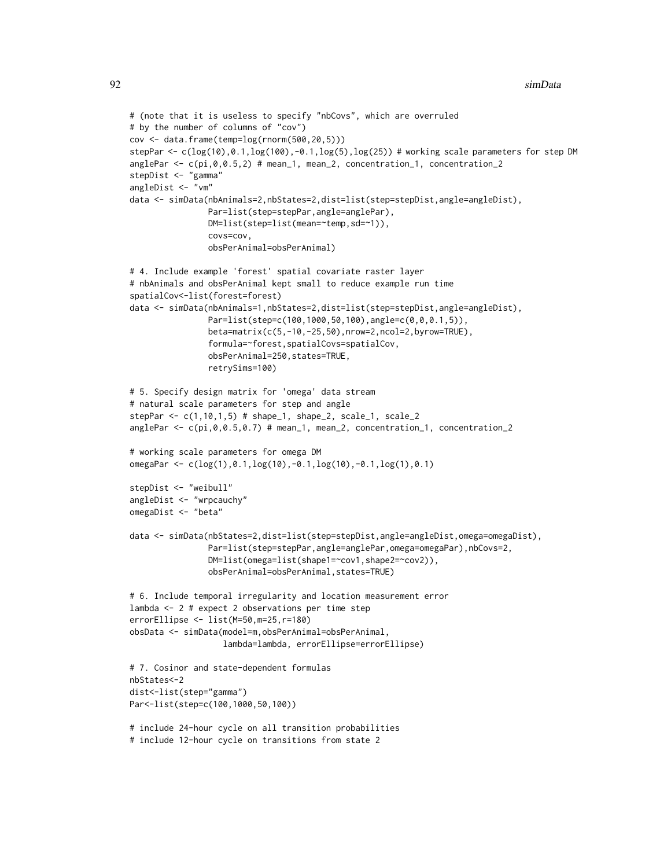```
# (note that it is useless to specify "nbCovs", which are overruled
# by the number of columns of "cov")
cov <- data.frame(temp=log(rnorm(500,20,5)))
stepPar <- c(log(10),0.1,log(100),-0.1,log(5),log(25)) # working scale parameters for step DM
anglePar <- c(pi,0,0.5,2) # mean_1, mean_2, concentration_1, concentration_2
stepDist <- "gamma"
angleDist <- "vm"
data <- simData(nbAnimals=2,nbStates=2,dist=list(step=stepDist,angle=angleDist),
                Par=list(step=stepPar,angle=anglePar),
                DM=list(step=list(mean=~temp,sd=~1)),
                covs=cov,
                obsPerAnimal=obsPerAnimal)
# 4. Include example 'forest' spatial covariate raster layer
# nbAnimals and obsPerAnimal kept small to reduce example run time
spatialCov<-list(forest=forest)
data <- simData(nbAnimals=1,nbStates=2,dist=list(step=stepDist,angle=angleDist),
                Par=list(step=c(100,1000,50,100),angle=c(0,0,0.1,5)),
                beta=matrix(c(5,-10,-25,50),nrow=2,ncol=2,byrow=TRUE),
                formula=~forest,spatialCovs=spatialCov,
                obsPerAnimal=250,states=TRUE,
                retrySims=100)
# 5. Specify design matrix for 'omega' data stream
# natural scale parameters for step and angle
stepPar <- c(1,10,1,5) # shape_1, shape_2, scale_1, scale_2
anglePar <- c(pi,0,0.5,0.7) # mean_1, mean_2, concentration_1, concentration_2
# working scale parameters for omega DM
omegaPar <- c(log(1),0.1,log(10),-0.1,log(10),-0.1,log(1),0.1)
stepDist <- "weibull"
angleDist <- "wrpcauchy"
omegaDist <- "beta"
data <- simData(nbStates=2,dist=list(step=stepDist,angle=angleDist,omega=omegaDist),
                Par=list(step=stepPar,angle=anglePar,omega=omegaPar),nbCovs=2,
                DM=list(omega=list(shape1=~cov1,shape2=~cov2)),
                obsPerAnimal=obsPerAnimal,states=TRUE)
# 6. Include temporal irregularity and location measurement error
lambda <- 2 # expect 2 observations per time step
errorEllipse <- list(M=50,m=25,r=180)
obsData <- simData(model=m,obsPerAnimal=obsPerAnimal,
                   lambda=lambda, errorEllipse=errorEllipse)
# 7. Cosinor and state-dependent formulas
nbStates<-2
dist<-list(step="gamma")
Par<-list(step=c(100,1000,50,100))
# include 24-hour cycle on all transition probabilities
# include 12-hour cycle on transitions from state 2
```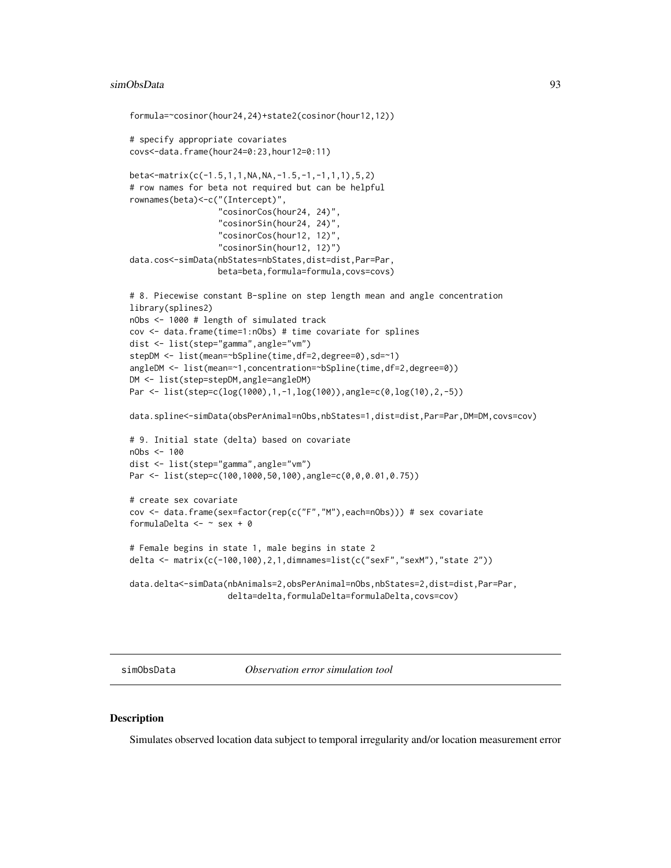```
formula=~cosinor(hour24,24)+state2(cosinor(hour12,12))
# specify appropriate covariates
covs<-data.frame(hour24=0:23,hour12=0:11)
beta<-matrix(c(-1.5,1,1,NA,NA,-1.5,-1,-1,1,1),5,2)
# row names for beta not required but can be helpful
rownames(beta)<-c("(Intercept)",
                  "cosinorCos(hour24, 24)",
                  "cosinorSin(hour24, 24)",
                  "cosinorCos(hour12, 12)",
                  "cosinorSin(hour12, 12)")
data.cos<-simData(nbStates=nbStates,dist=dist,Par=Par,
                  beta=beta,formula=formula,covs=covs)
# 8. Piecewise constant B-spline on step length mean and angle concentration
library(splines2)
nObs <- 1000 # length of simulated track
cov <- data.frame(time=1:nObs) # time covariate for splines
dist <- list(step="gamma",angle="vm")
stepDM <- list(mean=~bSpline(time,df=2,degree=0),sd=~1)
angleDM <- list(mean=~1, concentration=~bSpline(time, df=2, degree=0))
DM <- list(step=stepDM,angle=angleDM)
Par <- list(step=c(log(1000),1,-1,log(100)),angle=c(0,log(10),2,-5))
data.spline<-simData(obsPerAnimal=nObs,nbStates=1,dist=dist,Par=Par,DM=DM,covs=cov)
# 9. Initial state (delta) based on covariate
nObs <- 100
dist <- list(step="gamma",angle="vm")
Par <- list(step=c(100,1000,50,100),angle=c(0,0,0.01,0.75))
# create sex covariate
cov <- data.frame(sex=factor(rep(c("F","M"),each=nObs))) # sex covariate
formulaDelta <- \sim sex + 0
# Female begins in state 1, male begins in state 2
delta <- matrix(c(-100,100),2,1,dimnames=list(c("sexF","sexM"),"state 2"))
data.delta<-simData(nbAnimals=2,obsPerAnimal=nObs,nbStates=2,dist=dist,Par=Par,
```
delta=delta,formulaDelta=formulaDelta,covs=cov)

<span id="page-92-0"></span>simObsData *Observation error simulation tool*

## Description

Simulates observed location data subject to temporal irregularity and/or location measurement error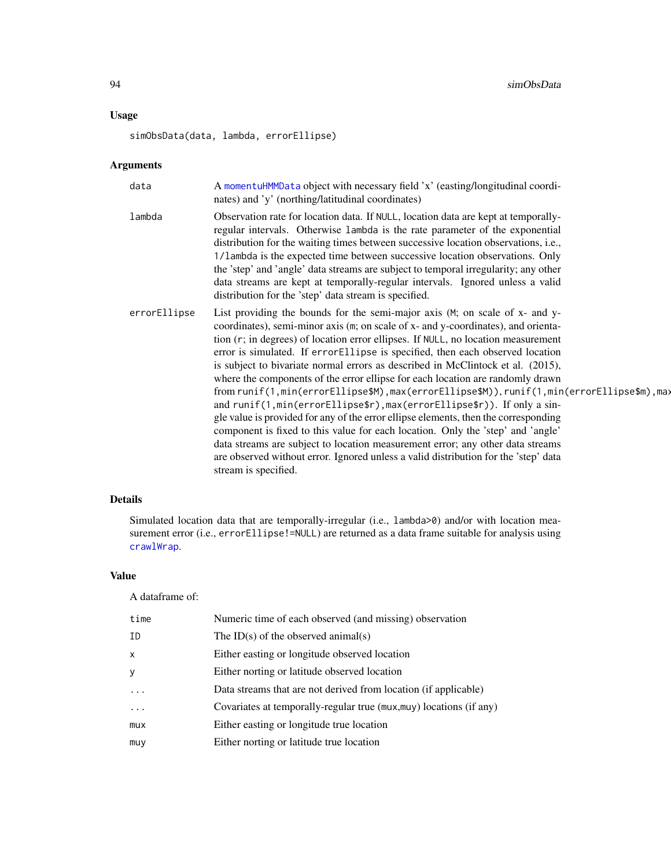## <span id="page-93-0"></span>Usage

simObsData(data, lambda, errorEllipse)

## Arguments

| Observation rate for location data. If NULL, location data are kept at temporally-<br>regular intervals. Otherwise lambda is the rate parameter of the exponential<br>distribution for the waiting times between successive location observations, i.e.,<br>1/1 ambda is the expected time between successive location observations. Only<br>the 'step' and 'angle' data streams are subject to temporal irregularity; any other<br>data streams are kept at temporally-regular intervals. Ignored unless a valid<br>distribution for the 'step' data stream is specified.<br>List providing the bounds for the semi-major axis (M; on scale of x- and y-<br>coordinates), semi-minor axis (m; on scale of x- and y-coordinates), and orienta-<br>tion (r; in degrees) of location error ellipses. If NULL, no location measurement<br>error is simulated. If errorEllipse is specified, then each observed location<br>is subject to bivariate normal errors as described in McClintock et al. (2015),<br>where the components of the error ellipse for each location are randomly drawn<br>from runif(1,min(errorEllipse\$M),max(errorEllipse\$M)),runif(1,min(errorEllipse\$m),max<br>and runif(1, min(errorEllipse\$r), max(errorEllipse\$r)). If only a sin-<br>gle value is provided for any of the error ellipse elements, then the corresponding<br>component is fixed to this value for each location. Only the 'step' and 'angle'<br>data streams are subject to location measurement error; any other data streams<br>are observed without error. Ignored unless a valid distribution for the 'step' data<br>stream is specified. | data         | A momentuHMMData object with necessary field 'x' (easting/longitudinal coordi-<br>nates) and 'y' (northing/latitudinal coordinates) |
|----------------------------------------------------------------------------------------------------------------------------------------------------------------------------------------------------------------------------------------------------------------------------------------------------------------------------------------------------------------------------------------------------------------------------------------------------------------------------------------------------------------------------------------------------------------------------------------------------------------------------------------------------------------------------------------------------------------------------------------------------------------------------------------------------------------------------------------------------------------------------------------------------------------------------------------------------------------------------------------------------------------------------------------------------------------------------------------------------------------------------------------------------------------------------------------------------------------------------------------------------------------------------------------------------------------------------------------------------------------------------------------------------------------------------------------------------------------------------------------------------------------------------------------------------------------------------------------------------------------------------------------------|--------------|-------------------------------------------------------------------------------------------------------------------------------------|
|                                                                                                                                                                                                                                                                                                                                                                                                                                                                                                                                                                                                                                                                                                                                                                                                                                                                                                                                                                                                                                                                                                                                                                                                                                                                                                                                                                                                                                                                                                                                                                                                                                              | lambda       |                                                                                                                                     |
|                                                                                                                                                                                                                                                                                                                                                                                                                                                                                                                                                                                                                                                                                                                                                                                                                                                                                                                                                                                                                                                                                                                                                                                                                                                                                                                                                                                                                                                                                                                                                                                                                                              | errorEllipse |                                                                                                                                     |

## Details

Simulated location data that are temporally-irregular (i.e., lambda>0) and/or with location measurement error (i.e., errorEllipse!=NULL) are returned as a data frame suitable for analysis using [crawlWrap](#page-11-0).

#### Value

## A dataframe of:

| time       | Numeric time of each observed (and missing) observation             |
|------------|---------------------------------------------------------------------|
| ΙD         | The ID(s) of the observed animal(s)                                 |
| X          | Either easting or longitude observed location                       |
| У          | Either norting or latitude observed location                        |
| $\ddots$ . | Data streams that are not derived from location (if applicable)     |
| $\cdot$    | Covariates at temporally-regular true (mux, muy) locations (if any) |
| mux        | Either easting or longitude true location                           |
| muy        | Either norting or latitude true location                            |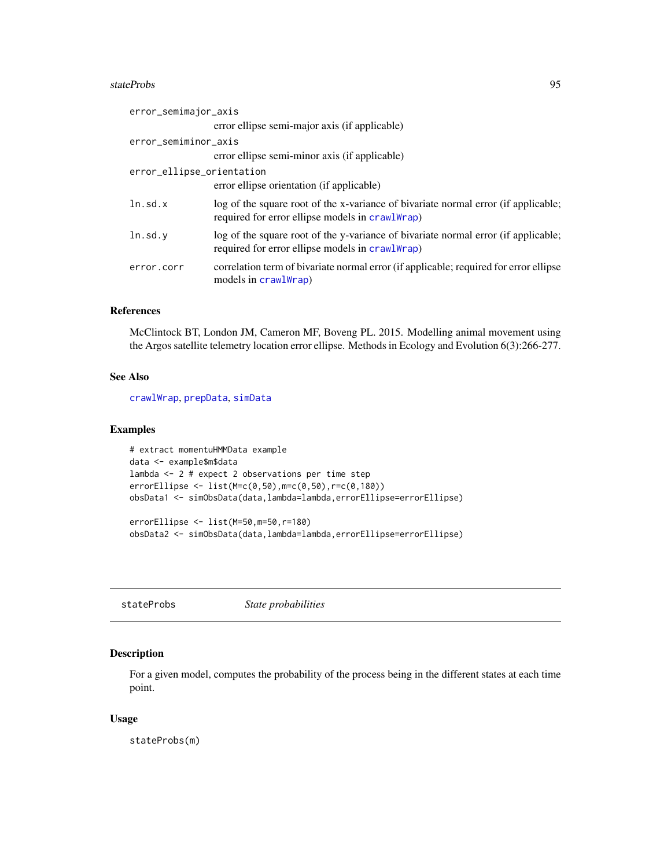#### <span id="page-94-0"></span>stateProbs 95

| error_semimajor_axis      |                                                                                                                                       |
|---------------------------|---------------------------------------------------------------------------------------------------------------------------------------|
|                           | error ellipse semi-major axis (if applicable)                                                                                         |
| error_semiminor_axis      |                                                                                                                                       |
|                           | error ellipse semi-minor axis (if applicable)                                                                                         |
| error_ellipse_orientation |                                                                                                                                       |
|                           | error ellipse orientation (if applicable)                                                                                             |
| ln.sd.x                   | log of the square root of the x-variance of bivariate normal error (if applicable;<br>required for error ellipse models in crawlWrap) |
| ln.sd.y                   | log of the square root of the y-variance of bivariate normal error (if applicable;<br>required for error ellipse models in crawlWrap) |
| error.corr                | correlation term of bivariate normal error (if applicable; required for error ellipse<br>models in crawlWrap)                         |

## References

McClintock BT, London JM, Cameron MF, Boveng PL. 2015. Modelling animal movement using the Argos satellite telemetry location error ellipse. Methods in Ecology and Evolution 6(3):266-277.

## See Also

[crawlWrap](#page-11-0), [prepData](#page-76-0), [simData](#page-83-0)

#### Examples

```
# extract momentuHMMData example
data <- example$m$data
lambda <- 2 # expect 2 observations per time step
errorEllipse <- list(M=c(0,50),m=c(0,50),r=c(0,180))
obsData1 <- simObsData(data,lambda=lambda,errorEllipse=errorEllipse)
errorEllipse <- list(M=50,m=50,r=180)
```
obsData2 <- simObsData(data,lambda=lambda,errorEllipse=errorEllipse)

stateProbs *State probabilities*

## Description

For a given model, computes the probability of the process being in the different states at each time point.

## Usage

stateProbs(m)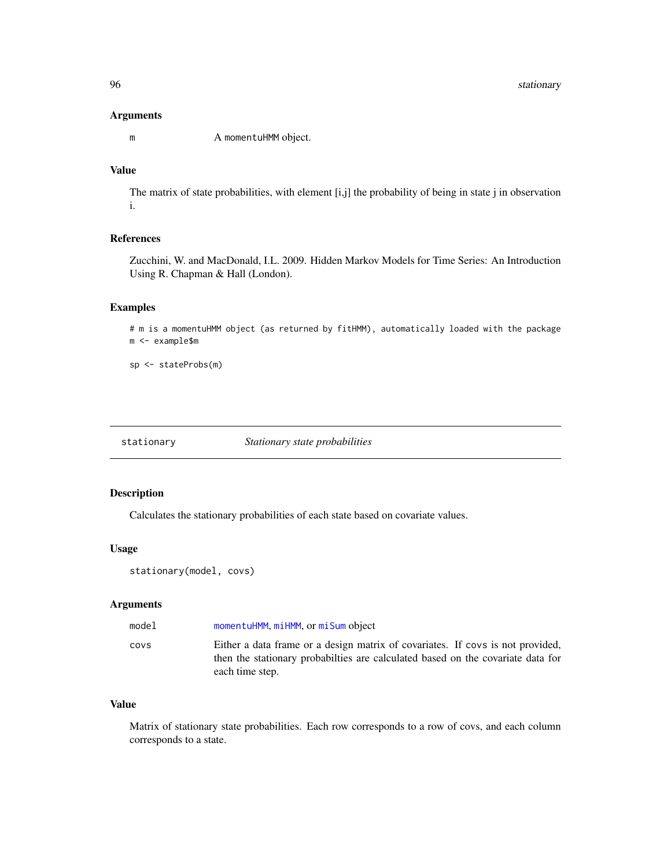#### <span id="page-95-0"></span>Arguments

m A momentuHMM object.

## Value

The matrix of state probabilities, with element [i,j] the probability of being in state j in observation i.

## References

Zucchini, W. and MacDonald, I.L. 2009. Hidden Markov Models for Time Series: An Introduction Using R. Chapman & Hall (London).

## Examples

```
# m is a momentuHMM object (as returned by fitHMM), automatically loaded with the package
m <- example$m
```
sp <- stateProbs(m)

stationary *Stationary state probabilities*

## Description

Calculates the stationary probabilities of each state based on covariate values.

## Usage

```
stationary(model, covs)
```
## Arguments

| model | momentuHMM, miHMM, or miSum object                                                                                                                                                    |
|-------|---------------------------------------------------------------------------------------------------------------------------------------------------------------------------------------|
| COVS  | Either a data frame or a design matrix of covariates. If covs is not provided,<br>then the stationary probabilities are calculated based on the covariate data for<br>each time step. |

## Value

Matrix of stationary state probabilities. Each row corresponds to a row of covs, and each column corresponds to a state.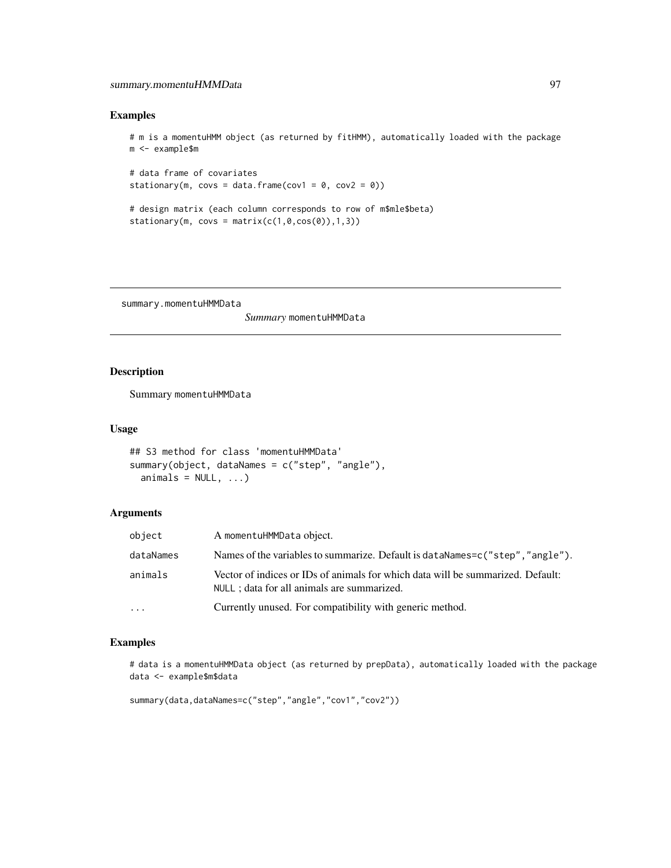## <span id="page-96-0"></span>summary.momentuHMMData 97

## Examples

```
# m is a momentuHMM object (as returned by fitHMM), automatically loaded with the package
m <- example$m
```

```
# data frame of covariates
stationary(m, covs = data.frame(cov1 = 0, cov2 = 0))
```

```
# design matrix (each column corresponds to row of m$mle$beta)
stationary(m, covs = matrix(c(1,0,cos(\theta)),1,3))
```
summary.momentuHMMData

*Summary* momentuHMMData

## Description

Summary momentuHMMData

#### Usage

```
## S3 method for class 'momentuHMMData'
summary(object, dataNames = c("step", "angle"),
 animals = NULL, ...)
```
## Arguments

| object    | A momentuHMMData object.                                                                                                       |
|-----------|--------------------------------------------------------------------------------------------------------------------------------|
| dataNames | Names of the variables to summarize. Default is dataNames=c("step", "angle").                                                  |
| animals   | Vector of indices or IDs of animals for which data will be summarized. Default:<br>NULL ; data for all animals are summarized. |
| $\cdot$   | Currently unused. For compatibility with generic method.                                                                       |

#### Examples

# data is a momentuHMMData object (as returned by prepData), automatically loaded with the package data <- example\$m\$data

```
summary(data,dataNames=c("step","angle","cov1","cov2"))
```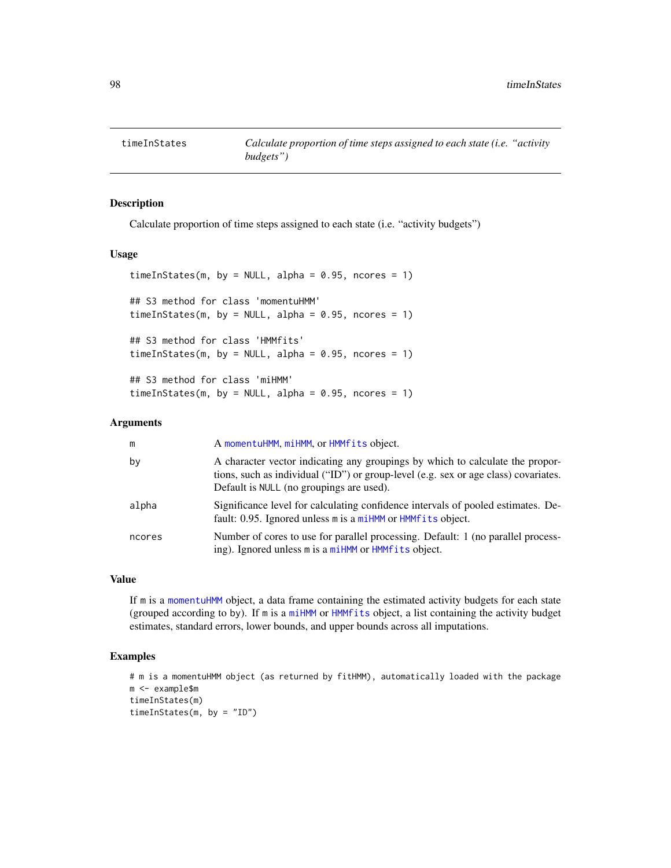<span id="page-97-0"></span>

#### Description

Calculate proportion of time steps assigned to each state (i.e. "activity budgets")

#### Usage

```
timeInStates(m, by = NULL, alpha = 0.95, ncores = 1)
## S3 method for class 'momentuHMM'
timeInStates(m, by = NULL, alpha = 0.95, ncores = 1)
## S3 method for class 'HMMfits'
timeInStates(m, by = NULL, alpha = 0.95, ncores = 1)
## S3 method for class 'miHMM'
timeInStates(m, by = NULL, alpha = 0.95, ncores = 1)
```
## Arguments

| m      | A momentuHMM, miHMM, or HMMfits object.                                                                                                                                                                          |
|--------|------------------------------------------------------------------------------------------------------------------------------------------------------------------------------------------------------------------|
| by     | A character vector indicating any groupings by which to calculate the propor-<br>tions, such as individual ("ID") or group-level (e.g. sex or age class) covariates.<br>Default is NULL (no groupings are used). |
| alpha  | Significance level for calculating confidence intervals of pooled estimates. De-<br>fault: 0.95. Ignored unless m is a miHMM or HMMfits object.                                                                  |
| ncores | Number of cores to use for parallel processing. Default: 1 (no parallel process-<br>ing). Ignored unless m is a miHMM or HMMfits object.                                                                         |

## Value

If m is a [momentuHMM](#page-56-0) object, a data frame containing the estimated activity budgets for each state (grouped according to by). If m is a [miHMM](#page-53-0) or [HMMfits](#page-43-0) object, a list containing the activity budget estimates, standard errors, lower bounds, and upper bounds across all imputations.

## Examples

```
# m is a momentuHMM object (as returned by fitHMM), automatically loaded with the package
m <- example$m
timeInStates(m)
timeInStates(m, by = "ID")
```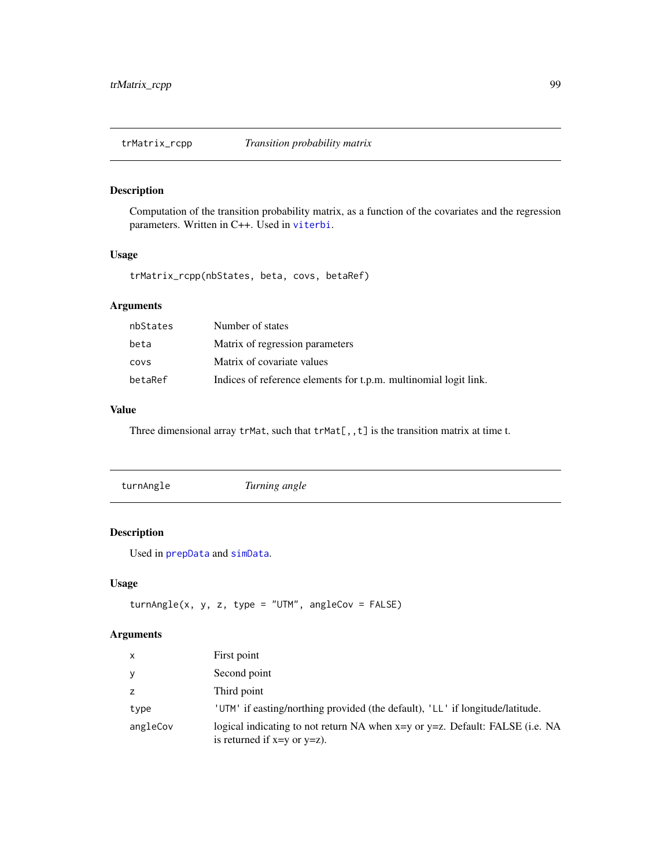<span id="page-98-1"></span>trMatrix\_rcpp *Transition probability matrix*

## Description

Computation of the transition probability matrix, as a function of the covariates and the regression parameters. Written in C++. Used in [viterbi](#page-99-0).

## Usage

trMatrix\_rcpp(nbStates, beta, covs, betaRef)

## Arguments

| nbStates | Number of states                                                 |
|----------|------------------------------------------------------------------|
| beta     | Matrix of regression parameters                                  |
| COVS     | Matrix of covariate values                                       |
| betaRef  | Indices of reference elements for t.p.m. multinomial logit link. |

## Value

Three dimensional array  $trMat$ , such that  $trMat[,, t]$  is the transition matrix at time t.

<span id="page-98-0"></span>

| turnAngle | Turning angle |  |  |
|-----------|---------------|--|--|
|-----------|---------------|--|--|

## Description

Used in [prepData](#page-76-0) and [simData](#page-83-0).

## Usage

```
turnAngle(x, y, z, type = "UTM", angleCov = FALSE)
```
## Arguments

| $\mathsf{x}$ | First point                                                                                                      |
|--------------|------------------------------------------------------------------------------------------------------------------|
| У            | Second point                                                                                                     |
| z            | Third point                                                                                                      |
| type         | 'UTM' if easting/northing provided (the default), 'LL' if longitude/latitude.                                    |
| angleCov     | logical indicating to not return NA when x=y or y=z. Default: FALSE (i.e. NA<br>is returned if $x=y$ or $y=z$ ). |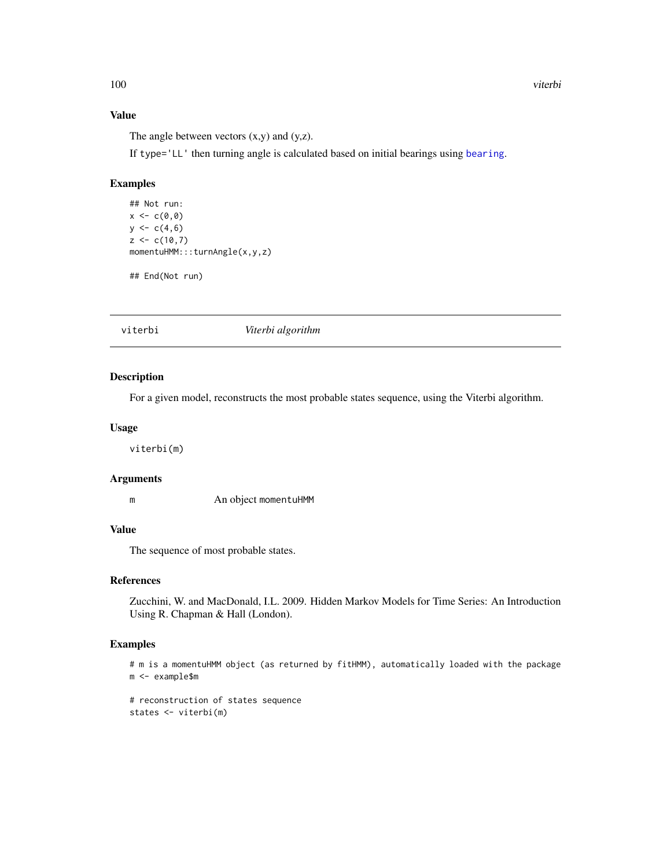#### Value

The angle between vectors  $(x,y)$  and  $(y,z)$ .

If type='LL' then turning angle is calculated based on initial bearings using [bearing](#page-0-0).

#### Examples

```
## Not run:
x < -c(0, 0)y \leq -c(4,6)z < -c(10,7)momentuHMM:::turnAngle(x,y,z)
```
## End(Not run)

<span id="page-99-0"></span>viterbi *Viterbi algorithm*

#### Description

For a given model, reconstructs the most probable states sequence, using the Viterbi algorithm.

#### Usage

viterbi(m)

#### Arguments

m An object momentuHMM

#### Value

The sequence of most probable states.

#### References

Zucchini, W. and MacDonald, I.L. 2009. Hidden Markov Models for Time Series: An Introduction Using R. Chapman & Hall (London).

## Examples

```
# m is a momentuHMM object (as returned by fitHMM), automatically loaded with the package
m <- example$m
```

```
# reconstruction of states sequence
states <- viterbi(m)
```
<span id="page-99-1"></span>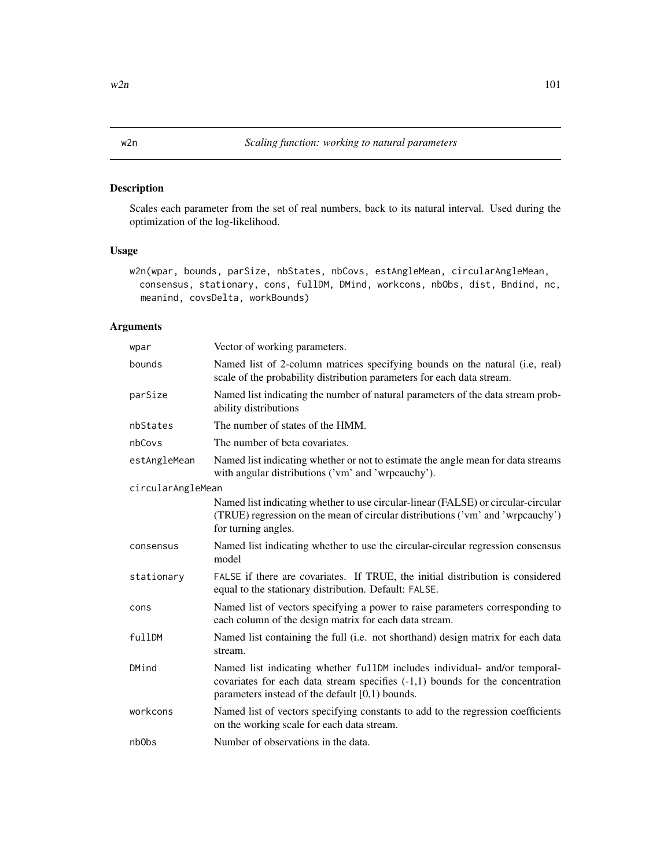## <span id="page-100-1"></span><span id="page-100-0"></span>Description

Scales each parameter from the set of real numbers, back to its natural interval. Used during the optimization of the log-likelihood.

## Usage

```
w2n(wpar, bounds, parSize, nbStates, nbCovs, estAngleMean, circularAngleMean,
 consensus, stationary, cons, fullDM, DMind, workcons, nbObs, dist, Bndind, nc,
 meanind, covsDelta, workBounds)
```
## Arguments

| wpar              | Vector of working parameters.                                                                                                                                                                                      |
|-------------------|--------------------------------------------------------------------------------------------------------------------------------------------------------------------------------------------------------------------|
| bounds            | Named list of 2-column matrices specifying bounds on the natural (i.e, real)<br>scale of the probability distribution parameters for each data stream.                                                             |
| parSize           | Named list indicating the number of natural parameters of the data stream prob-<br>ability distributions                                                                                                           |
| nbStates          | The number of states of the HMM.                                                                                                                                                                                   |
| nbCovs            | The number of beta covariates.                                                                                                                                                                                     |
| estAngleMean      | Named list indicating whether or not to estimate the angle mean for data streams<br>with angular distributions ('vm' and 'wrpcauchy').                                                                             |
| circularAngleMean |                                                                                                                                                                                                                    |
|                   | Named list indicating whether to use circular-linear (FALSE) or circular-circular<br>(TRUE) regression on the mean of circular distributions ('vm' and 'wrpcauchy')<br>for turning angles.                         |
| consensus         | Named list indicating whether to use the circular-circular regression consensus<br>model                                                                                                                           |
| stationary        | FALSE if there are covariates. If TRUE, the initial distribution is considered<br>equal to the stationary distribution. Default: FALSE.                                                                            |
| cons              | Named list of vectors specifying a power to raise parameters corresponding to<br>each column of the design matrix for each data stream.                                                                            |
| fullDM            | Named list containing the full (i.e. not shorthand) design matrix for each data<br>stream.                                                                                                                         |
| DMind             | Named list indicating whether fullDM includes individual- and/or temporal-<br>covariates for each data stream specifies $(-1,1)$ bounds for the concentration<br>parameters instead of the default $[0,1)$ bounds. |
| workcons          | Named list of vectors specifying constants to add to the regression coefficients<br>on the working scale for each data stream.                                                                                     |
| nb0bs             | Number of observations in the data.                                                                                                                                                                                |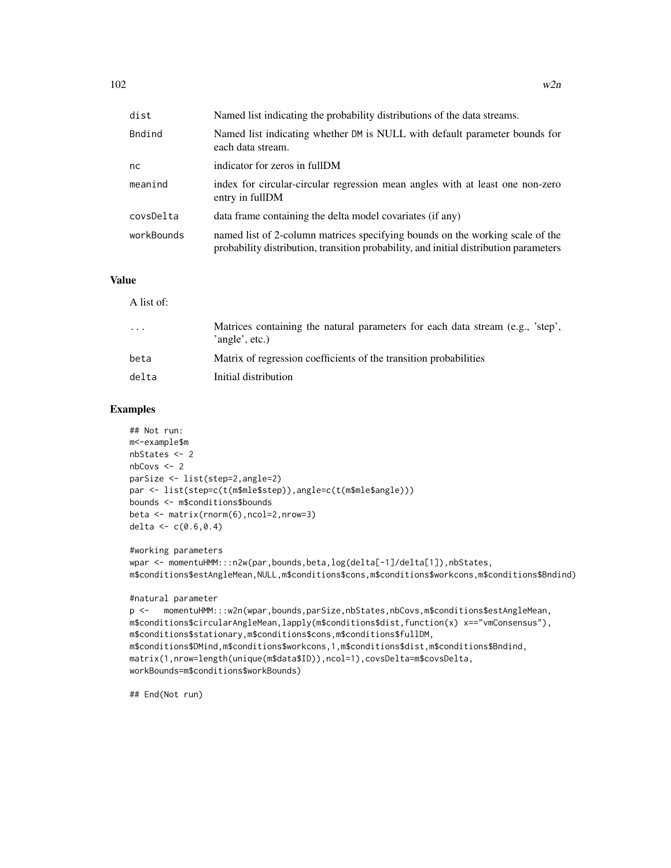| dist       | Named list indicating the probability distributions of the data streams.                                                                                               |
|------------|------------------------------------------------------------------------------------------------------------------------------------------------------------------------|
| Bndind     | Named list indicating whether DM is NULL with default parameter bounds for<br>each data stream.                                                                        |
| nc         | indicator for zeros in fullDM                                                                                                                                          |
| meanind    | index for circular-circular regression mean angles with at least one non-zero<br>entry in fullDM                                                                       |
| covsDelta  | data frame containing the delta model covariates (if any)                                                                                                              |
| workBounds | named list of 2-column matrices specifying bounds on the working scale of the<br>probability distribution, transition probability, and initial distribution parameters |

#### Value

A list of:

| $\ddotsc$ | Matrices containing the natural parameters for each data stream (e.g., 'step',<br>'angle', etc.) |
|-----------|--------------------------------------------------------------------------------------------------|
| beta      | Matrix of regression coefficients of the transition probabilities                                |
| delta     | Initial distribution                                                                             |
|           |                                                                                                  |

#### Examples

```
## Not run:
m<-example$m
nbStates <- 2
nbCovs < -2parSize <- list(step=2,angle=2)
par <- list(step=c(t(m$mle$step)),angle=c(t(m$mle$angle)))
bounds <- m$conditions$bounds
beta <- matrix(rnorm(6),ncol=2,nrow=3)
delta <- c(0.6, 0.4)
```

```
#working parameters
wpar <- momentuHMM:::n2w(par,bounds,beta,log(delta[-1]/delta[1]),nbStates,
m$conditions$estAngleMean,NULL,m$conditions$cons,m$conditions$workcons,m$conditions$Bndind)
```
#### #natural parameter

```
p <- momentuHMM:::w2n(wpar,bounds,parSize,nbStates,nbCovs,m$conditions$estAngleMean,
m$conditions$circularAngleMean,lapply(m$conditions$dist,function(x) x=="vmConsensus"),
m$conditions$stationary,m$conditions$cons,m$conditions$fullDM,
m$conditions$DMind,m$conditions$workcons,1,m$conditions$dist,m$conditions$Bndind,
matrix(1,nrow=length(unique(m$data$ID)),ncol=1),covsDelta=m$covsDelta,
workBounds=m$conditions$workBounds)
```
## End(Not run)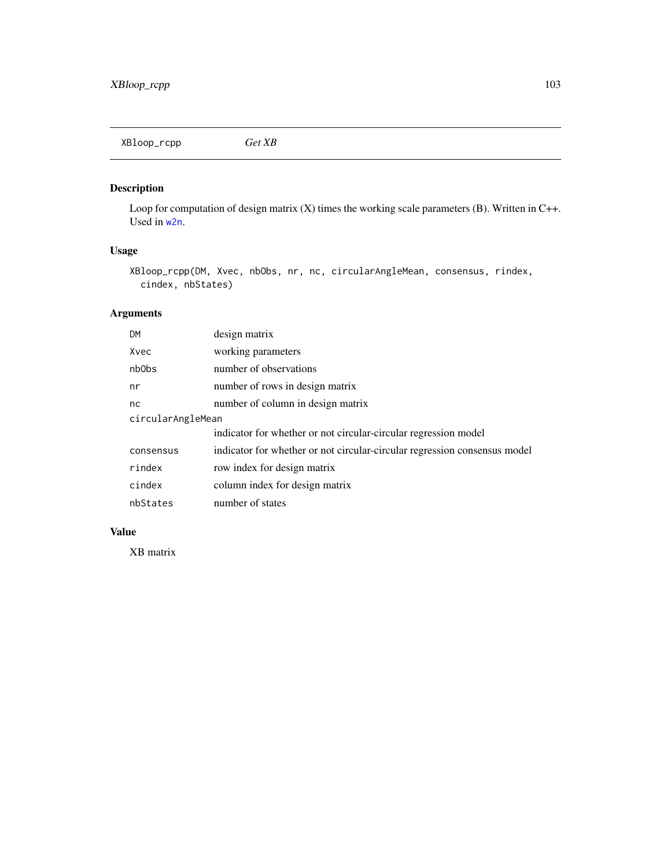<span id="page-102-0"></span>XBloop\_rcpp *Get XB*

## Description

Loop for computation of design matrix (X) times the working scale parameters (B). Written in C++. Used in [w2n](#page-100-0).

## Usage

```
XBloop_rcpp(DM, Xvec, nbObs, nr, nc, circularAngleMean, consensus, rindex,
 cindex, nbStates)
```
## Arguments

| <b>DM</b>         | design matrix                                                             |
|-------------------|---------------------------------------------------------------------------|
| Xvec              | working parameters                                                        |
| nb <sub>Obs</sub> | number of observations                                                    |
| nr                | number of rows in design matrix                                           |
| nc                | number of column in design matrix                                         |
| circularAngleMean |                                                                           |
|                   | indicator for whether or not circular-circular regression model           |
| consensus         | indicator for whether or not circular-circular regression consensus model |
| rindex            | row index for design matrix                                               |
| cindex            | column index for design matrix                                            |
| nbStates          | number of states                                                          |

## Value

XB matrix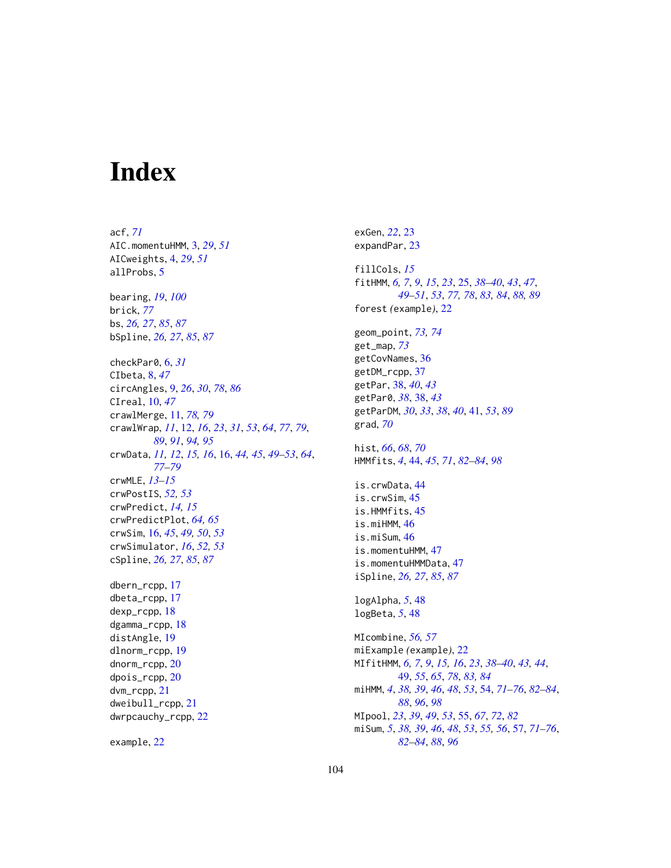# Index

acf, *[71](#page-70-0)* AIC.momentuHMM, [3,](#page-2-0) *[29](#page-28-0)*, *[51](#page-50-0)* AICweights, [4,](#page-3-0) *[29](#page-28-0)*, *[51](#page-50-0)* allProbs, [5](#page-4-0) bearing, *[19](#page-18-0)*, *[100](#page-99-1)* brick, *[77](#page-76-1)* bs, *[26,](#page-25-0) [27](#page-26-0)*, *[85](#page-84-0)*, *[87](#page-86-0)* bSpline, *[26,](#page-25-0) [27](#page-26-0)*, *[85](#page-84-0)*, *[87](#page-86-0)* checkPar0, [6,](#page-5-0) *[31](#page-30-0)* CIbeta, [8,](#page-7-0) *[47](#page-46-0)* circAngles, [9,](#page-8-1) *[26](#page-25-0)*, *[30](#page-29-0)*, *[78](#page-77-0)*, *[86](#page-85-0)* CIreal, [10,](#page-9-0) *[47](#page-46-0)* crawlMerge, [11,](#page-10-1) *[78,](#page-77-0) [79](#page-78-0)* crawlWrap, *[11](#page-10-1)*, [12,](#page-11-1) *[16](#page-15-1)*, *[23](#page-22-0)*, *[31](#page-30-0)*, *[53](#page-52-0)*, *[64](#page-63-0)*, *[77](#page-76-1)*, *[79](#page-78-0)*, *[89](#page-88-0)*, *[91](#page-90-0)*, *[94,](#page-93-0) [95](#page-94-0)* crwData, *[11,](#page-10-1) [12](#page-11-1)*, *[15,](#page-14-0) [16](#page-15-1)*, [16,](#page-15-1) *[44,](#page-43-1) [45](#page-44-0)*, *[49–](#page-48-1)[53](#page-52-0)*, *[64](#page-63-0)*, *[77](#page-76-1)[–79](#page-78-0)* crwMLE, *[13](#page-12-0)[–15](#page-14-0)* crwPostIS, *[52,](#page-51-0) [53](#page-52-0)* crwPredict, *[14,](#page-13-0) [15](#page-14-0)* crwPredictPlot, *[64,](#page-63-0) [65](#page-64-0)* crwSim, [16,](#page-15-1) *[45](#page-44-0)*, *[49,](#page-48-1) [50](#page-49-0)*, *[53](#page-52-0)* crwSimulator, *[16](#page-15-1)*, *[52,](#page-51-0) [53](#page-52-0)* cSpline, *[26,](#page-25-0) [27](#page-26-0)*, *[85](#page-84-0)*, *[87](#page-86-0)* dbern\_rcpp, [17](#page-16-0) dbeta\_rcpp, [17](#page-16-0) dexp\_rcpp, [18](#page-17-0) dgamma\_rcpp, [18](#page-17-0) distAngle, [19](#page-18-0) dlnorm\_rcpp, [19](#page-18-0) dnorm\_rcpp, [20](#page-19-0) dpois\_rcpp, [20](#page-19-0) dvm\_rcpp, [21](#page-20-0) dweibull\_rcpp, [21](#page-20-0) dwrpcauchy\_rcpp, [22](#page-21-0)

example, [22](#page-21-0)

exGen, *[22](#page-21-0)*, [23](#page-22-0) expandPar, [23](#page-22-0) fillCols, *[15](#page-14-0)* fitHMM, *[6,](#page-5-0) [7](#page-6-0)*, *[9](#page-8-1)*, *[15](#page-14-0)*, *[23](#page-22-0)*, [25,](#page-24-1) *[38](#page-37-0)[–40](#page-39-0)*, *[43](#page-42-0)*, *[47](#page-46-0)*, *[49](#page-48-1)[–51](#page-50-0)*, *[53](#page-52-0)*, *[77,](#page-76-1) [78](#page-77-0)*, *[83,](#page-82-0) [84](#page-83-1)*, *[88,](#page-87-0) [89](#page-88-0)* forest *(*example*)*, [22](#page-21-0) geom\_point, *[73,](#page-72-0) [74](#page-73-0)* get\_map, *[73](#page-72-0)* getCovNames, [36](#page-35-0) getDM\_rcpp, [37](#page-36-0) getPar, [38,](#page-37-0) *[40](#page-39-0)*, *[43](#page-42-0)* getPar0, *[38](#page-37-0)*, [38,](#page-37-0) *[43](#page-42-0)* getParDM, *[30](#page-29-0)*, *[33](#page-32-0)*, *[38](#page-37-0)*, *[40](#page-39-0)*, [41,](#page-40-1) *[53](#page-52-0)*, *[89](#page-88-0)* grad, *[70](#page-69-0)* hist, *[66](#page-65-0)*, *[68](#page-67-0)*, *[70](#page-69-0)* HMMfits, *[4](#page-3-0)*, [44,](#page-43-1) *[45](#page-44-0)*, *[71](#page-70-0)*, *[82](#page-81-0)[–84](#page-83-1)*, *[98](#page-97-0)* is.crwData, [44](#page-43-1) is.crwSim, [45](#page-44-0) is.HMMfits, [45](#page-44-0) is.miHMM, [46](#page-45-0) is.miSum, [46](#page-45-0) is.momentuHMM, [47](#page-46-0) is.momentuHMMData, [47](#page-46-0) iSpline, *[26,](#page-25-0) [27](#page-26-0)*, *[85](#page-84-0)*, *[87](#page-86-0)* logAlpha, *[5](#page-4-0)*, [48](#page-47-0) logBeta, *[5](#page-4-0)*, [48](#page-47-0) MIcombine, *[56,](#page-55-0) [57](#page-56-2)* miExample *(*example*)*, [22](#page-21-0) MIfitHMM, *[6,](#page-5-0) [7](#page-6-0)*, *[9](#page-8-1)*, *[15,](#page-14-0) [16](#page-15-1)*, *[23](#page-22-0)*, *[38](#page-37-0)[–40](#page-39-0)*, *[43,](#page-42-0) [44](#page-43-1)*, [49,](#page-48-1) *[55](#page-54-1)*, *[65](#page-64-0)*, *[78](#page-77-0)*, *[83,](#page-82-0) [84](#page-83-1)* miHMM, *[4](#page-3-0)*, *[38,](#page-37-0) [39](#page-38-0)*, *[46](#page-45-0)*, *[48](#page-47-0)*, *[53](#page-52-0)*, [54,](#page-53-1) *[71](#page-70-0)[–76](#page-75-0)*, *[82](#page-81-0)[–84](#page-83-1)*, *[88](#page-87-0)*, *[96](#page-95-0)*, *[98](#page-97-0)* MIpool, *[23](#page-22-0)*, *[39](#page-38-0)*, *[49](#page-48-1)*, *[53](#page-52-0)*, [55,](#page-54-1) *[67](#page-66-0)*, *[72](#page-71-0)*, *[82](#page-81-0)* miSum, *[5](#page-4-0)*, *[38,](#page-37-0) [39](#page-38-0)*, *[46](#page-45-0)*, *[48](#page-47-0)*, *[53](#page-52-0)*, *[55,](#page-54-1) [56](#page-55-0)*, [57,](#page-56-2) *[71](#page-70-0)[–76](#page-75-0)*, *[82](#page-81-0)[–84](#page-83-1)*, *[88](#page-87-0)*, *[96](#page-95-0)*